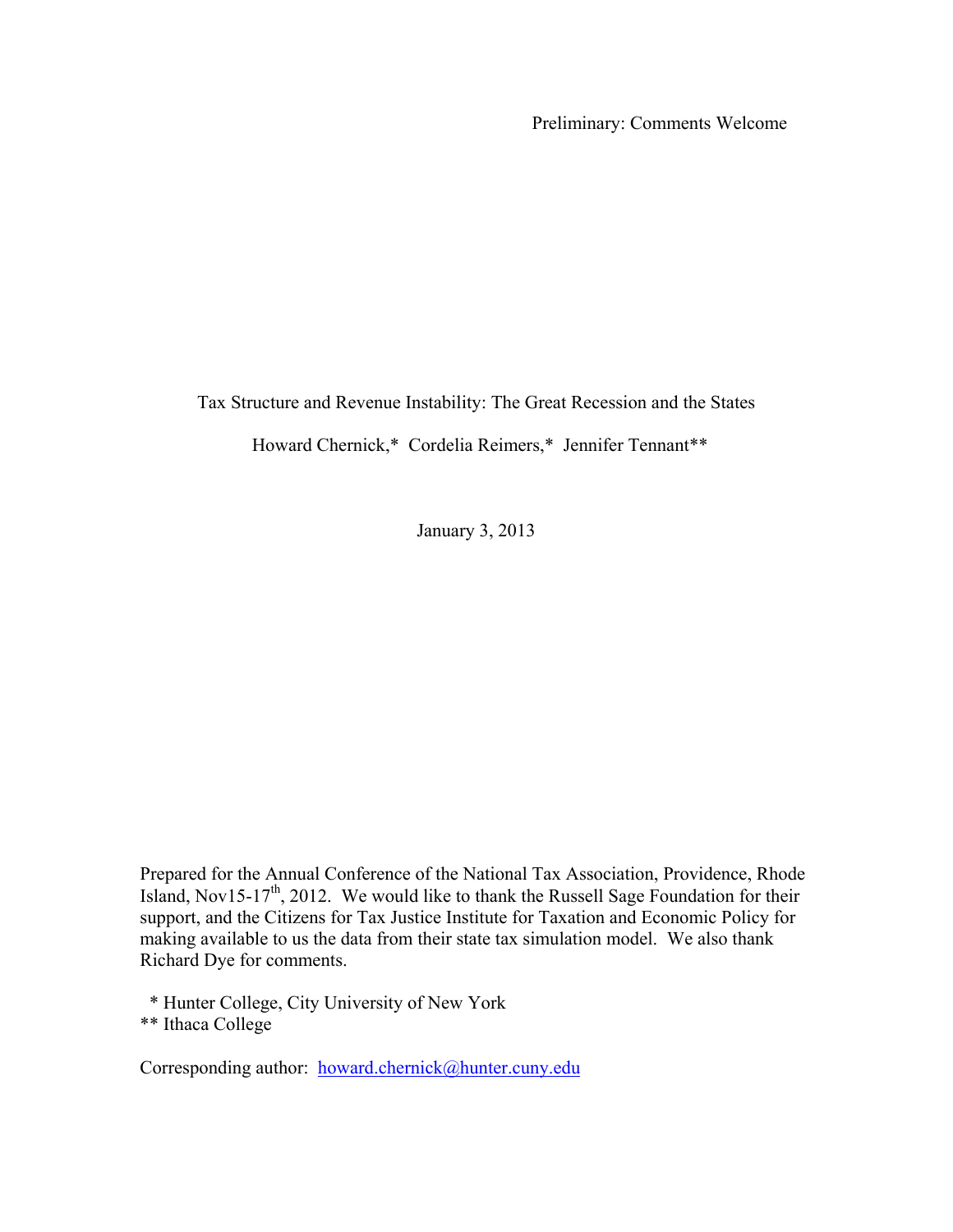Preliminary: Comments Welcome

Tax Structure and Revenue Instability: The Great Recession and the States

Howard Chernick,\* Cordelia Reimers,\* Jennifer Tennant\*\*

January 3, 2013

Prepared for the Annual Conference of the National Tax Association, Providence, Rhode Island, Nov15-17<sup>th</sup>, 2012. We would like to thank the Russell Sage Foundation for their support, and the Citizens for Tax Justice Institute for Taxation and Economic Policy for making available to us the data from their state tax simulation model. We also thank Richard Dye for comments.

 \* Hunter College, City University of New York \*\* Ithaca College

Corresponding author: [howard.chernick@hunter.cuny.edu](mailto:howard.chernick@hunter.cuny.edu)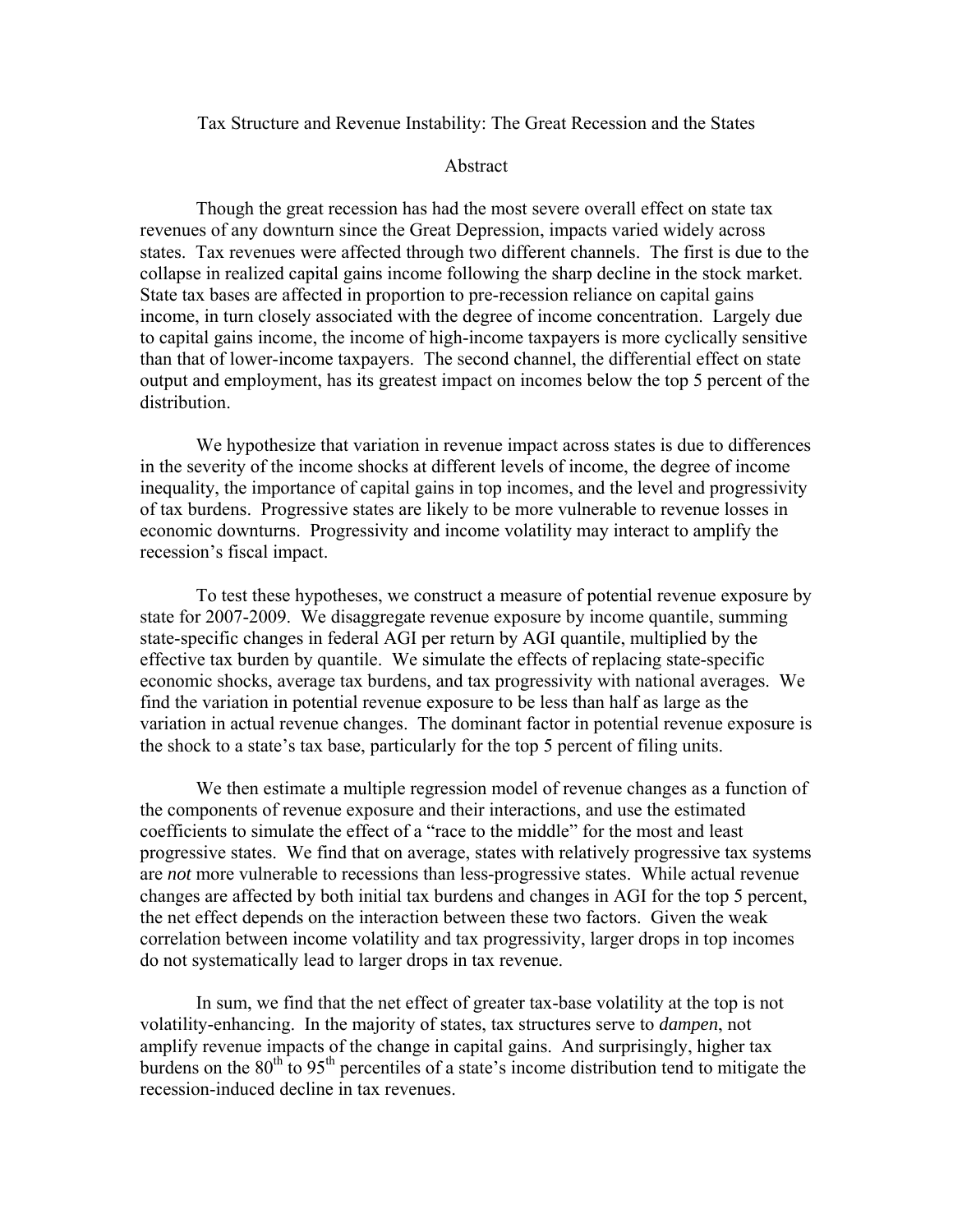Tax Structure and Revenue Instability: The Great Recession and the States

### Abstract

Though the great recession has had the most severe overall effect on state tax revenues of any downturn since the Great Depression, impacts varied widely across states. Tax revenues were affected through two different channels. The first is due to the collapse in realized capital gains income following the sharp decline in the stock market. State tax bases are affected in proportion to pre-recession reliance on capital gains income, in turn closely associated with the degree of income concentration. Largely due to capital gains income, the income of high-income taxpayers is more cyclically sensitive than that of lower-income taxpayers. The second channel, the differential effect on state output and employment, has its greatest impact on incomes below the top 5 percent of the distribution.

We hypothesize that variation in revenue impact across states is due to differences in the severity of the income shocks at different levels of income, the degree of income inequality, the importance of capital gains in top incomes, and the level and progressivity of tax burdens. Progressive states are likely to be more vulnerable to revenue losses in economic downturns. Progressivity and income volatility may interact to amplify the recession's fiscal impact.

To test these hypotheses, we construct a measure of potential revenue exposure by state for 2007-2009. We disaggregate revenue exposure by income quantile, summing state-specific changes in federal AGI per return by AGI quantile, multiplied by the effective tax burden by quantile. We simulate the effects of replacing state-specific economic shocks, average tax burdens, and tax progressivity with national averages. We find the variation in potential revenue exposure to be less than half as large as the variation in actual revenue changes. The dominant factor in potential revenue exposure is the shock to a state's tax base, particularly for the top 5 percent of filing units.

We then estimate a multiple regression model of revenue changes as a function of the components of revenue exposure and their interactions, and use the estimated coefficients to simulate the effect of a "race to the middle" for the most and least progressive states. We find that on average, states with relatively progressive tax systems are *not* more vulnerable to recessions than less-progressive states. While actual revenue changes are affected by both initial tax burdens and changes in AGI for the top 5 percent, the net effect depends on the interaction between these two factors. Given the weak correlation between income volatility and tax progressivity, larger drops in top incomes do not systematically lead to larger drops in tax revenue.

In sum, we find that the net effect of greater tax-base volatility at the top is not volatility-enhancing. In the majority of states, tax structures serve to *dampen*, not amplify revenue impacts of the change in capital gains. And surprisingly, higher tax burdens on the  $80<sup>th</sup>$  to  $95<sup>th</sup>$  percentiles of a state's income distribution tend to mitigate the recession-induced decline in tax revenues.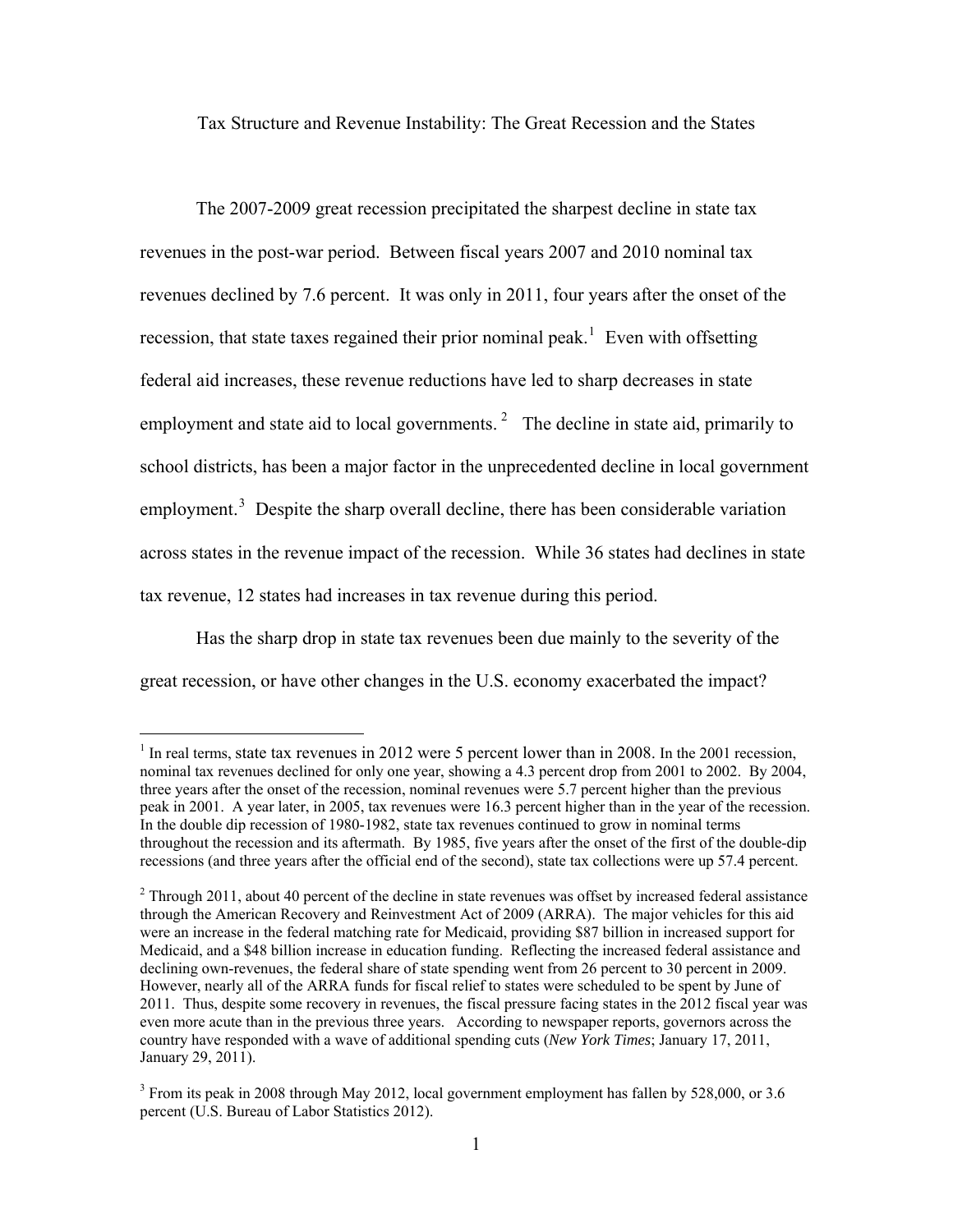Tax Structure and Revenue Instability: The Great Recession and the States

The 2007-2009 great recession precipitated the sharpest decline in state tax revenues in the post-war period. Between fiscal years 2007 and 2010 nominal tax revenues declined by 7.6 percent. It was only in 2011, four years after the onset of the recession, that state taxes regained their prior nominal peak.<sup>[1](#page-2-0)</sup> Even with offsetting federal aid increases, these revenue reductions have led to sharp decreases in state employment and state aid to local governments.<sup>[2](#page-2-1)</sup> The decline in state aid, primarily to school districts, has been a major factor in the unprecedented decline in local government employment.<sup>[3](#page-2-2)</sup> Despite the sharp overall decline, there has been considerable variation across states in the revenue impact of the recession. While 36 states had declines in state tax revenue, 12 states had increases in tax revenue during this period.

Has the sharp drop in state tax revenues been due mainly to the severity of the great recession, or have other changes in the U.S. economy exacerbated the impact?

 $\overline{a}$ 

<span id="page-2-0"></span><sup>&</sup>lt;sup>1</sup> In real terms, state tax revenues in 2012 were 5 percent lower than in 2008. In the 2001 recession, nominal tax revenues declined for only one year, showing a 4.3 percent drop from 2001 to 2002. By 2004, three years after the onset of the recession, nominal revenues were 5.7 percent higher than the previous peak in 2001. A year later, in 2005, tax revenues were 16.3 percent higher than in the year of the recession. In the double dip recession of 1980-1982, state tax revenues continued to grow in nominal terms throughout the recession and its aftermath. By 1985, five years after the onset of the first of the double-dip recessions (and three years after the official end of the second), state tax collections were up 57.4 percent.

<span id="page-2-1"></span> $2$  Through 2011, about 40 percent of the decline in state revenues was offset by increased federal assistance through the American Recovery and Reinvestment Act of 2009 (ARRA). The major vehicles for this aid were an increase in the federal matching rate for Medicaid, providing \$87 billion in increased support for Medicaid, and a \$48 billion increase in education funding. Reflecting the increased federal assistance and declining own-revenues, the federal share of state spending went from 26 percent to 30 percent in 2009. However, nearly all of the ARRA funds for fiscal relief to states were scheduled to be spent by June of 2011. Thus, despite some recovery in revenues, the fiscal pressure facing states in the 2012 fiscal year was even more acute than in the previous three years. According to newspaper reports, governors across the country have responded with a wave of additional spending cuts (*New York Times*; January 17, 2011, January 29, 2011).

<span id="page-2-2"></span> $3$  From its peak in 2008 through May 2012, local government employment has fallen by 528,000, or 3.6 percent (U.S. Bureau of Labor Statistics 2012).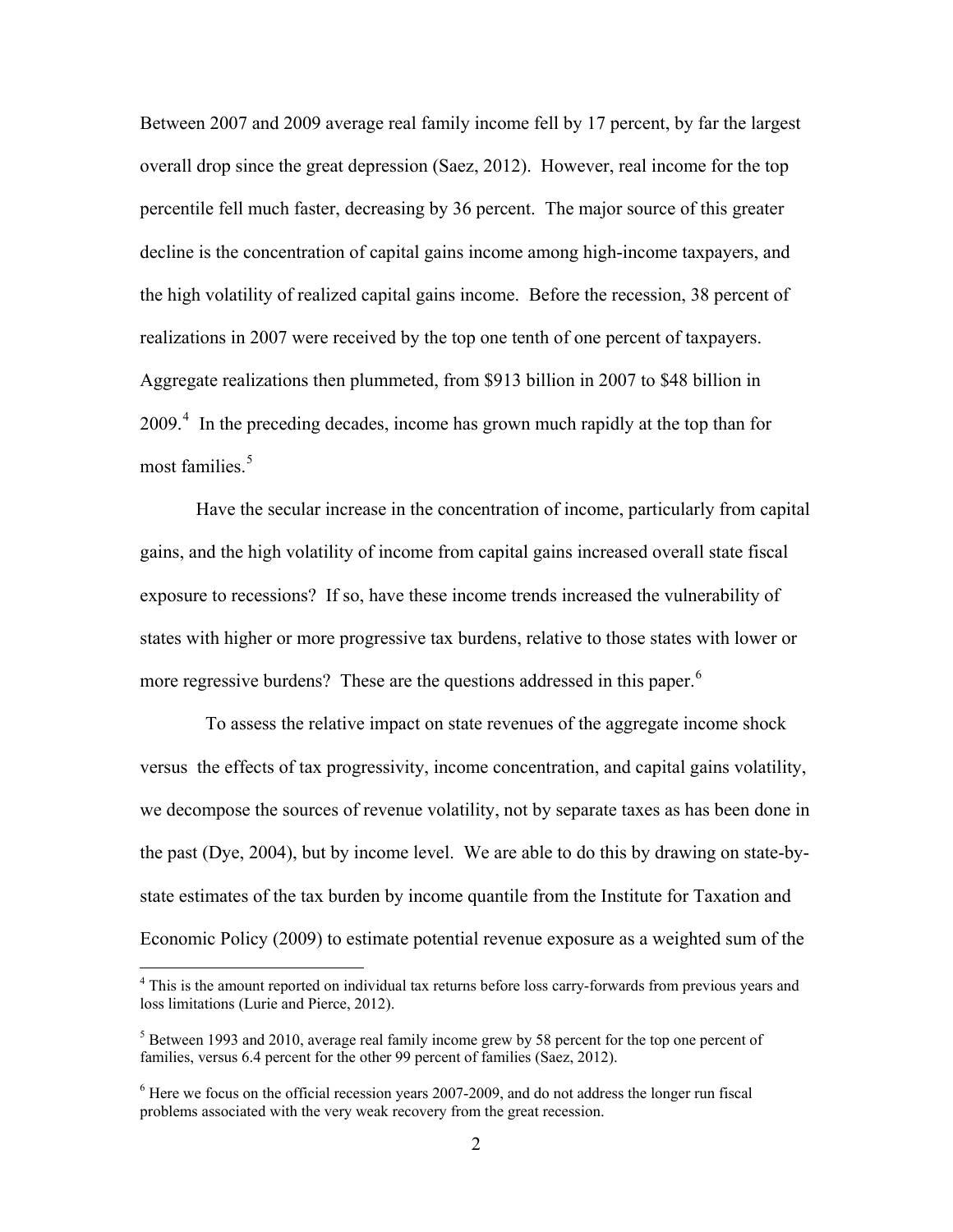Between 2007 and 2009 average real family income fell by 17 percent, by far the largest overall drop since the great depression (Saez, 2012). However, real income for the top percentile fell much faster, decreasing by 36 percent. The major source of this greater decline is the concentration of capital gains income among high-income taxpayers, and the high volatility of realized capital gains income. Before the recession, 38 percent of realizations in 2007 were received by the top one tenth of one percent of taxpayers. Aggregate realizations then plummeted, from \$913 billion in 2007 to \$48 billion in 2009.<sup>[4](#page-3-0)</sup> In the preceding decades, income has grown much rapidly at the top than for most families.<sup>5</sup>

Have the secular increase in the concentration of income, particularly from capital gains, and the high volatility of income from capital gains increased overall state fiscal exposure to recessions? If so, have these income trends increased the vulnerability of states with higher or more progressive tax burdens, relative to those states with lower or more regressive burdens? These are the questions addressed in this paper.<sup>[6](#page-3-1)</sup>

 To assess the relative impact on state revenues of the aggregate income shock versus the effects of tax progressivity, income concentration, and capital gains volatility, we decompose the sources of revenue volatility, not by separate taxes as has been done in the past (Dye, 2004), but by income level. We are able to do this by drawing on state-bystate estimates of the tax burden by income quantile from the Institute for Taxation and Economic Policy (2009) to estimate potential revenue exposure as a weighted sum of the

 $\overline{a}$ 

<span id="page-3-0"></span><sup>&</sup>lt;sup>4</sup> This is the amount reported on individual tax returns before loss carry-forwards from previous years and loss limitations (Lurie and Pierce, 2012).

<sup>&</sup>lt;sup>5</sup> Between 1993 and 2010, average real family income grew by 58 percent for the top one percent of families, versus 6.4 percent for the other 99 percent of families (Saez, 2012).

<span id="page-3-1"></span> $<sup>6</sup>$  Here we focus on the official recession years 2007-2009, and do not address the longer run fiscal</sup> problems associated with the very weak recovery from the great recession.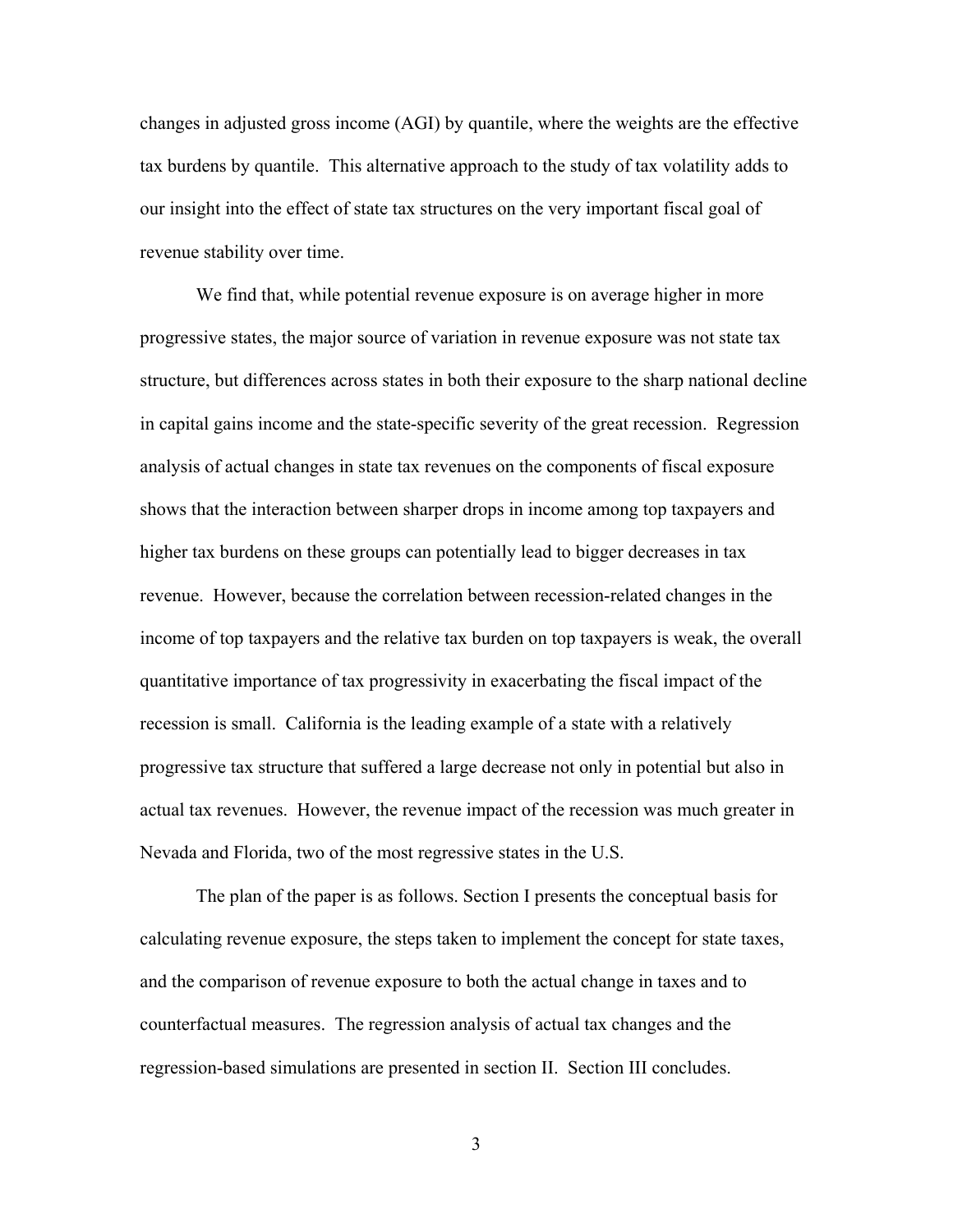changes in adjusted gross income (AGI) by quantile, where the weights are the effective tax burdens by quantile. This alternative approach to the study of tax volatility adds to our insight into the effect of state tax structures on the very important fiscal goal of revenue stability over time.

We find that, while potential revenue exposure is on average higher in more progressive states, the major source of variation in revenue exposure was not state tax structure, but differences across states in both their exposure to the sharp national decline in capital gains income and the state-specific severity of the great recession. Regression analysis of actual changes in state tax revenues on the components of fiscal exposure shows that the interaction between sharper drops in income among top taxpayers and higher tax burdens on these groups can potentially lead to bigger decreases in tax revenue. However, because the correlation between recession-related changes in the income of top taxpayers and the relative tax burden on top taxpayers is weak, the overall quantitative importance of tax progressivity in exacerbating the fiscal impact of the recession is small. California is the leading example of a state with a relatively progressive tax structure that suffered a large decrease not only in potential but also in actual tax revenues. However, the revenue impact of the recession was much greater in Nevada and Florida, two of the most regressive states in the U.S.

The plan of the paper is as follows. Section I presents the conceptual basis for calculating revenue exposure, the steps taken to implement the concept for state taxes, and the comparison of revenue exposure to both the actual change in taxes and to counterfactual measures. The regression analysis of actual tax changes and the regression-based simulations are presented in section II. Section III concludes.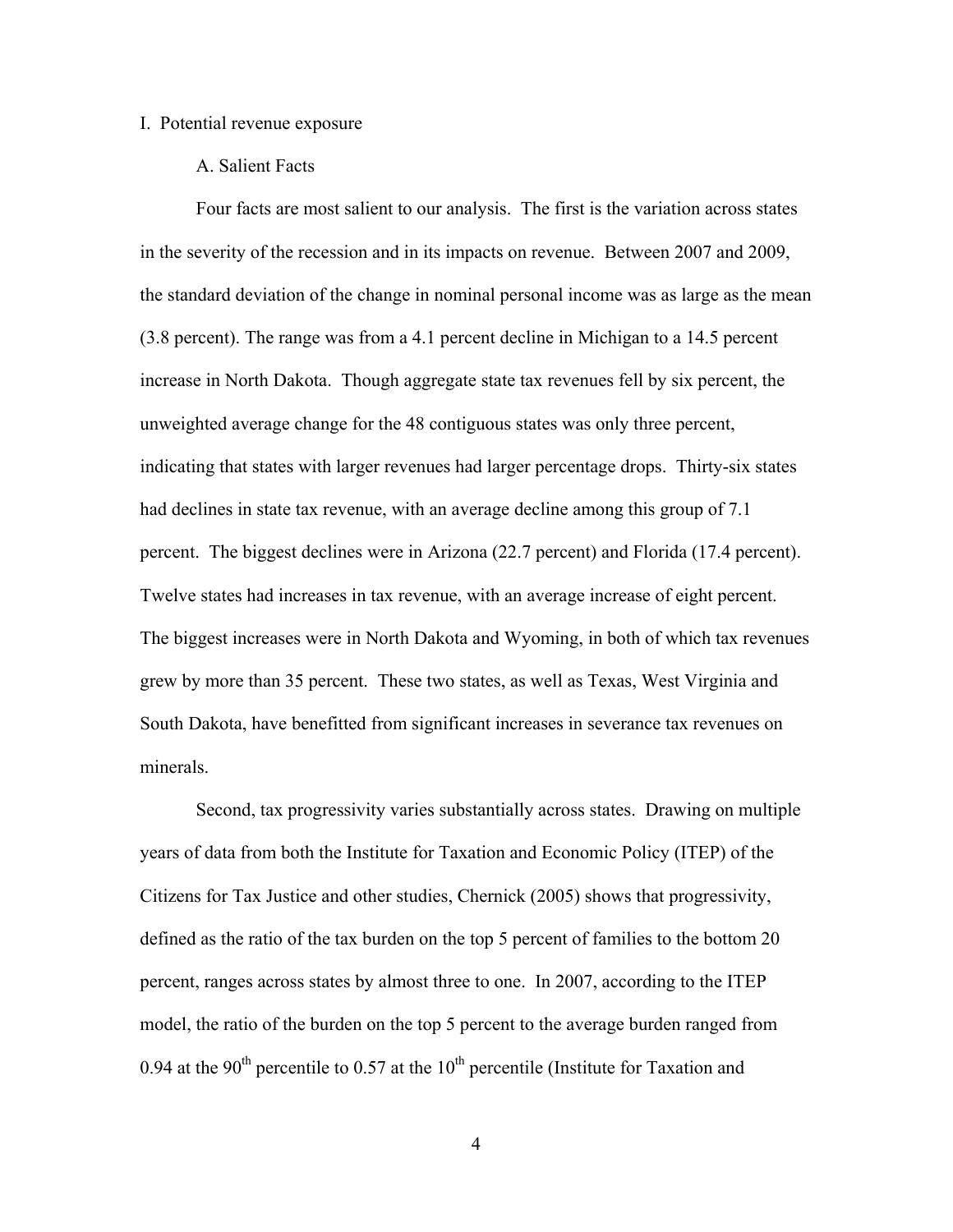### I. Potential revenue exposure

### A. Salient Facts

Four facts are most salient to our analysis. The first is the variation across states in the severity of the recession and in its impacts on revenue. Between 2007 and 2009, the standard deviation of the change in nominal personal income was as large as the mean (3.8 percent). The range was from a 4.1 percent decline in Michigan to a 14.5 percent increase in North Dakota. Though aggregate state tax revenues fell by six percent, the unweighted average change for the 48 contiguous states was only three percent, indicating that states with larger revenues had larger percentage drops. Thirty-six states had declines in state tax revenue, with an average decline among this group of 7.1 percent. The biggest declines were in Arizona (22.7 percent) and Florida (17.4 percent). Twelve states had increases in tax revenue, with an average increase of eight percent. The biggest increases were in North Dakota and Wyoming, in both of which tax revenues grew by more than 35 percent. These two states, as well as Texas, West Virginia and South Dakota, have benefitted from significant increases in severance tax revenues on minerals.

Second, tax progressivity varies substantially across states. Drawing on multiple years of data from both the Institute for Taxation and Economic Policy (ITEP) of the Citizens for Tax Justice and other studies, Chernick (2005) shows that progressivity, defined as the ratio of the tax burden on the top 5 percent of families to the bottom 20 percent, ranges across states by almost three to one. In 2007, according to the ITEP model, the ratio of the burden on the top 5 percent to the average burden ranged from 0.94 at the 90<sup>th</sup> percentile to 0.57 at the  $10<sup>th</sup>$  percentile (Institute for Taxation and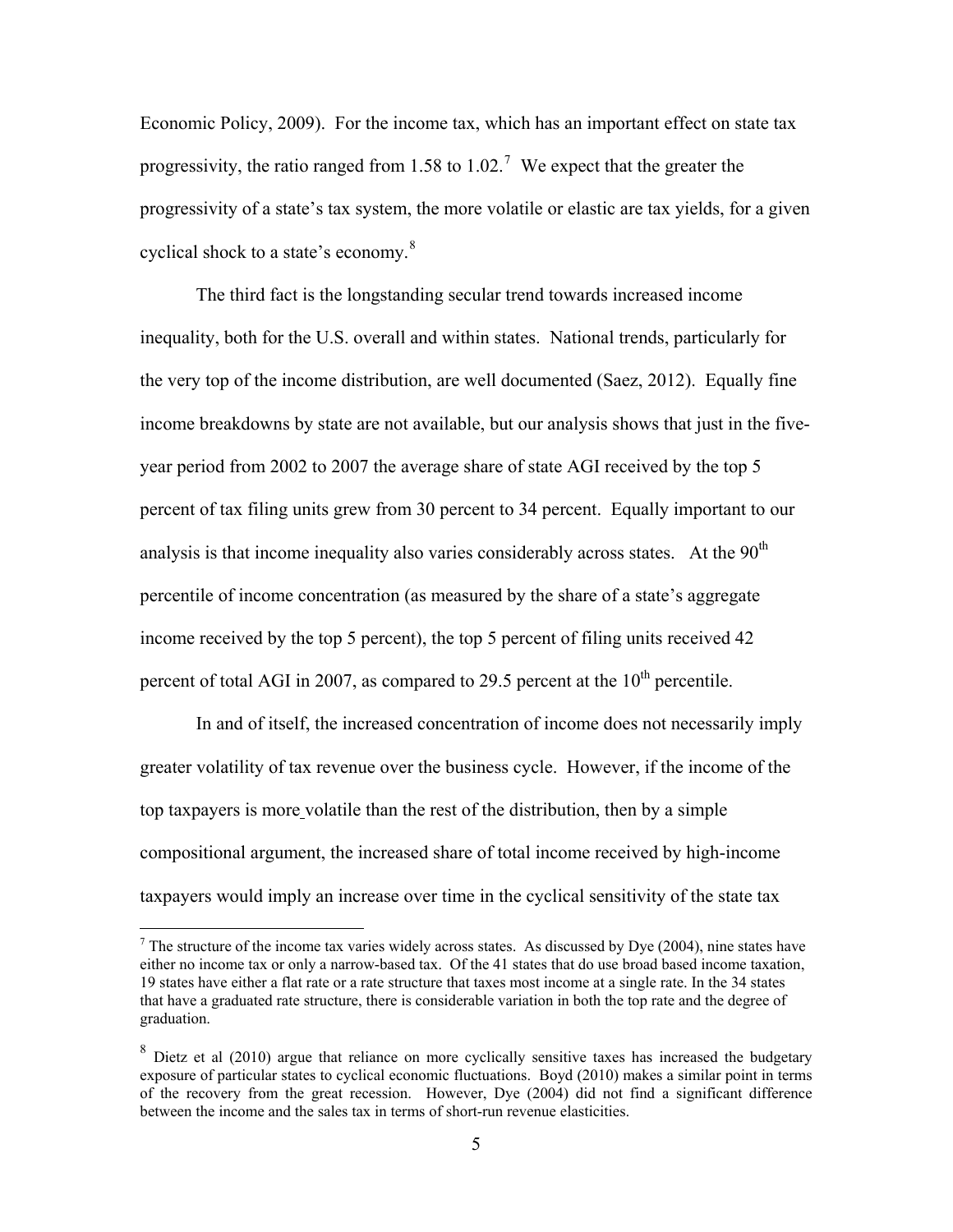Economic Policy, 2009). For the income tax, which has an important effect on state tax progressivity, the ratio ranged from 1.58 to 1.02.<sup>[7](#page-6-0)</sup> We expect that the greater the progressivity of a state's tax system, the more volatile or elastic are tax yields, for a given cyclical shock to a state's economy.<sup>[8](#page-6-1)</sup>

The third fact is the longstanding secular trend towards increased income inequality, both for the U.S. overall and within states. National trends, particularly for the very top of the income distribution, are well documented (Saez, 2012). Equally fine income breakdowns by state are not available, but our analysis shows that just in the fiveyear period from 2002 to 2007 the average share of state AGI received by the top 5 percent of tax filing units grew from 30 percent to 34 percent. Equally important to our analysis is that income inequality also varies considerably across states. At the  $90<sup>th</sup>$ percentile of income concentration (as measured by the share of a state's aggregate income received by the top 5 percent), the top 5 percent of filing units received 42 percent of total AGI in 2007, as compared to 29.5 percent at the  $10<sup>th</sup>$  percentile.

In and of itself, the increased concentration of income does not necessarily imply greater volatility of tax revenue over the business cycle. However, if the income of the top taxpayers is more volatile than the rest of the distribution, then by a simple compositional argument, the increased share of total income received by high-income taxpayers would imply an increase over time in the cyclical sensitivity of the state tax

 $\overline{a}$ 

<span id="page-6-0"></span><sup>&</sup>lt;sup>7</sup> The structure of the income tax varies widely across states. As discussed by Dye (2004), nine states have either no income tax or only a narrow-based tax. Of the 41 states that do use broad based income taxation, 19 states have either a flat rate or a rate structure that taxes most income at a single rate. In the 34 states that have a graduated rate structure, there is considerable variation in both the top rate and the degree of graduation.

<span id="page-6-1"></span><sup>&</sup>lt;sup>8</sup> Dietz et al (2010) argue that reliance on more cyclically sensitive taxes has increased the budgetary exposure of particular states to cyclical economic fluctuations. Boyd (2010) makes a similar point in terms of the recovery from the great recession. However, Dye (2004) did not find a significant difference between the income and the sales tax in terms of short-run revenue elasticities.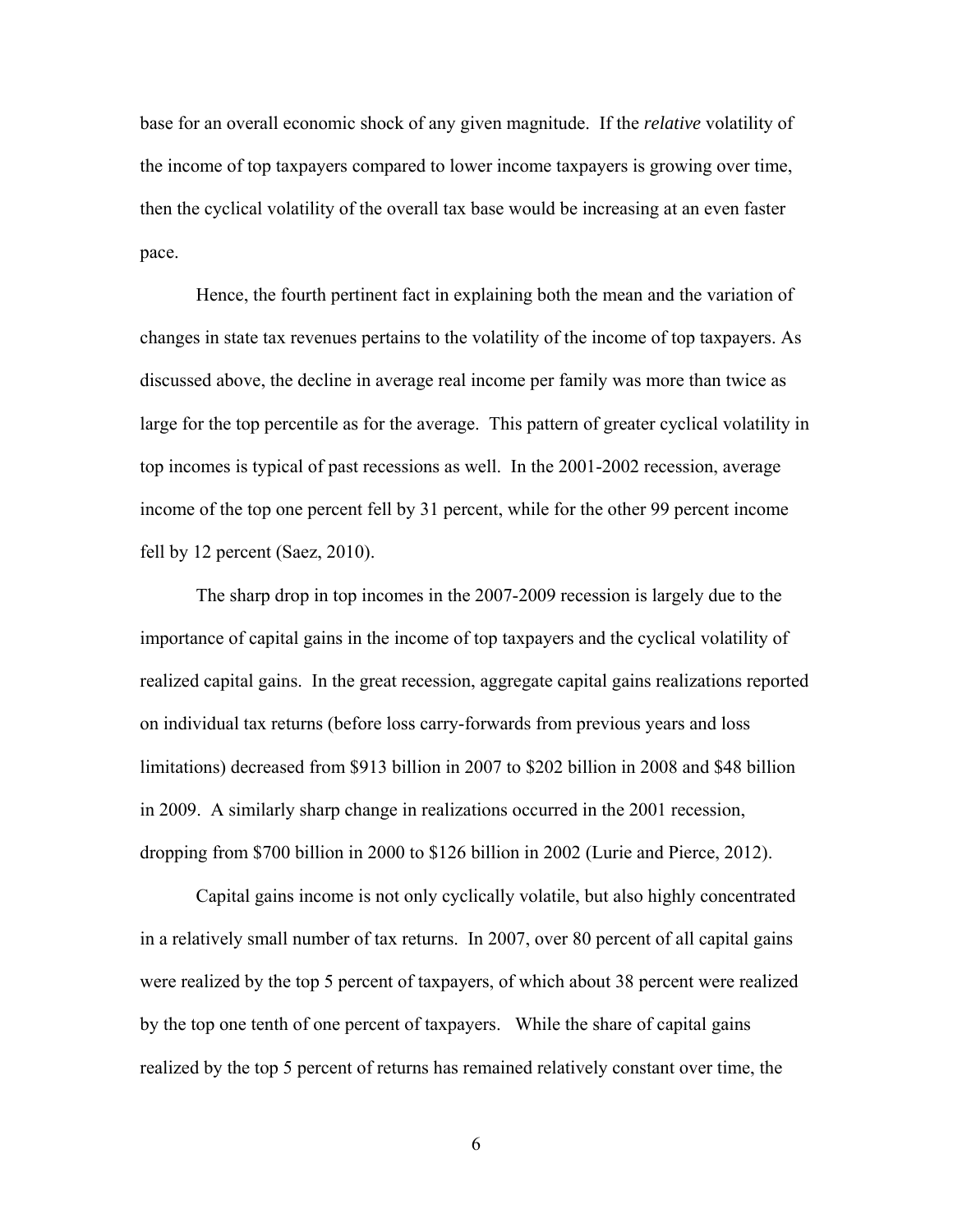base for an overall economic shock of any given magnitude. If the *relative* volatility of the income of top taxpayers compared to lower income taxpayers is growing over time, then the cyclical volatility of the overall tax base would be increasing at an even faster pace.

Hence, the fourth pertinent fact in explaining both the mean and the variation of changes in state tax revenues pertains to the volatility of the income of top taxpayers. As discussed above, the decline in average real income per family was more than twice as large for the top percentile as for the average. This pattern of greater cyclical volatility in top incomes is typical of past recessions as well. In the 2001-2002 recession, average income of the top one percent fell by 31 percent, while for the other 99 percent income fell by 12 percent (Saez, 2010).

The sharp drop in top incomes in the 2007-2009 recession is largely due to the importance of capital gains in the income of top taxpayers and the cyclical volatility of realized capital gains. In the great recession, aggregate capital gains realizations reported on individual tax returns (before loss carry-forwards from previous years and loss limitations) decreased from \$913 billion in 2007 to \$202 billion in 2008 and \$48 billion in 2009. A similarly sharp change in realizations occurred in the 2001 recession, dropping from \$700 billion in 2000 to \$126 billion in 2002 (Lurie and Pierce, 2012).

Capital gains income is not only cyclically volatile, but also highly concentrated in a relatively small number of tax returns. In 2007, over 80 percent of all capital gains were realized by the top 5 percent of taxpayers, of which about 38 percent were realized by the top one tenth of one percent of taxpayers. While the share of capital gains realized by the top 5 percent of returns has remained relatively constant over time, the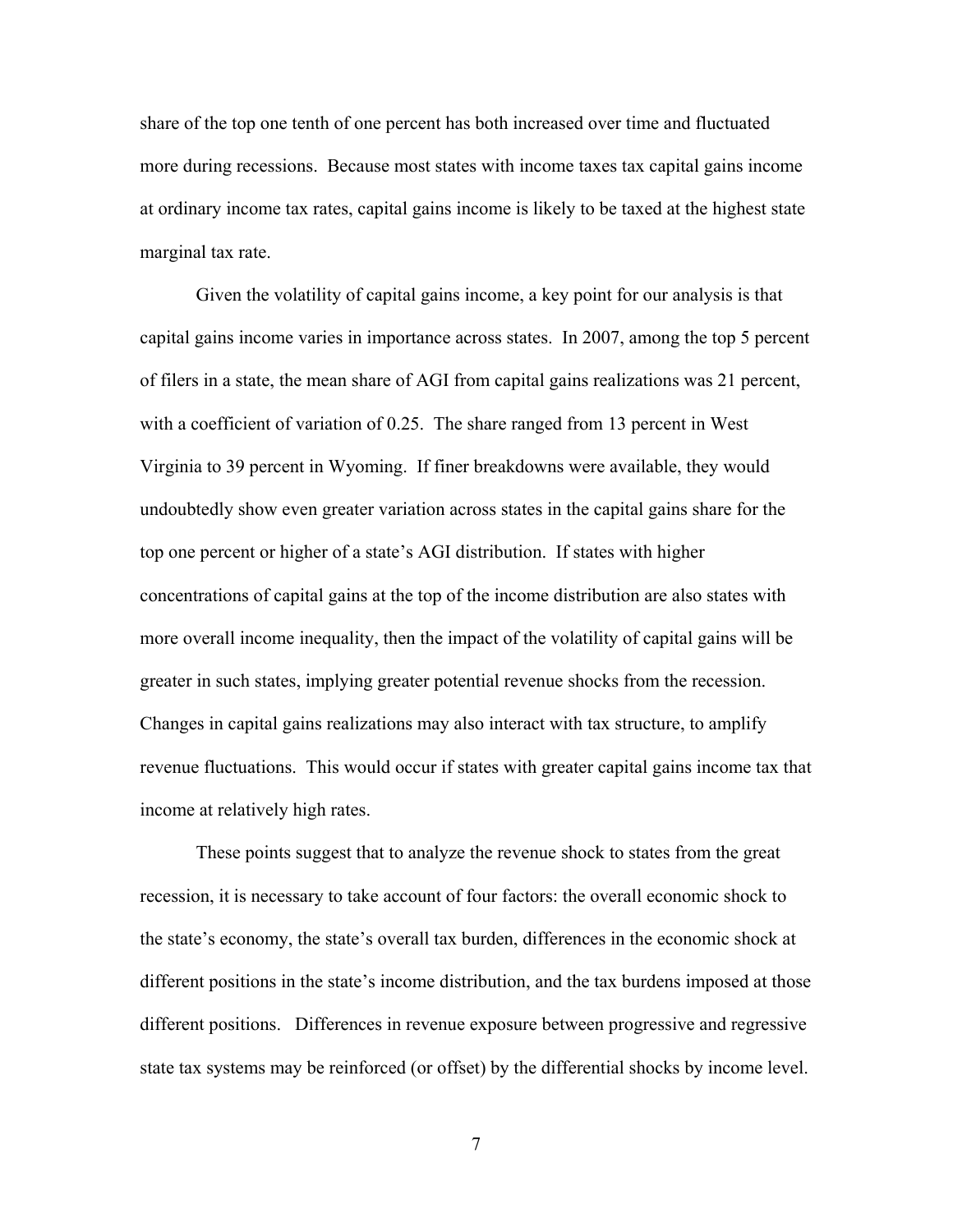share of the top one tenth of one percent has both increased over time and fluctuated more during recessions. Because most states with income taxes tax capital gains income at ordinary income tax rates, capital gains income is likely to be taxed at the highest state marginal tax rate.

Given the volatility of capital gains income, a key point for our analysis is that capital gains income varies in importance across states. In 2007, among the top 5 percent of filers in a state, the mean share of AGI from capital gains realizations was 21 percent, with a coefficient of variation of 0.25. The share ranged from 13 percent in West Virginia to 39 percent in Wyoming. If finer breakdowns were available, they would undoubtedly show even greater variation across states in the capital gains share for the top one percent or higher of a state's AGI distribution. If states with higher concentrations of capital gains at the top of the income distribution are also states with more overall income inequality, then the impact of the volatility of capital gains will be greater in such states, implying greater potential revenue shocks from the recession. Changes in capital gains realizations may also interact with tax structure, to amplify revenue fluctuations. This would occur if states with greater capital gains income tax that income at relatively high rates.

These points suggest that to analyze the revenue shock to states from the great recession, it is necessary to take account of four factors: the overall economic shock to the state's economy, the state's overall tax burden, differences in the economic shock at different positions in the state's income distribution, and the tax burdens imposed at those different positions. Differences in revenue exposure between progressive and regressive state tax systems may be reinforced (or offset) by the differential shocks by income level.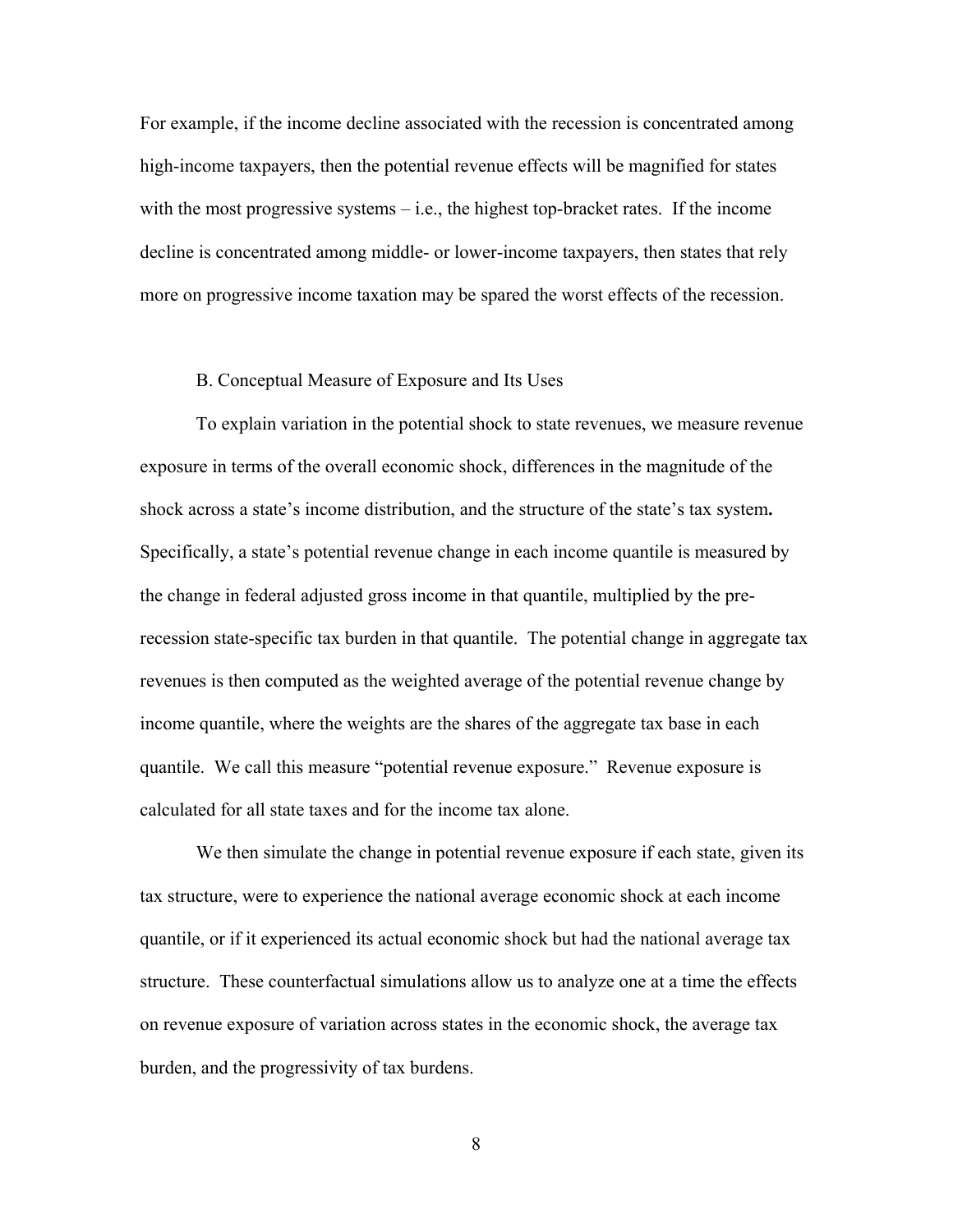For example, if the income decline associated with the recession is concentrated among high-income taxpayers, then the potential revenue effects will be magnified for states with the most progressive systems  $-$  i.e., the highest top-bracket rates. If the income decline is concentrated among middle- or lower-income taxpayers, then states that rely more on progressive income taxation may be spared the worst effects of the recession.

### B. Conceptual Measure of Exposure and Its Uses

To explain variation in the potential shock to state revenues, we measure revenue exposure in terms of the overall economic shock, differences in the magnitude of the shock across a state's income distribution, and the structure of the state's tax system**.** Specifically, a state's potential revenue change in each income quantile is measured by the change in federal adjusted gross income in that quantile, multiplied by the prerecession state-specific tax burden in that quantile. The potential change in aggregate tax revenues is then computed as the weighted average of the potential revenue change by income quantile, where the weights are the shares of the aggregate tax base in each quantile. We call this measure "potential revenue exposure." Revenue exposure is calculated for all state taxes and for the income tax alone.

We then simulate the change in potential revenue exposure if each state, given its tax structure, were to experience the national average economic shock at each income quantile, or if it experienced its actual economic shock but had the national average tax structure. These counterfactual simulations allow us to analyze one at a time the effects on revenue exposure of variation across states in the economic shock, the average tax burden, and the progressivity of tax burdens.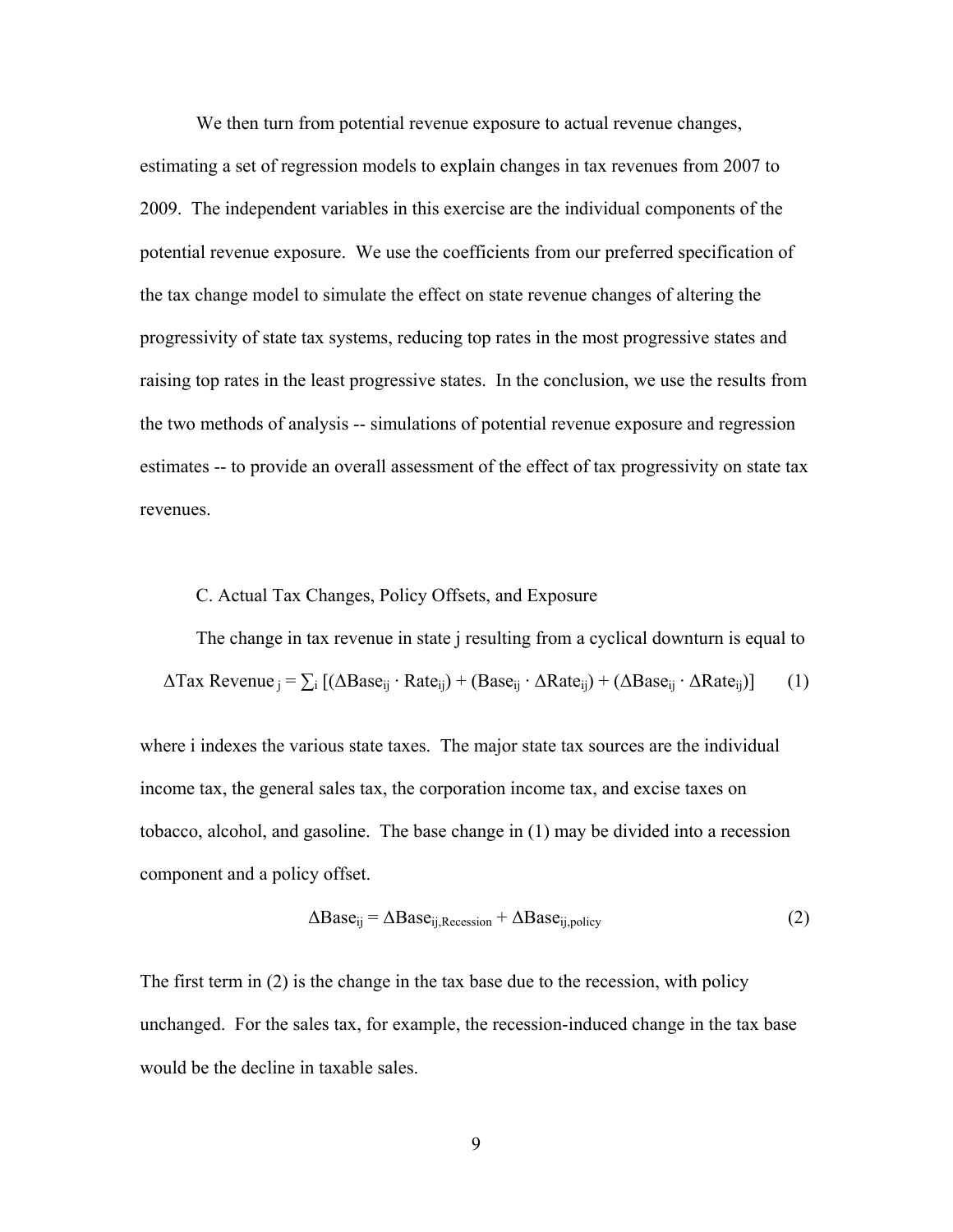We then turn from potential revenue exposure to actual revenue changes, estimating a set of regression models to explain changes in tax revenues from 2007 to 2009. The independent variables in this exercise are the individual components of the potential revenue exposure. We use the coefficients from our preferred specification of the tax change model to simulate the effect on state revenue changes of altering the progressivity of state tax systems, reducing top rates in the most progressive states and raising top rates in the least progressive states. In the conclusion, we use the results from the two methods of analysis -- simulations of potential revenue exposure and regression estimates -- to provide an overall assessment of the effect of tax progressivity on state tax revenues.

#### C. Actual Tax Changes, Policy Offsets, and Exposure

The change in tax revenue in state j resulting from a cyclical downturn is equal to  $\Delta$ Tax Revenue  $_{i} = \sum_{i} [(\Delta Base_{ij} \cdot Rate_{ij}) + (Base_{ij} \cdot \Delta Rate_{ij}) + (\Delta Base_{ij} \cdot \Delta Rate_{ij})]$  (1)

where i indexes the various state taxes. The major state tax sources are the individual income tax, the general sales tax, the corporation income tax, and excise taxes on tobacco, alcohol, and gasoline. The base change in (1) may be divided into a recession component and a policy offset.

$$
\Delta \text{Base}_{ij} = \Delta \text{Base}_{ij, \text{Recession}} + \Delta \text{Base}_{ij, \text{policy}} \tag{2}
$$

The first term in (2) is the change in the tax base due to the recession, with policy unchanged. For the sales tax, for example, the recession-induced change in the tax base would be the decline in taxable sales.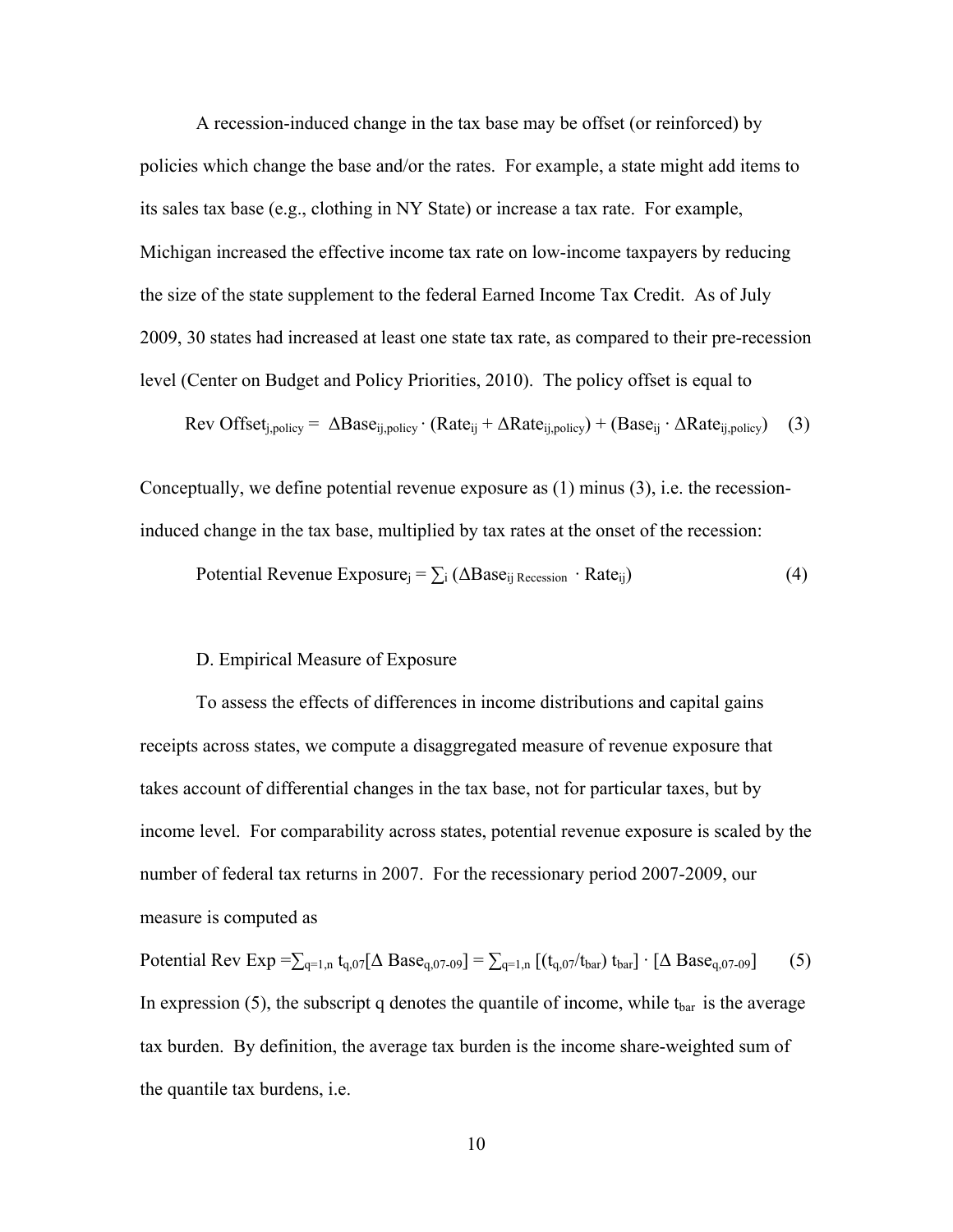A recession-induced change in the tax base may be offset (or reinforced) by policies which change the base and/or the rates. For example, a state might add items to its sales tax base (e.g., clothing in NY State) or increase a tax rate. For example, Michigan increased the effective income tax rate on low-income taxpayers by reducing the size of the state supplement to the federal Earned Income Tax Credit. As of July 2009, 30 states had increased at least one state tax rate, as compared to their pre-recession level (Center on Budget and Policy Priorities, 2010). The policy offset is equal to

$$
Rev Offset_{i, policy} = \Delta Base_{i, policy} \cdot (Rate_{i} + \Delta Rate_{i, policy}) + (Base_{i} \cdot \Delta Rate_{i, policy}) \quad (3)
$$

Conceptually, we define potential revenue exposure as (1) minus (3), i.e. the recessioninduced change in the tax base, multiplied by tax rates at the onset of the recession:

Potential Revenue Exposure<sub>j</sub> = 
$$
\sum_i (\Delta Base_{ij} \text{Recession} \cdot \text{Rate}_{ij})
$$
 (4)

# D. Empirical Measure of Exposure

To assess the effects of differences in income distributions and capital gains receipts across states, we compute a disaggregated measure of revenue exposure that takes account of differential changes in the tax base, not for particular taxes, but by income level. For comparability across states, potential revenue exposure is scaled by the number of federal tax returns in 2007. For the recessionary period 2007-2009, our measure is computed as

Potential Rev Exp =  $\sum_{q=1,n} t_{q,07} [\Delta \text{Base}_{q,07-09}] = \sum_{q=1,n} [(t_{q,07}/t_{bar}) t_{bar}] \cdot [\Delta \text{Base}_{q,07-09}]$  (5) In expression (5), the subscript q denotes the quantile of income, while  $t_{bar}$  is the average tax burden. By definition, the average tax burden is the income share-weighted sum of the quantile tax burdens, i.e.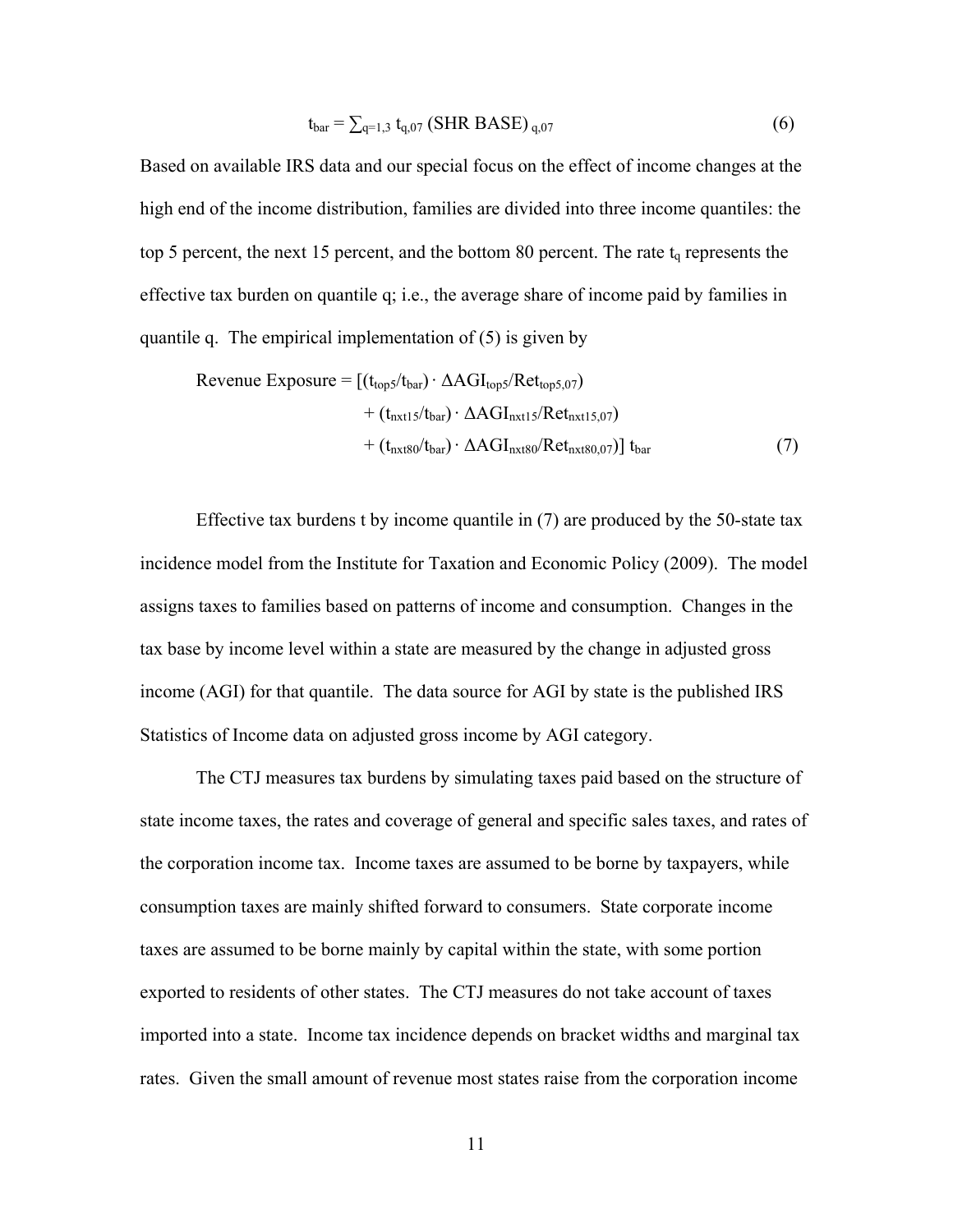$$
t_{bar} = \sum_{q=1,3} t_{q,07} \left( \text{SHR BASE} \right)_{q,07} \tag{6}
$$

Based on available IRS data and our special focus on the effect of income changes at the high end of the income distribution, families are divided into three income quantiles: the top 5 percent, the next 15 percent, and the bottom 80 percent. The rate  $t<sub>q</sub>$  represents the effective tax burden on quantile q; i.e., the average share of income paid by families in quantile q. The empirical implementation of (5) is given by

$$
\text{Revenue Exposure} = \left[ (t_{\text{top5}} / t_{\text{bar}}) \cdot \Delta \text{AGI}_{\text{top5}} / \text{Ret}_{\text{top5},07} \right) + (t_{\text{nxt15}} / t_{\text{bar}}) \cdot \Delta \text{AGI}_{\text{nxt15}} / \text{Ret}_{\text{nxt15},07}) + (t_{\text{nxt80}} / t_{\text{bar}}) \cdot \Delta \text{AGI}_{\text{nxt80}} / \text{Ret}_{\text{nxt80},07}) \right] t_{\text{bar}}
$$
(7)

Effective tax burdens t by income quantile in (7) are produced by the 50-state tax incidence model from the Institute for Taxation and Economic Policy (2009). The model assigns taxes to families based on patterns of income and consumption. Changes in the tax base by income level within a state are measured by the change in adjusted gross income (AGI) for that quantile. The data source for AGI by state is the published IRS Statistics of Income data on adjusted gross income by AGI category.

The CTJ measures tax burdens by simulating taxes paid based on the structure of state income taxes, the rates and coverage of general and specific sales taxes, and rates of the corporation income tax. Income taxes are assumed to be borne by taxpayers, while consumption taxes are mainly shifted forward to consumers. State corporate income taxes are assumed to be borne mainly by capital within the state, with some portion exported to residents of other states. The CTJ measures do not take account of taxes imported into a state. Income tax incidence depends on bracket widths and marginal tax rates. Given the small amount of revenue most states raise from the corporation income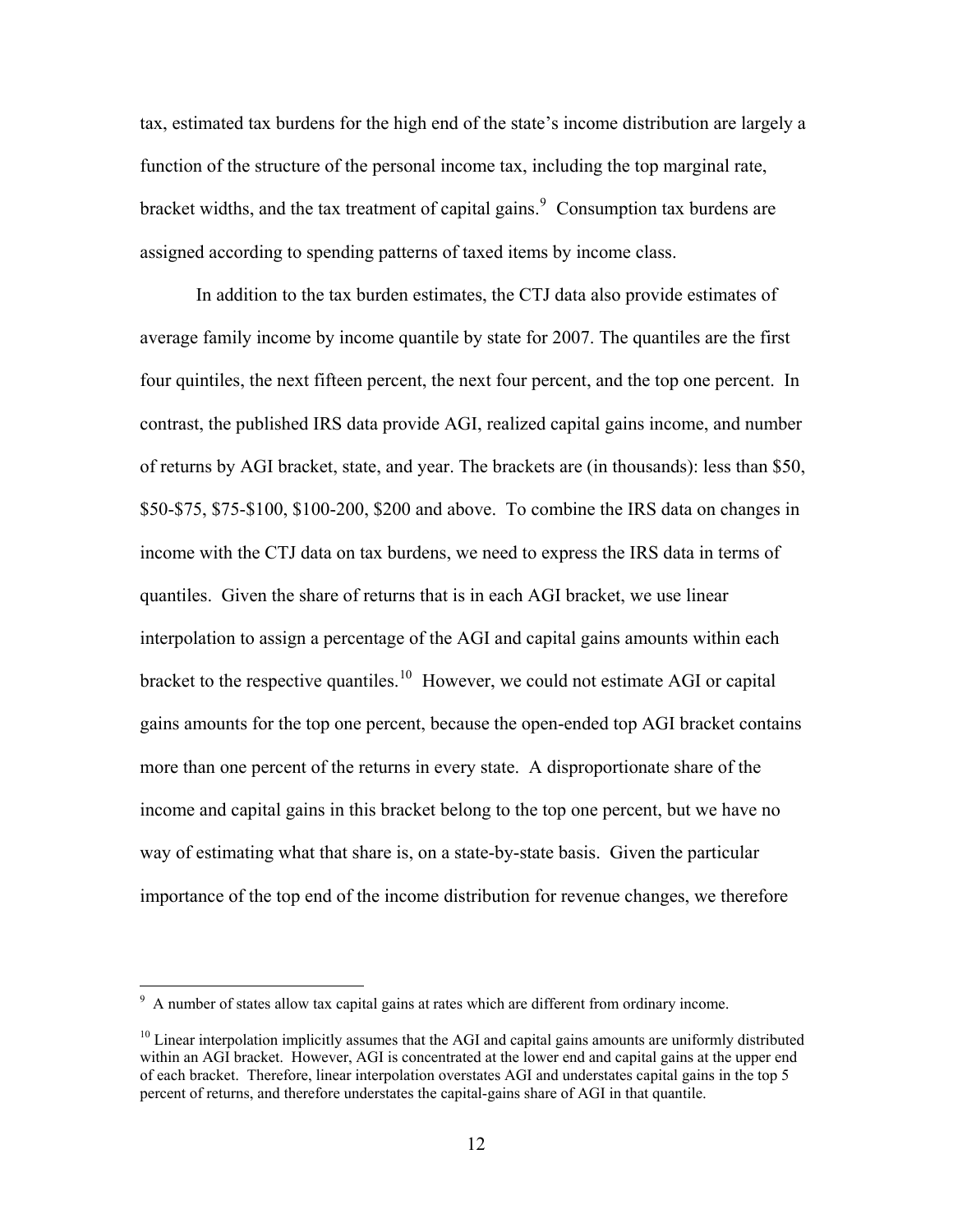tax, estimated tax burdens for the high end of the state's income distribution are largely a function of the structure of the personal income tax, including the top marginal rate, bracket widths, and the tax treatment of capital gains. $\frac{9}{9}$  $\frac{9}{9}$  $\frac{9}{9}$  Consumption tax burdens are assigned according to spending patterns of taxed items by income class.

 In addition to the tax burden estimates, the CTJ data also provide estimates of average family income by income quantile by state for 2007. The quantiles are the first four quintiles, the next fifteen percent, the next four percent, and the top one percent. In contrast, the published IRS data provide AGI, realized capital gains income, and number of returns by AGI bracket, state, and year. The brackets are (in thousands): less than \$50, \$50-\$75, \$75-\$100, \$100-200, \$200 and above. To combine the IRS data on changes in income with the CTJ data on tax burdens, we need to express the IRS data in terms of quantiles. Given the share of returns that is in each AGI bracket, we use linear interpolation to assign a percentage of the AGI and capital gains amounts within each bracket to the respective quantiles.<sup>[10](#page-13-1)</sup> However, we could not estimate AGI or capital gains amounts for the top one percent, because the open-ended top AGI bracket contains more than one percent of the returns in every state. A disproportionate share of the income and capital gains in this bracket belong to the top one percent, but we have no way of estimating what that share is, on a state-by-state basis. Given the particular importance of the top end of the income distribution for revenue changes, we therefore

<u>.</u>

<span id="page-13-0"></span> $9<sup>9</sup>$  A number of states allow tax capital gains at rates which are different from ordinary income.

<span id="page-13-1"></span> $10$  Linear interpolation implicitly assumes that the AGI and capital gains amounts are uniformly distributed within an AGI bracket. However, AGI is concentrated at the lower end and capital gains at the upper end of each bracket. Therefore, linear interpolation overstates AGI and understates capital gains in the top 5 percent of returns, and therefore understates the capital-gains share of AGI in that quantile.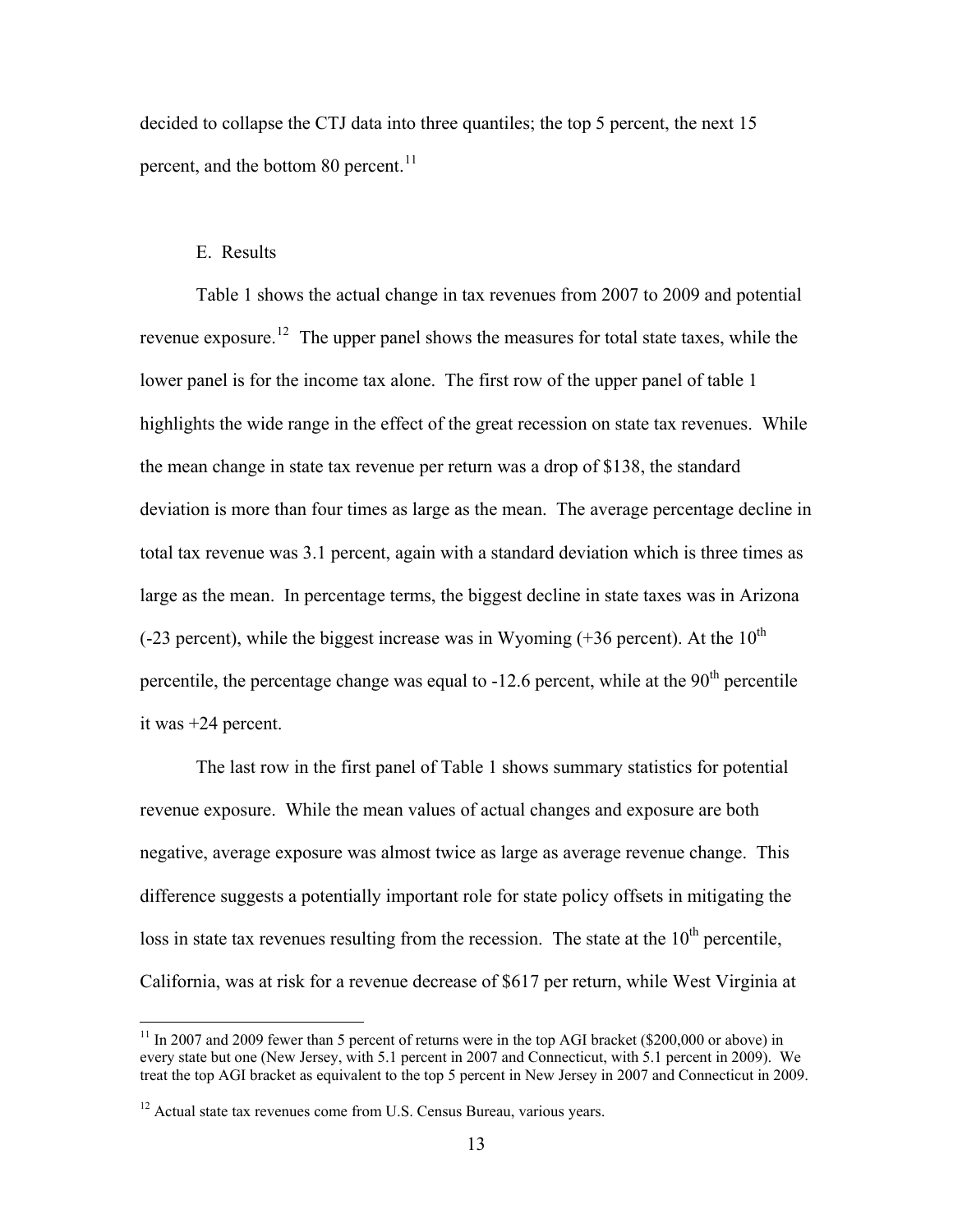decided to collapse the CTJ data into three quantiles; the top 5 percent, the next 15 percent, and the bottom 80 percent.<sup>[11](#page-14-0)</sup>

## E. Results

 $\overline{a}$ 

Table 1 shows the actual change in tax revenues from 2007 to 2009 and potential revenue exposure.<sup>[12](#page-14-1)</sup> The upper panel shows the measures for total state taxes, while the lower panel is for the income tax alone. The first row of the upper panel of table 1 highlights the wide range in the effect of the great recession on state tax revenues. While the mean change in state tax revenue per return was a drop of \$138, the standard deviation is more than four times as large as the mean. The average percentage decline in total tax revenue was 3.1 percent, again with a standard deviation which is three times as large as the mean. In percentage terms, the biggest decline in state taxes was in Arizona  $(-23$  percent), while the biggest increase was in Wyoming  $(+36$  percent). At the  $10<sup>th</sup>$ percentile, the percentage change was equal to  $-12.6$  percent, while at the  $90<sup>th</sup>$  percentile it was +24 percent.

The last row in the first panel of Table 1 shows summary statistics for potential revenue exposure. While the mean values of actual changes and exposure are both negative, average exposure was almost twice as large as average revenue change. This difference suggests a potentially important role for state policy offsets in mitigating the loss in state tax revenues resulting from the recession. The state at the  $10<sup>th</sup>$  percentile, California, was at risk for a revenue decrease of \$617 per return, while West Virginia at

<span id="page-14-0"></span> $11$  In 2007 and 2009 fewer than 5 percent of returns were in the top AGI bracket (\$200,000 or above) in every state but one (New Jersey, with 5.1 percent in 2007 and Connecticut, with 5.1 percent in 2009). We treat the top AGI bracket as equivalent to the top 5 percent in New Jersey in 2007 and Connecticut in 2009.

<span id="page-14-1"></span><sup>&</sup>lt;sup>12</sup> Actual state tax revenues come from U.S. Census Bureau, various years.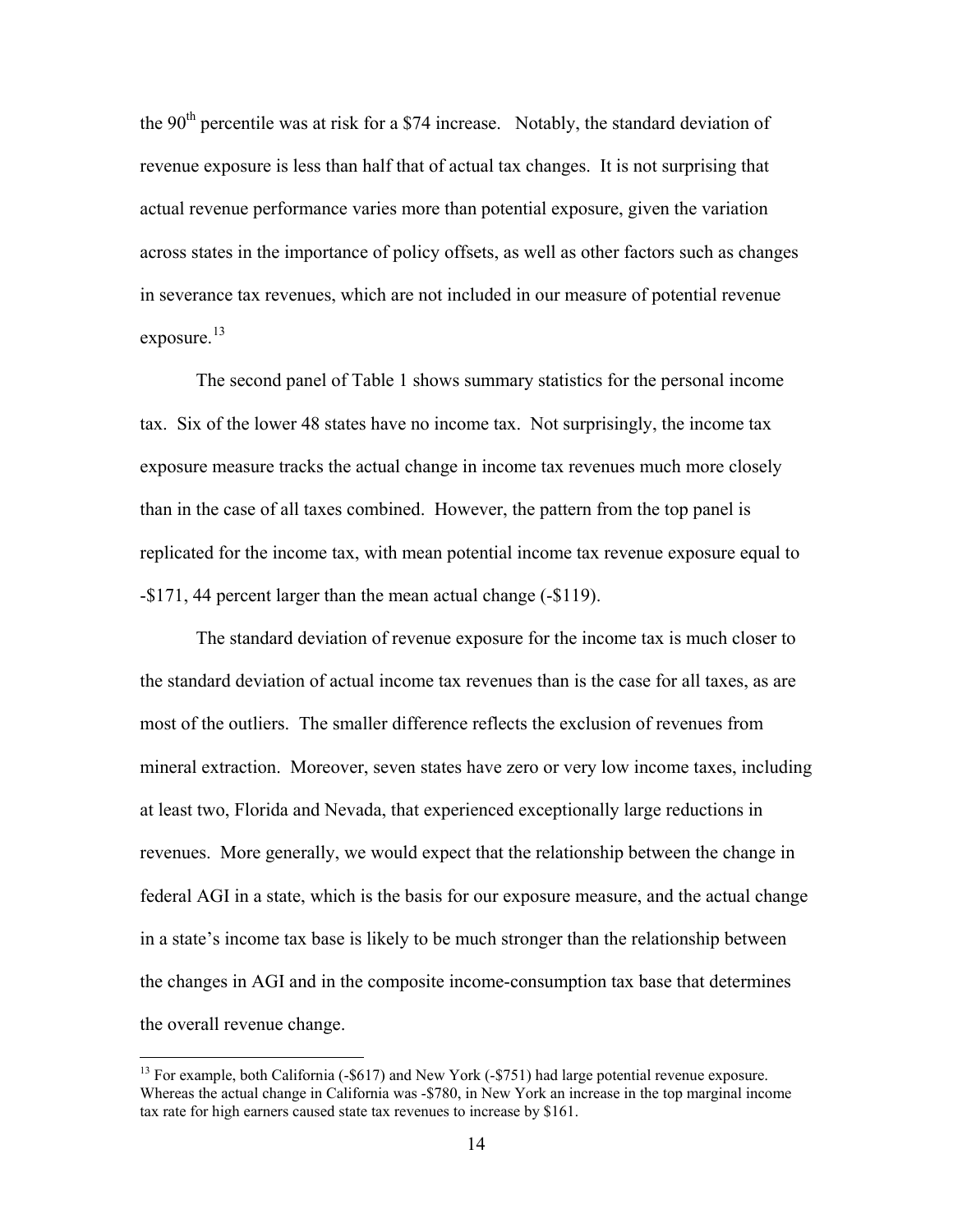the 90<sup>th</sup> percentile was at risk for a \$74 increase. Notably, the standard deviation of revenue exposure is less than half that of actual tax changes. It is not surprising that actual revenue performance varies more than potential exposure, given the variation across states in the importance of policy offsets, as well as other factors such as changes in severance tax revenues, which are not included in our measure of potential revenue exposure.<sup>[13](#page-15-0)</sup>

The second panel of Table 1 shows summary statistics for the personal income tax. Six of the lower 48 states have no income tax. Not surprisingly, the income tax exposure measure tracks the actual change in income tax revenues much more closely than in the case of all taxes combined. However, the pattern from the top panel is replicated for the income tax, with mean potential income tax revenue exposure equal to -\$171, 44 percent larger than the mean actual change (-\$119).

The standard deviation of revenue exposure for the income tax is much closer to the standard deviation of actual income tax revenues than is the case for all taxes, as are most of the outliers. The smaller difference reflects the exclusion of revenues from mineral extraction. Moreover, seven states have zero or very low income taxes, including at least two, Florida and Nevada, that experienced exceptionally large reductions in revenues. More generally, we would expect that the relationship between the change in federal AGI in a state, which is the basis for our exposure measure, and the actual change in a state's income tax base is likely to be much stronger than the relationship between the changes in AGI and in the composite income-consumption tax base that determines the overall revenue change.

<span id="page-15-0"></span><sup>&</sup>lt;sup>13</sup> For example, both California (-\$617) and New York (-\$751) had large potential revenue exposure. Whereas the actual change in California was -\$780, in New York an increase in the top marginal income tax rate for high earners caused state tax revenues to increase by \$161.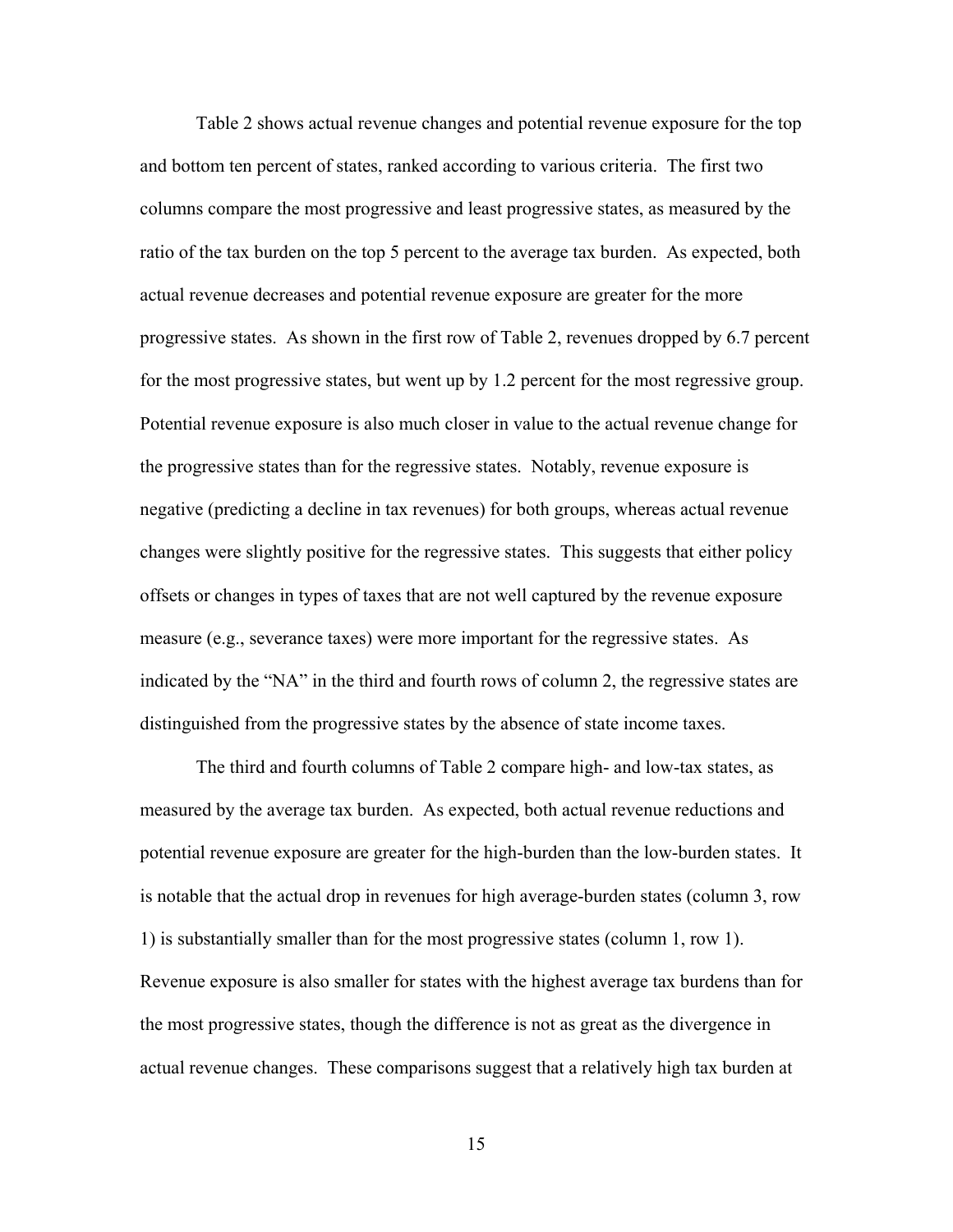Table 2 shows actual revenue changes and potential revenue exposure for the top and bottom ten percent of states, ranked according to various criteria. The first two columns compare the most progressive and least progressive states, as measured by the ratio of the tax burden on the top 5 percent to the average tax burden. As expected, both actual revenue decreases and potential revenue exposure are greater for the more progressive states. As shown in the first row of Table 2, revenues dropped by 6.7 percent for the most progressive states, but went up by 1.2 percent for the most regressive group. Potential revenue exposure is also much closer in value to the actual revenue change for the progressive states than for the regressive states. Notably, revenue exposure is negative (predicting a decline in tax revenues) for both groups, whereas actual revenue changes were slightly positive for the regressive states. This suggests that either policy offsets or changes in types of taxes that are not well captured by the revenue exposure measure (e.g., severance taxes) were more important for the regressive states. As indicated by the "NA" in the third and fourth rows of column 2, the regressive states are distinguished from the progressive states by the absence of state income taxes.

 The third and fourth columns of Table 2 compare high- and low-tax states, as measured by the average tax burden. As expected, both actual revenue reductions and potential revenue exposure are greater for the high-burden than the low-burden states. It is notable that the actual drop in revenues for high average-burden states (column 3, row 1) is substantially smaller than for the most progressive states (column 1, row 1). Revenue exposure is also smaller for states with the highest average tax burdens than for the most progressive states, though the difference is not as great as the divergence in actual revenue changes. These comparisons suggest that a relatively high tax burden at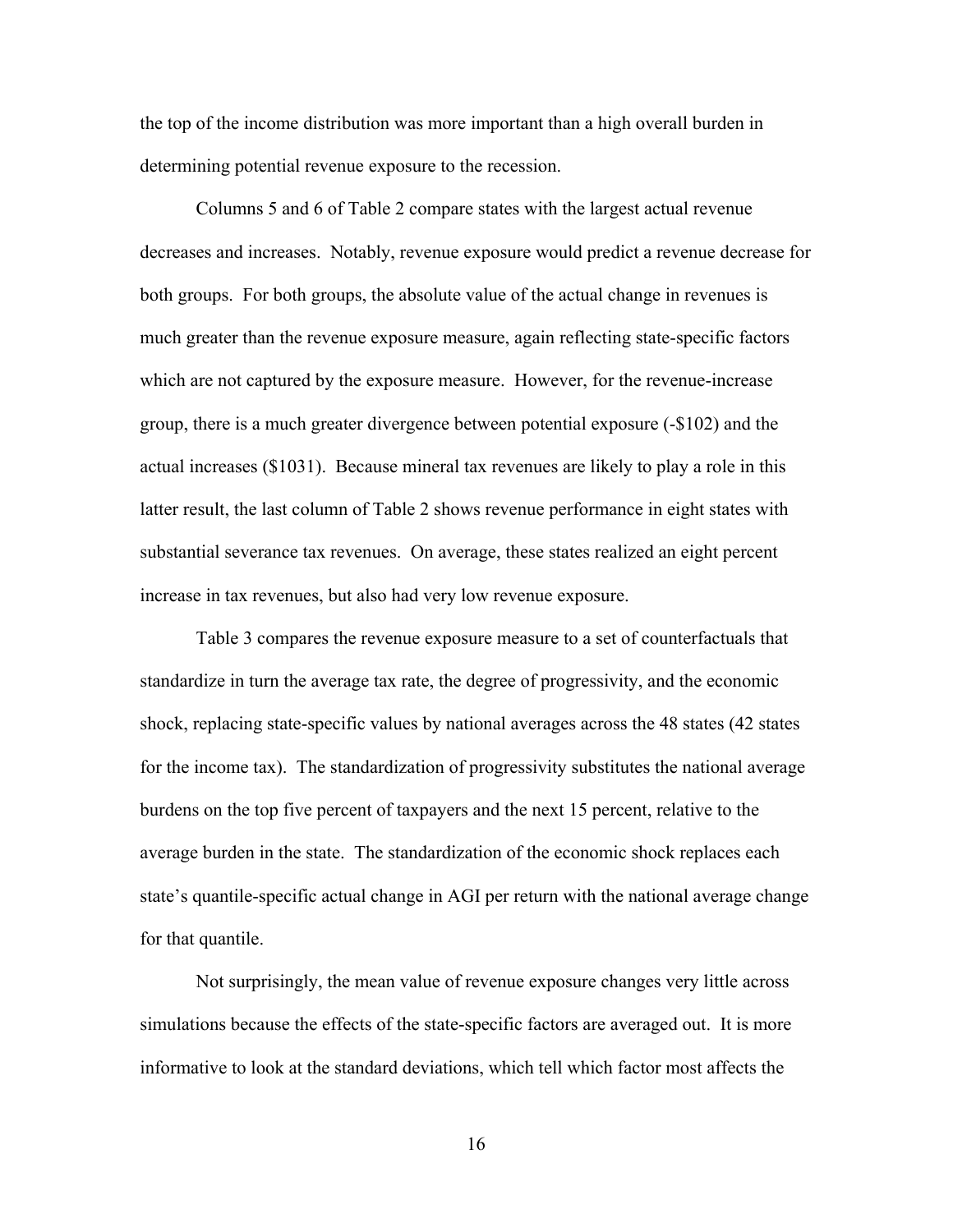the top of the income distribution was more important than a high overall burden in determining potential revenue exposure to the recession.

 Columns 5 and 6 of Table 2 compare states with the largest actual revenue decreases and increases. Notably, revenue exposure would predict a revenue decrease for both groups. For both groups, the absolute value of the actual change in revenues is much greater than the revenue exposure measure, again reflecting state-specific factors which are not captured by the exposure measure. However, for the revenue-increase group, there is a much greater divergence between potential exposure (-\$102) and the actual increases (\$1031). Because mineral tax revenues are likely to play a role in this latter result, the last column of Table 2 shows revenue performance in eight states with substantial severance tax revenues. On average, these states realized an eight percent increase in tax revenues, but also had very low revenue exposure.

 Table 3 compares the revenue exposure measure to a set of counterfactuals that standardize in turn the average tax rate, the degree of progressivity, and the economic shock, replacing state-specific values by national averages across the 48 states (42 states for the income tax). The standardization of progressivity substitutes the national average burdens on the top five percent of taxpayers and the next 15 percent, relative to the average burden in the state. The standardization of the economic shock replaces each state's quantile-specific actual change in AGI per return with the national average change for that quantile.

 Not surprisingly, the mean value of revenue exposure changes very little across simulations because the effects of the state-specific factors are averaged out. It is more informative to look at the standard deviations, which tell which factor most affects the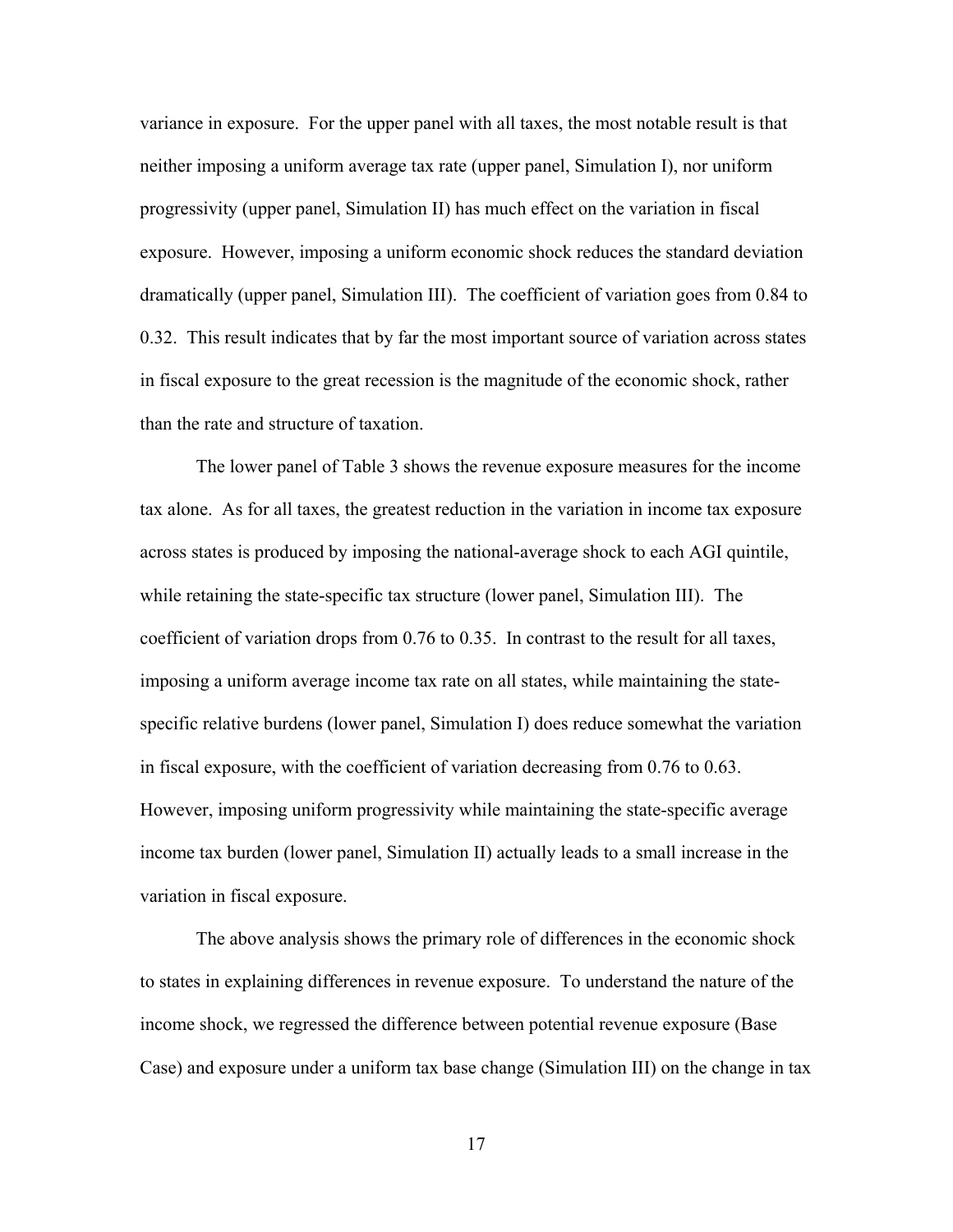variance in exposure. For the upper panel with all taxes, the most notable result is that neither imposing a uniform average tax rate (upper panel, Simulation I), nor uniform progressivity (upper panel, Simulation II) has much effect on the variation in fiscal exposure. However, imposing a uniform economic shock reduces the standard deviation dramatically (upper panel, Simulation III). The coefficient of variation goes from 0.84 to 0.32. This result indicates that by far the most important source of variation across states in fiscal exposure to the great recession is the magnitude of the economic shock, rather than the rate and structure of taxation.

 The lower panel of Table 3 shows the revenue exposure measures for the income tax alone. As for all taxes, the greatest reduction in the variation in income tax exposure across states is produced by imposing the national-average shock to each AGI quintile, while retaining the state-specific tax structure (lower panel, Simulation III). The coefficient of variation drops from 0.76 to 0.35. In contrast to the result for all taxes, imposing a uniform average income tax rate on all states, while maintaining the statespecific relative burdens (lower panel, Simulation I) does reduce somewhat the variation in fiscal exposure, with the coefficient of variation decreasing from 0.76 to 0.63. However, imposing uniform progressivity while maintaining the state-specific average income tax burden (lower panel, Simulation II) actually leads to a small increase in the variation in fiscal exposure.

The above analysis shows the primary role of differences in the economic shock to states in explaining differences in revenue exposure. To understand the nature of the income shock, we regressed the difference between potential revenue exposure (Base Case) and exposure under a uniform tax base change (Simulation III) on the change in tax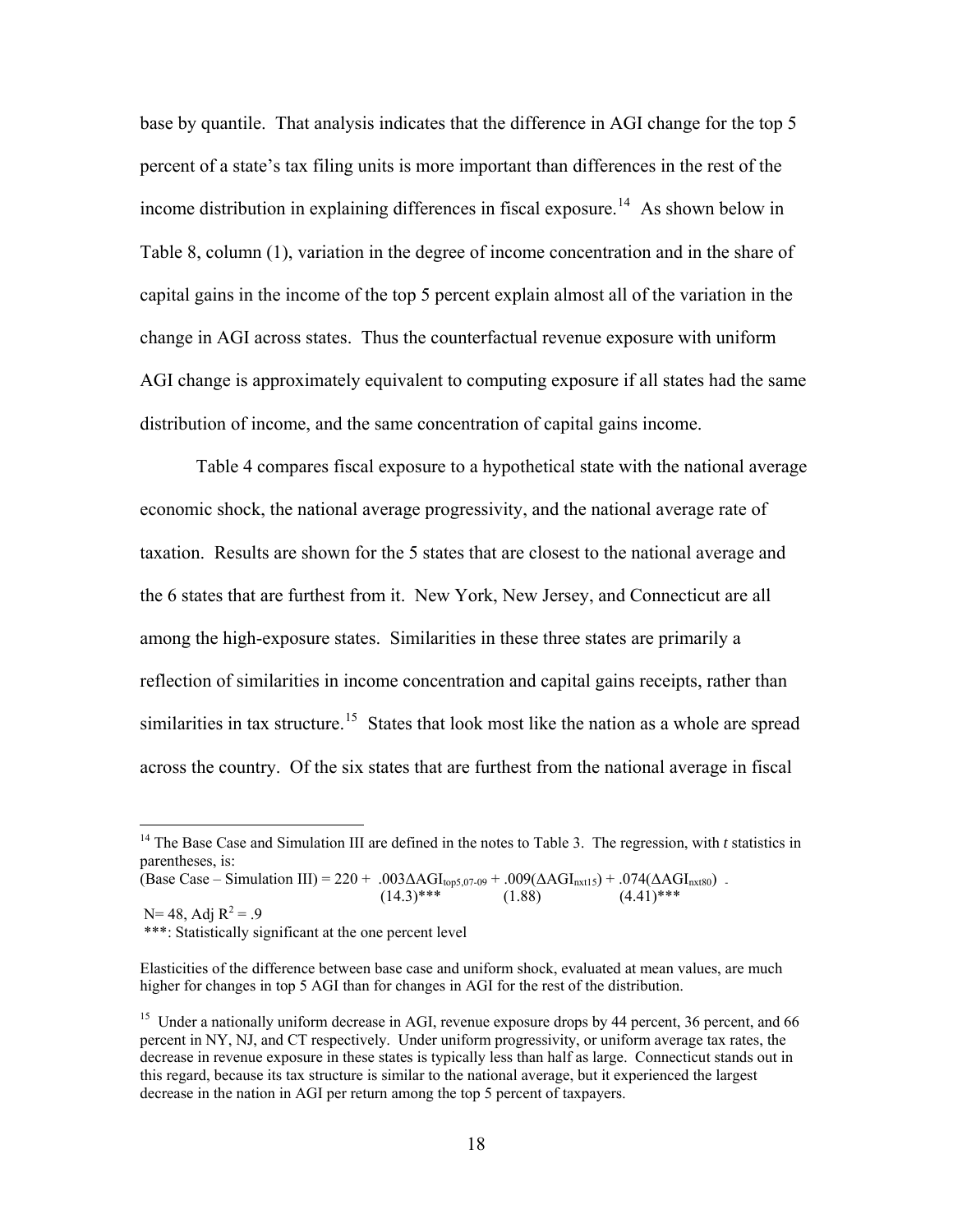base by quantile. That analysis indicates that the difference in AGI change for the top 5 percent of a state's tax filing units is more important than differences in the rest of the income distribution in explaining differences in fiscal exposure.<sup>[14](#page-19-0)</sup> As shown below in Table 8, column (1), variation in the degree of income concentration and in the share of capital gains in the income of the top 5 percent explain almost all of the variation in the change in AGI across states. Thus the counterfactual revenue exposure with uniform AGI change is approximately equivalent to computing exposure if all states had the same distribution of income, and the same concentration of capital gains income.

Table 4 compares fiscal exposure to a hypothetical state with the national average economic shock, the national average progressivity, and the national average rate of taxation. Results are shown for the 5 states that are closest to the national average and the 6 states that are furthest from it. New York, New Jersey, and Connecticut are all among the high-exposure states. Similarities in these three states are primarily a reflection of similarities in income concentration and capital gains receipts, rather than similarities in tax structure.<sup>[15](#page-19-1)</sup> States that look most like the nation as a whole are spread across the country. Of the six states that are furthest from the national average in fiscal

\*\*\*: Statistically significant at the one percent level

 $\overline{a}$ 

<span id="page-19-0"></span><sup>&</sup>lt;sup>14</sup> The Base Case and Simulation III are defined in the notes to Table 3. The regression, with *t* statistics in parentheses, is:

<sup>(</sup>Base Case – Simulation III) = 220 + .003 $\Delta$ AGI<sub>top5,07-09</sub> + .009( $\Delta$ AGI<sub>nxt15</sub>) + .074( $\Delta$ AGI<sub>nxt80</sub>) - (1.38) (4.41)\*\*\* (1.88)  $(14.3)$ \*\*\*  $(1.88)$   $(4.41)$ \*\*\* N= 48, Adj  $R^2 = .9$ 

Elasticities of the difference between base case and uniform shock, evaluated at mean values, are much higher for changes in top 5 AGI than for changes in AGI for the rest of the distribution.

<span id="page-19-1"></span><sup>&</sup>lt;sup>15</sup> Under a nationally uniform decrease in AGI, revenue exposure drops by 44 percent, 36 percent, and 66 percent in NY, NJ, and CT respectively. Under uniform progressivity, or uniform average tax rates, the decrease in revenue exposure in these states is typically less than half as large. Connecticut stands out in this regard, because its tax structure is similar to the national average, but it experienced the largest decrease in the nation in AGI per return among the top 5 percent of taxpayers.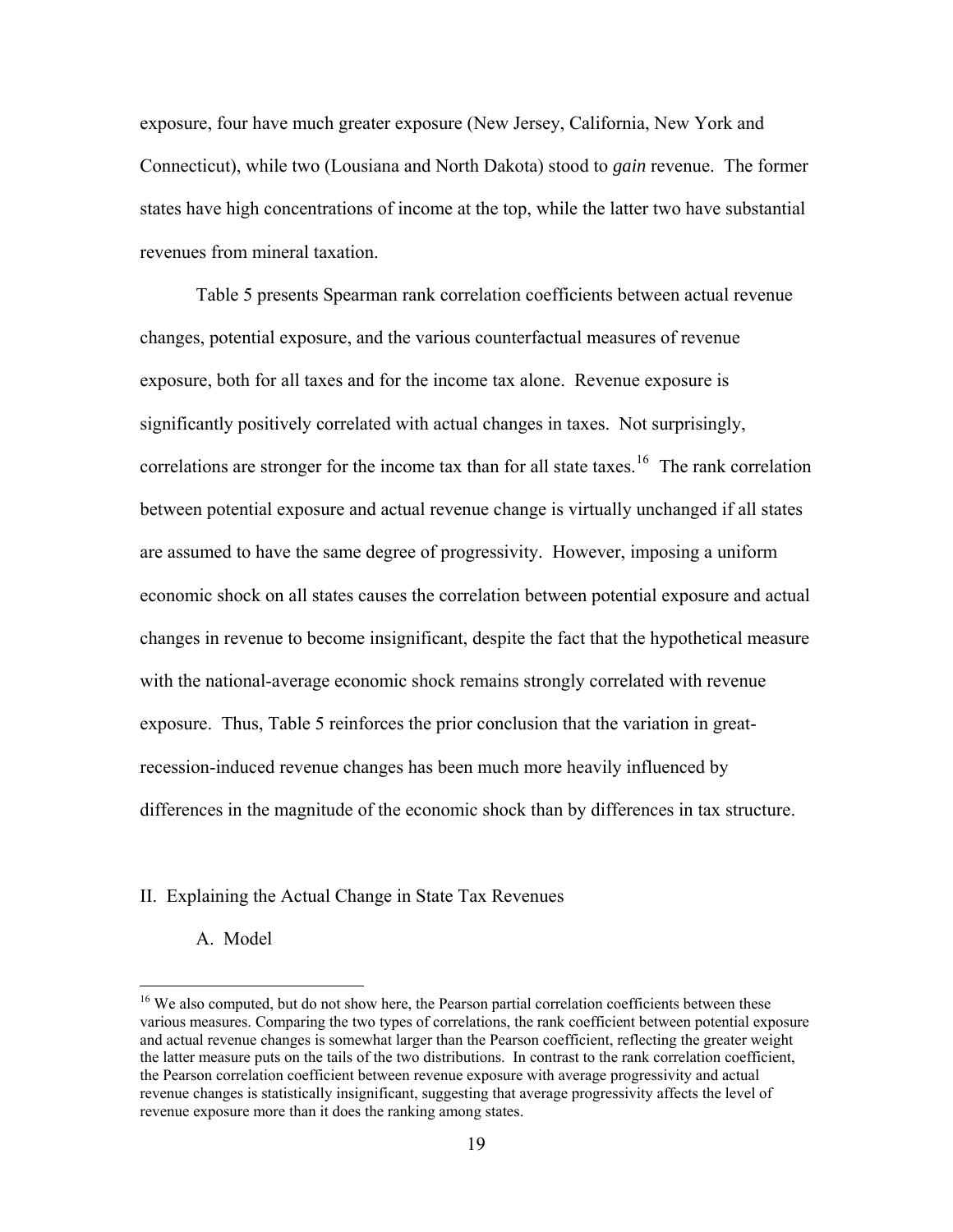exposure, four have much greater exposure (New Jersey, California, New York and Connecticut), while two (Lousiana and North Dakota) stood to *gain* revenue. The former states have high concentrations of income at the top, while the latter two have substantial revenues from mineral taxation.

Table 5 presents Spearman rank correlation coefficients between actual revenue changes, potential exposure, and the various counterfactual measures of revenue exposure, both for all taxes and for the income tax alone. Revenue exposure is significantly positively correlated with actual changes in taxes. Not surprisingly, correlations are stronger for the income tax than for all state taxes.<sup>[16](#page-20-0)</sup> The rank correlation between potential exposure and actual revenue change is virtually unchanged if all states are assumed to have the same degree of progressivity. However, imposing a uniform economic shock on all states causes the correlation between potential exposure and actual changes in revenue to become insignificant, despite the fact that the hypothetical measure with the national-average economic shock remains strongly correlated with revenue exposure. Thus, Table 5 reinforces the prior conclusion that the variation in greatrecession-induced revenue changes has been much more heavily influenced by differences in the magnitude of the economic shock than by differences in tax structure.

### II. Explaining the Actual Change in State Tax Revenues

A. Model

 $\overline{a}$ 

<span id="page-20-0"></span><sup>&</sup>lt;sup>16</sup> We also computed, but do not show here, the Pearson partial correlation coefficients between these various measures. Comparing the two types of correlations, the rank coefficient between potential exposure and actual revenue changes is somewhat larger than the Pearson coefficient, reflecting the greater weight the latter measure puts on the tails of the two distributions. In contrast to the rank correlation coefficient, the Pearson correlation coefficient between revenue exposure with average progressivity and actual revenue changes is statistically insignificant, suggesting that average progressivity affects the level of revenue exposure more than it does the ranking among states.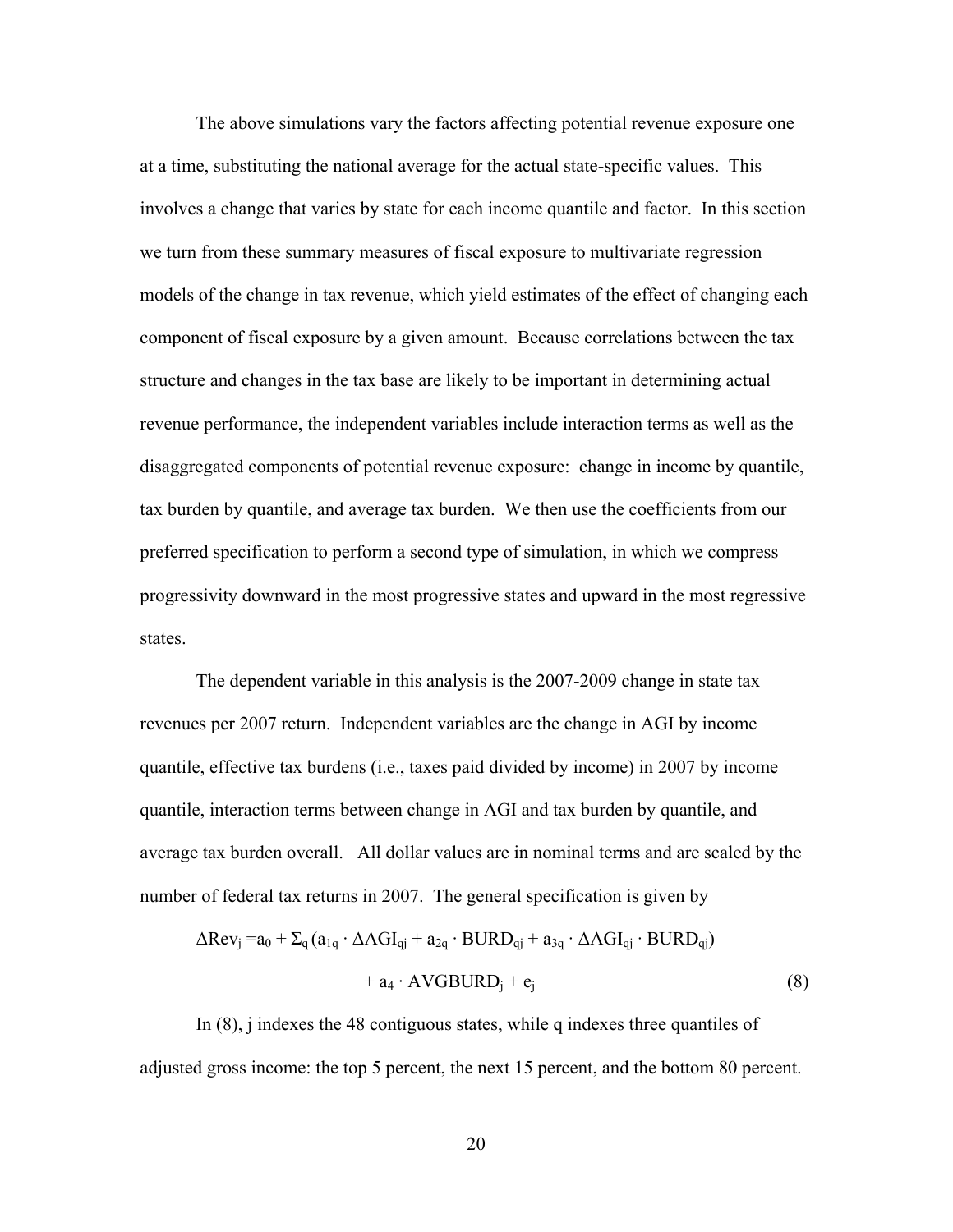The above simulations vary the factors affecting potential revenue exposure one at a time, substituting the national average for the actual state-specific values. This involves a change that varies by state for each income quantile and factor. In this section we turn from these summary measures of fiscal exposure to multivariate regression models of the change in tax revenue, which yield estimates of the effect of changing each component of fiscal exposure by a given amount. Because correlations between the tax structure and changes in the tax base are likely to be important in determining actual revenue performance, the independent variables include interaction terms as well as the disaggregated components of potential revenue exposure: change in income by quantile, tax burden by quantile, and average tax burden. We then use the coefficients from our preferred specification to perform a second type of simulation, in which we compress progressivity downward in the most progressive states and upward in the most regressive states.

The dependent variable in this analysis is the 2007-2009 change in state tax revenues per 2007 return. Independent variables are the change in AGI by income quantile, effective tax burdens (i.e., taxes paid divided by income) in 2007 by income quantile, interaction terms between change in AGI and tax burden by quantile, and average tax burden overall. All dollar values are in nominal terms and are scaled by the number of federal tax returns in 2007. The general specification is given by

$$
\Delta \text{Rev}_j = a_0 + \Sigma_q (a_{1q} \cdot \Delta \text{AGI}_{qj} + a_{2q} \cdot \text{BURD}_{qj} + a_{3q} \cdot \Delta \text{AGI}_{qj} \cdot \text{BURD}_{qj})
$$

$$
+ a_4 \cdot \text{AVGBURD}_j + e_j \tag{8}
$$

 In (8), j indexes the 48 contiguous states, while q indexes three quantiles of adjusted gross income: the top 5 percent, the next 15 percent, and the bottom 80 percent.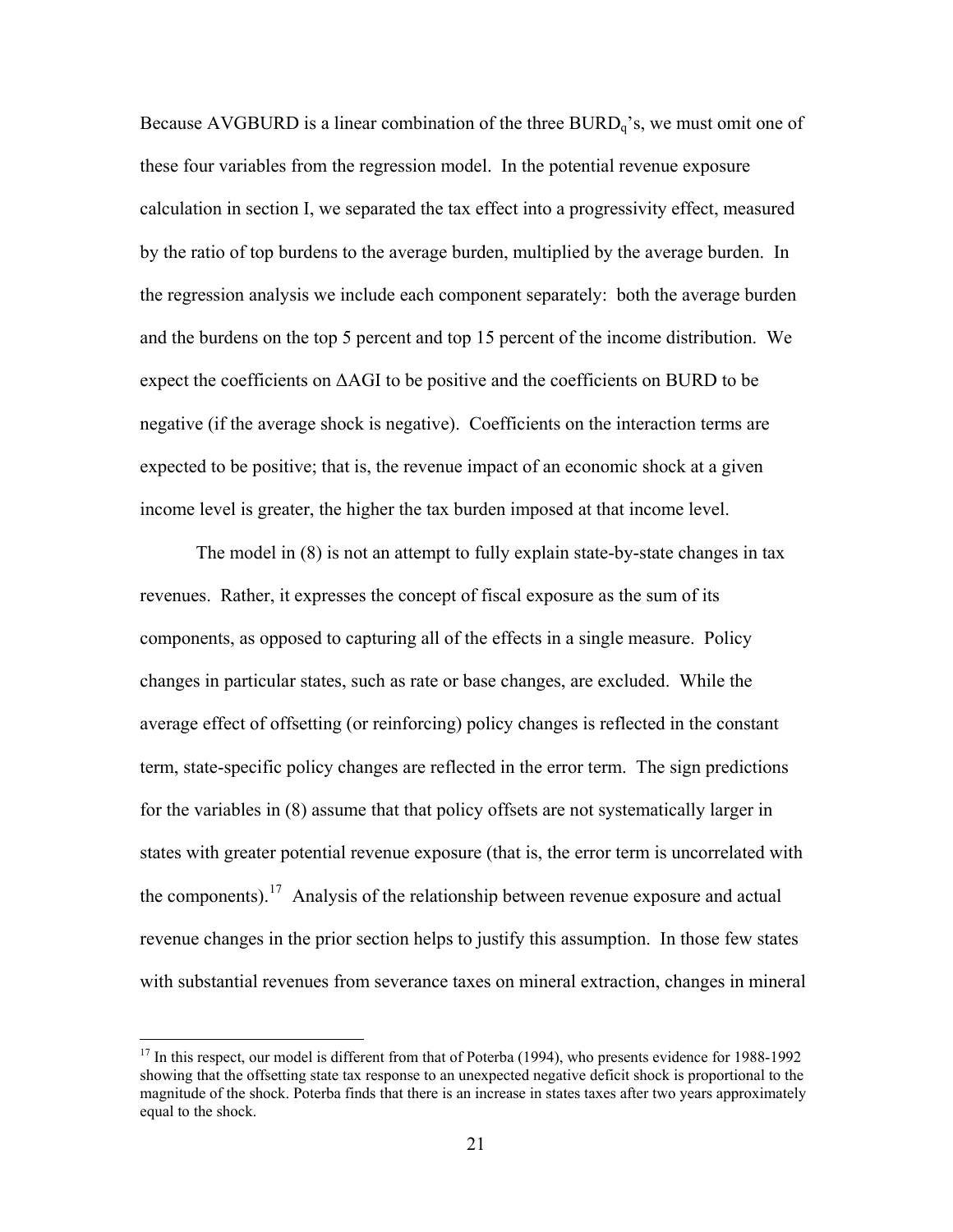Because AVGBURD is a linear combination of the three  $BURD<sub>q</sub>$ 's, we must omit one of these four variables from the regression model. In the potential revenue exposure calculation in section I, we separated the tax effect into a progressivity effect, measured by the ratio of top burdens to the average burden, multiplied by the average burden. In the regression analysis we include each component separately: both the average burden and the burdens on the top 5 percent and top 15 percent of the income distribution. We expect the coefficients on  $\Delta$ AGI to be positive and the coefficients on BURD to be negative (if the average shock is negative). Coefficients on the interaction terms are expected to be positive; that is, the revenue impact of an economic shock at a given income level is greater, the higher the tax burden imposed at that income level.

The model in (8) is not an attempt to fully explain state-by-state changes in tax revenues. Rather, it expresses the concept of fiscal exposure as the sum of its components, as opposed to capturing all of the effects in a single measure. Policy changes in particular states, such as rate or base changes, are excluded. While the average effect of offsetting (or reinforcing) policy changes is reflected in the constant term, state-specific policy changes are reflected in the error term. The sign predictions for the variables in (8) assume that that policy offsets are not systematically larger in states with greater potential revenue exposure (that is, the error term is uncorrelated with the components).<sup>[17](#page-22-0)</sup> Analysis of the relationship between revenue exposure and actual revenue changes in the prior section helps to justify this assumption. In those few states with substantial revenues from severance taxes on mineral extraction, changes in mineral

 $\overline{a}$ 

<span id="page-22-0"></span><sup>&</sup>lt;sup>17</sup> In this respect, our model is different from that of Poterba (1994), who presents evidence for 1988-1992 showing that the offsetting state tax response to an unexpected negative deficit shock is proportional to the magnitude of the shock. Poterba finds that there is an increase in states taxes after two years approximately equal to the shock.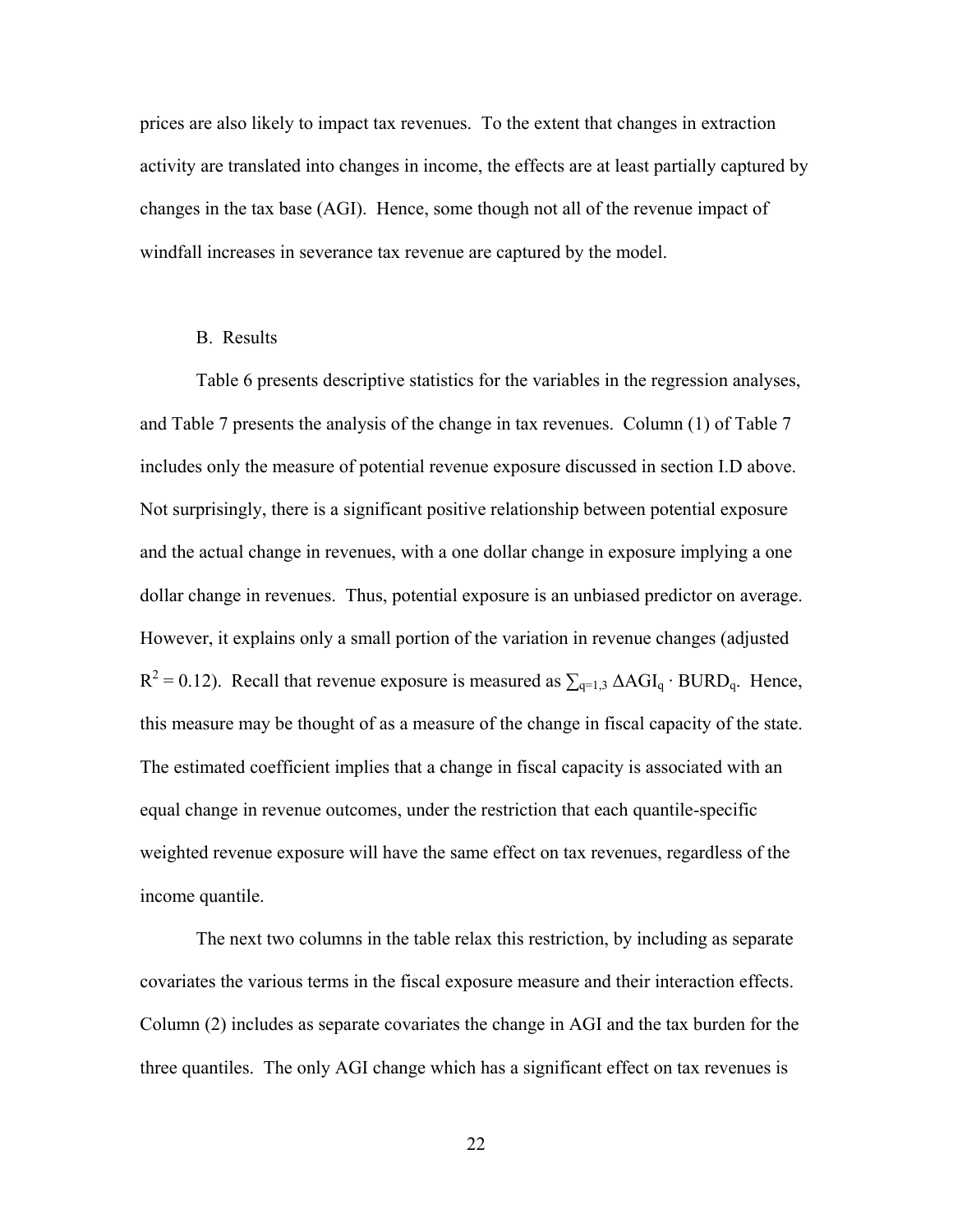prices are also likely to impact tax revenues. To the extent that changes in extraction activity are translated into changes in income, the effects are at least partially captured by changes in the tax base (AGI). Hence, some though not all of the revenue impact of windfall increases in severance tax revenue are captured by the model.

## B. Results

Table 6 presents descriptive statistics for the variables in the regression analyses, and Table 7 presents the analysis of the change in tax revenues. Column (1) of Table 7 includes only the measure of potential revenue exposure discussed in section I.D above. Not surprisingly, there is a significant positive relationship between potential exposure and the actual change in revenues, with a one dollar change in exposure implying a one dollar change in revenues. Thus, potential exposure is an unbiased predictor on average. However, it explains only a small portion of the variation in revenue changes (adjusted  $R^2 = 0.12$ ). Recall that revenue exposure is measured as  $\sum_{q=1,3} \Delta AGI_q \cdot BURD_q$ . Hence, this measure may be thought of as a measure of the change in fiscal capacity of the state. The estimated coefficient implies that a change in fiscal capacity is associated with an equal change in revenue outcomes, under the restriction that each quantile-specific weighted revenue exposure will have the same effect on tax revenues, regardless of the income quantile.

The next two columns in the table relax this restriction, by including as separate covariates the various terms in the fiscal exposure measure and their interaction effects. Column (2) includes as separate covariates the change in AGI and the tax burden for the three quantiles. The only AGI change which has a significant effect on tax revenues is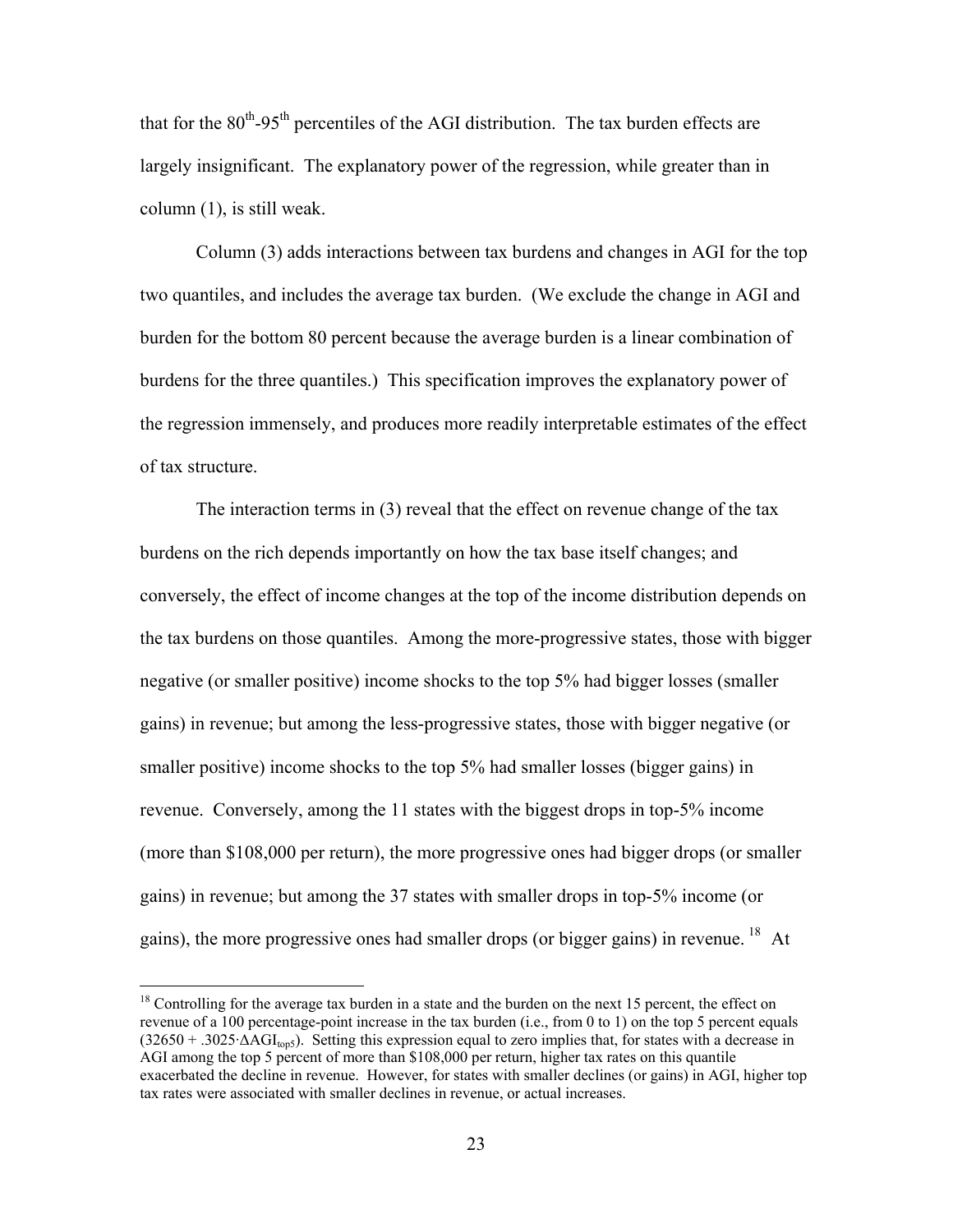that for the  $80<sup>th</sup>$ -95<sup>th</sup> percentiles of the AGI distribution. The tax burden effects are largely insignificant. The explanatory power of the regression, while greater than in column (1), is still weak.

Column (3) adds interactions between tax burdens and changes in AGI for the top two quantiles, and includes the average tax burden. (We exclude the change in AGI and burden for the bottom 80 percent because the average burden is a linear combination of burdens for the three quantiles.) This specification improves the explanatory power of the regression immensely, and produces more readily interpretable estimates of the effect of tax structure.

The interaction terms in (3) reveal that the effect on revenue change of the tax burdens on the rich depends importantly on how the tax base itself changes; and conversely, the effect of income changes at the top of the income distribution depends on the tax burdens on those quantiles. Among the more-progressive states, those with bigger negative (or smaller positive) income shocks to the top 5% had bigger losses (smaller gains) in revenue; but among the less-progressive states, those with bigger negative (or smaller positive) income shocks to the top 5% had smaller losses (bigger gains) in revenue. Conversely, among the 11 states with the biggest drops in top-5% income (more than \$108,000 per return), the more progressive ones had bigger drops (or smaller gains) in revenue; but among the 37 states with smaller drops in top-5% income (or gains), the more progressive ones had smaller drops (or bigger gains) in revenue. <sup>[18](#page-24-0)</sup> At

 $\overline{a}$ 

<span id="page-24-0"></span> $18$  Controlling for the average tax burden in a state and the burden on the next 15 percent, the effect on revenue of a 100 percentage-point increase in the tax burden (i.e., from 0 to 1) on the top 5 percent equals  $(32650 + .3025 \Delta AGI_{\text{top5}})$ . Setting this expression equal to zero implies that, for states with a decrease in AGI among the top 5 percent of more than \$108,000 per return, higher tax rates on this quantile exacerbated the decline in revenue. However, for states with smaller declines (or gains) in AGI, higher top tax rates were associated with smaller declines in revenue, or actual increases.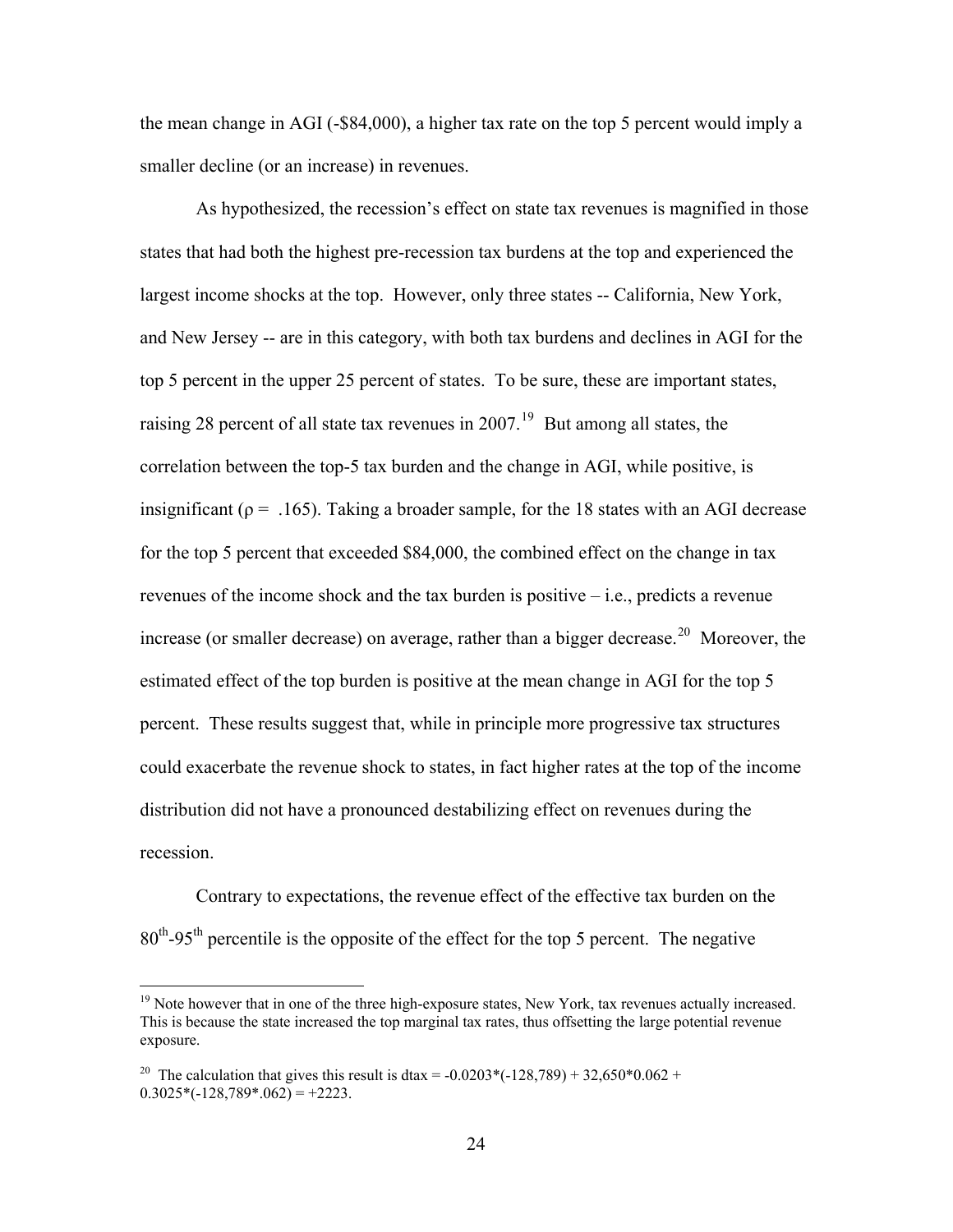the mean change in AGI (-\$84,000), a higher tax rate on the top 5 percent would imply a smaller decline (or an increase) in revenues.

As hypothesized, the recession's effect on state tax revenues is magnified in those states that had both the highest pre-recession tax burdens at the top and experienced the largest income shocks at the top. However, only three states -- California, New York, and New Jersey -- are in this category, with both tax burdens and declines in AGI for the top 5 percent in the upper 25 percent of states. To be sure, these are important states, raising 28 percent of all state tax revenues in  $2007$ .<sup>[19](#page-25-0)</sup> But among all states, the correlation between the top-5 tax burden and the change in AGI, while positive, is insignificant ( $p = .165$ ). Taking a broader sample, for the 18 states with an AGI decrease for the top 5 percent that exceeded \$84,000, the combined effect on the change in tax revenues of the income shock and the tax burden is positive – i.e., predicts a revenue increase (or smaller decrease) on average, rather than a bigger decrease.<sup>[20](#page-25-1)</sup> Moreover, the distribution did not have a pronounced destabilizing effect on revenues during the recessio n. estimated effect of the top burden is positive at the mean change in AGI for the top 5 percent. These results suggest that, while in principle more progressive tax structures could exacerbate the revenue shock to states, in fact higher rates at the top of the income

Contrary to expectations, the revenue effect of the effective tax burden on the  $80<sup>th</sup>$ -95<sup>th</sup> percentile is the opposite of the effect for the top 5 percent. The negative

 $\overline{a}$ 

<span id="page-25-0"></span> $19$  Note however that in one of the three high-exposure states, New York, tax revenues actually increased. This is because the state increased the top marginal tax rates, thus offsetting the large potential revenue exposure.

<span id="page-25-1"></span><sup>&</sup>lt;sup>20</sup> The calculation that gives this result is dtax = -0.0203\*(-128,789) + 32,650\*0.062 +  $0.3025*(-128,789*.062) = +2223.$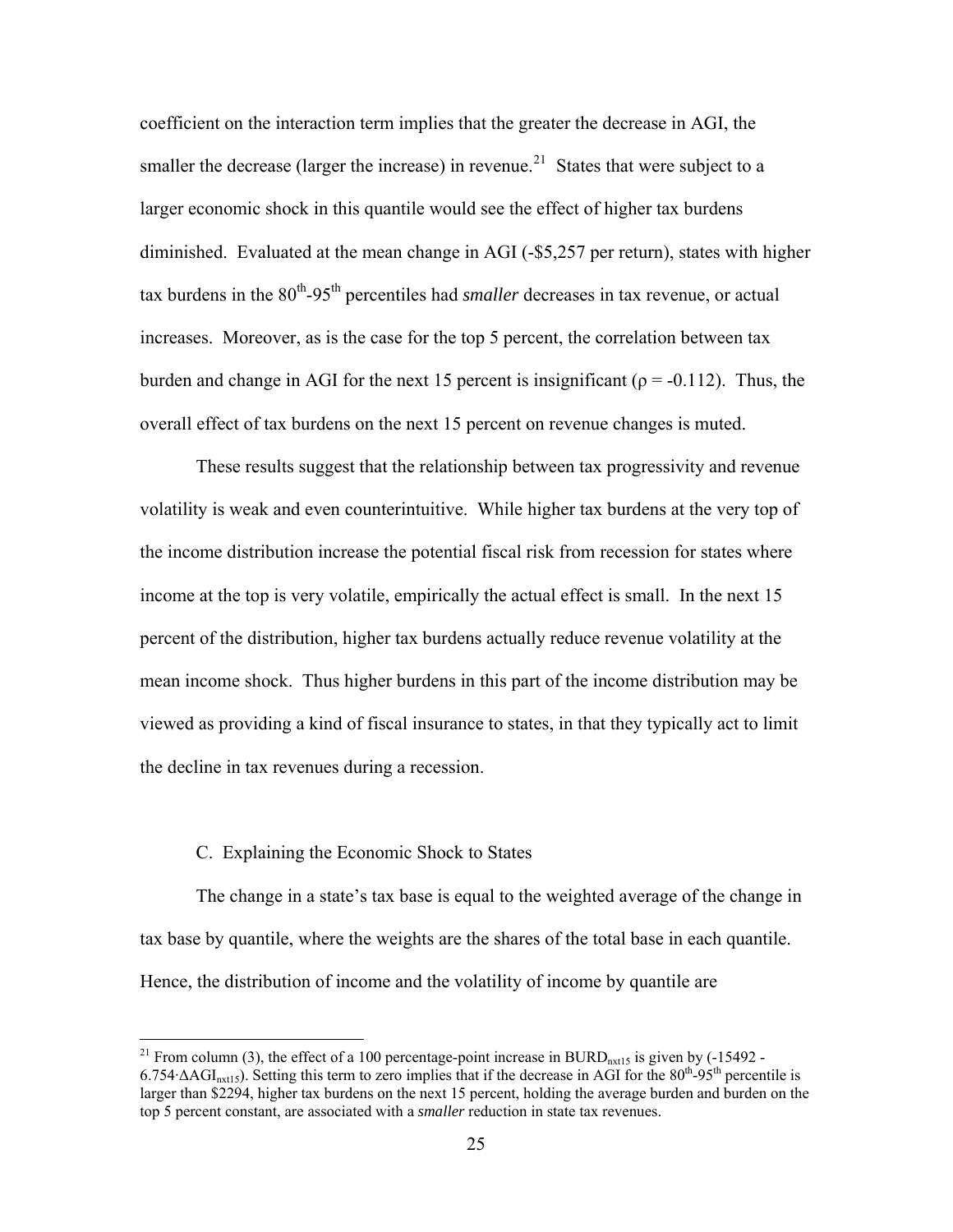coefficient on the interaction term implies that the greater the decrease in AGI, the smaller the decrease (larger the increase) in revenue.<sup>[21](#page-26-0)</sup> States that were subject to a larger economic shock in this quantile would see the effect of higher tax burdens diminished. Evaluated at the mean change in AGI (-\$5,257 per return), states with hig her tax burdens in the 80<sup>th</sup>-95<sup>th</sup> percentiles had *smaller* decreases in tax revenue, or actual increases. Moreover, as is the case for the top 5 percent, the correlation between tax burden and change in AGI for the next 15 percent is insignificant ( $\rho = -0.112$ ). Thus, the overall effect of tax burdens on the next 15 percent on revenue changes is muted.

viewed as providing a kind of fiscal insurance to states, in that they typically act to limit the decline in tax revenues during a recession. These results suggest that the relationship between tax progressivity and revenue volatility is weak and even counterintuitive. While higher tax burdens at the very top of the income distribution increase the potential fiscal risk from recession for states where income at the top is very volatile, empirically the actual effect is small. In the next 15 percent of the distribution, higher tax burdens actually reduce revenue volatility at the mean income shock. Thus higher burdens in this part of the income distribution may be

# C. Explaining the Economic Shock to States

 $\overline{a}$ 

tax base by quantile, where the weights are the shares of the total base in each quantile. The change in a state's tax base is equal to the weighted average of the change in Hence, the distribution of income and the volatility of income by quantile are

<span id="page-26-0"></span><sup>&</sup>lt;sup>21</sup> From column (3), the effect of a 100 percentage-point increase in BURD<sub>nxt15</sub> is given by  $(-15492 6.754 \Delta \text{AGI}_{\text{nxt15}}$ ). Setting this term to zero implies that if the decrease in AGI for the  $80^{\text{th}}$ -95<sup>th</sup> percentile is larger than \$2294, higher tax burdens on the next 15 percent, holding the average burden and burden on the top 5 percent constant, are associated with a *smaller* reduction in state tax revenues.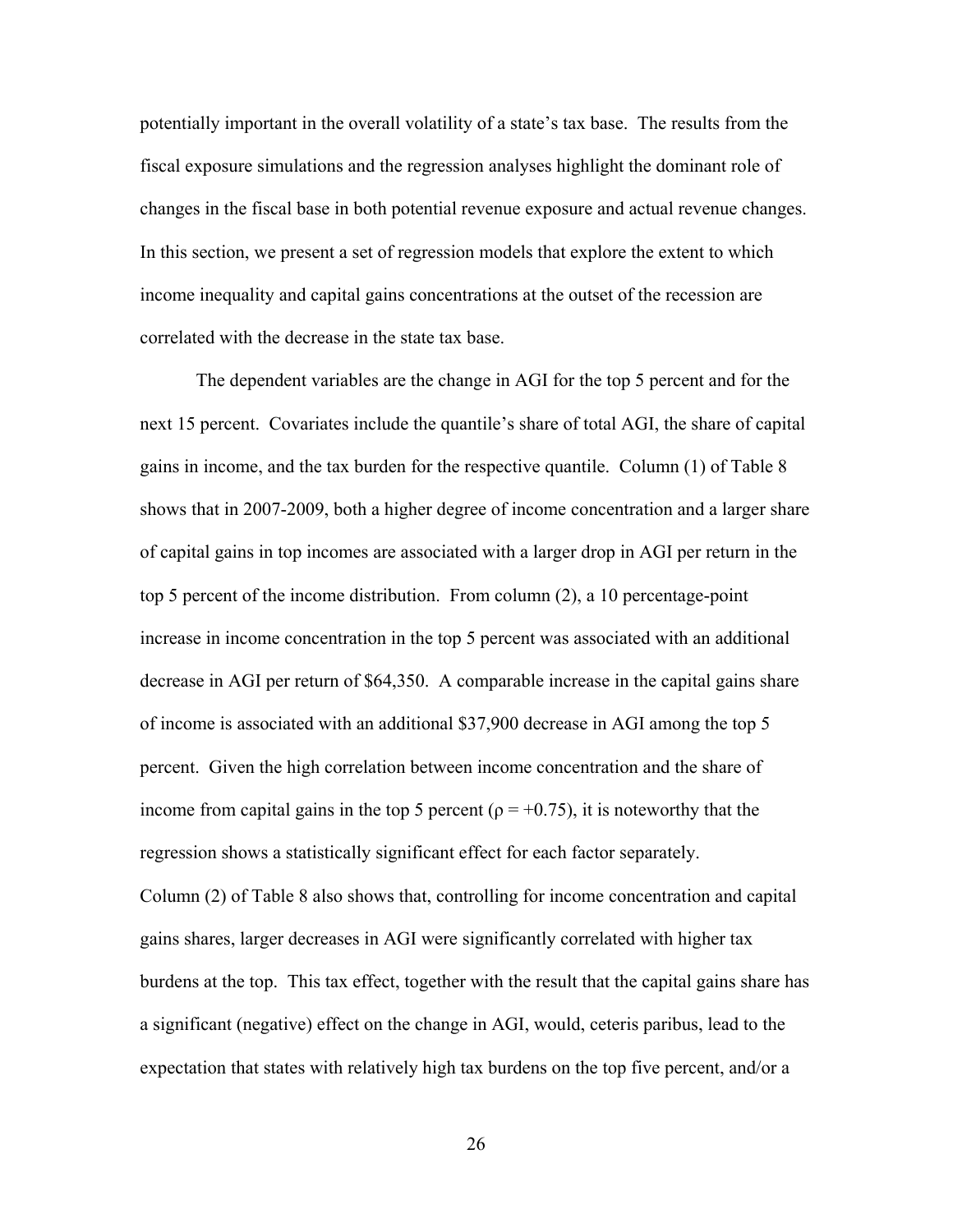potentially important in the overall volatility of a state's tax base. The results from the fiscal exposure simulations and the regression analyses highlight the dominant role of changes in the fiscal base in both potential revenue exposure and actual revenue chang es. In this section, we present a set of regression models that explore the extent to which income inequality and capital gains concentrations at th e outset of the recession are correla ted with the decrease in the state tax base.

next 15 percent. Covariates include the quantile's share of total AGI, the share of capital of capital gains in top incomes are associated with a larger drop in AGI per return in the decrease in AGI per return of \$64,350. A comparable increase in the capital gains share income from capital gains in the top 5 percent ( $\rho = +0.75$ ), it is noteworthy that the Column (2) of Table 8 also shows that, controlling for income concentration and capital The dependent variables are the change in AGI for the top 5 percent and for the gains in income, and the tax burden for the respective quantile. Column (1) of Table 8 shows that in 2007-2009, both a higher degree of income concentration and a larger share top 5 percent of the income distribution. From column (2), a 10 percentage-point increase in income concentration in the top 5 percent was associated with an additional of income is associated with an additional \$37,900 decrease in AGI among the top 5 percent. Given the high correlation between income concentration and the share of regression shows a statistically significant effect for each factor separately. gains shares, larger decreases in AGI were significantly correlated with higher tax

burdens at the top. This tax effect, together with the result that the capital gains share has a significant (negative) effect on the change in AGI, would, ceteris paribus, lead to the expectation that states with relatively high tax burdens on the top five percent, and/or a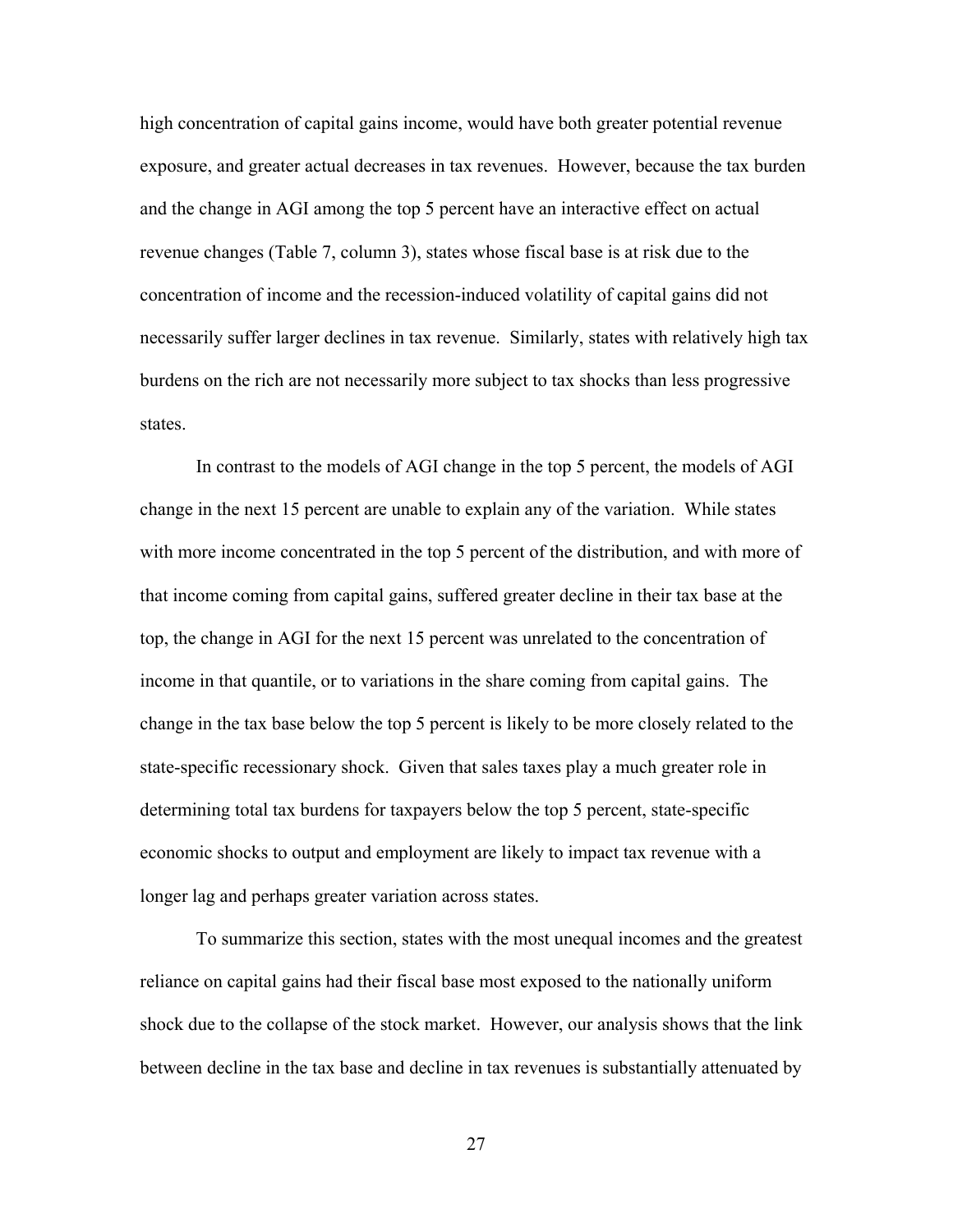high concentration of capital gains income, would have both greater potential revenue exposure, and greater actual decreases in tax revenues. However, because the tax bu rden and the change in AGI among the top 5 percent have an interactive effect on actual revenue changes (Table 7, column 3), states whose fiscal base is at risk due to the concentration of income and the recession-induced volatility of capital gains did not necessarily suffer larger declines in tax revenue. Similarly, states with relatively high ta x burdens on the rich are not necessarily more subject to tax shocks than less progressive states.

In contrast to the models of AGI change in the top 5 percent, the models of AGI with more income concentrated in the top 5 percent of the distribution, and with more of that income coming from capital gains, suffered greater decline in their tax base at the change in the tax base below the top 5 percent is likely to be more closely related to the state-specific recessionary shock. Given that sales taxes play a much greater role in economic shocks to output and employment are likely to impact tax revenue with a longer lag and perhaps greater variation across states. change in the next 15 percent are unable to explain any of the variation. While states top, the change in AGI for the next 15 percent was unrelated to the concentration of income in that quantile, or to variations in the share coming from capital gains. The determining total tax burdens for taxpayers below the top 5 percent, state-specific

To summarize this section, states with the most unequal incomes and the greatest reliance on capital gains had their fiscal base most exposed to the nationally uniform shock due to the collapse of the stock market. However, our analysis shows that the link between decline in the tax base and decline in tax revenues is substantially attenuated by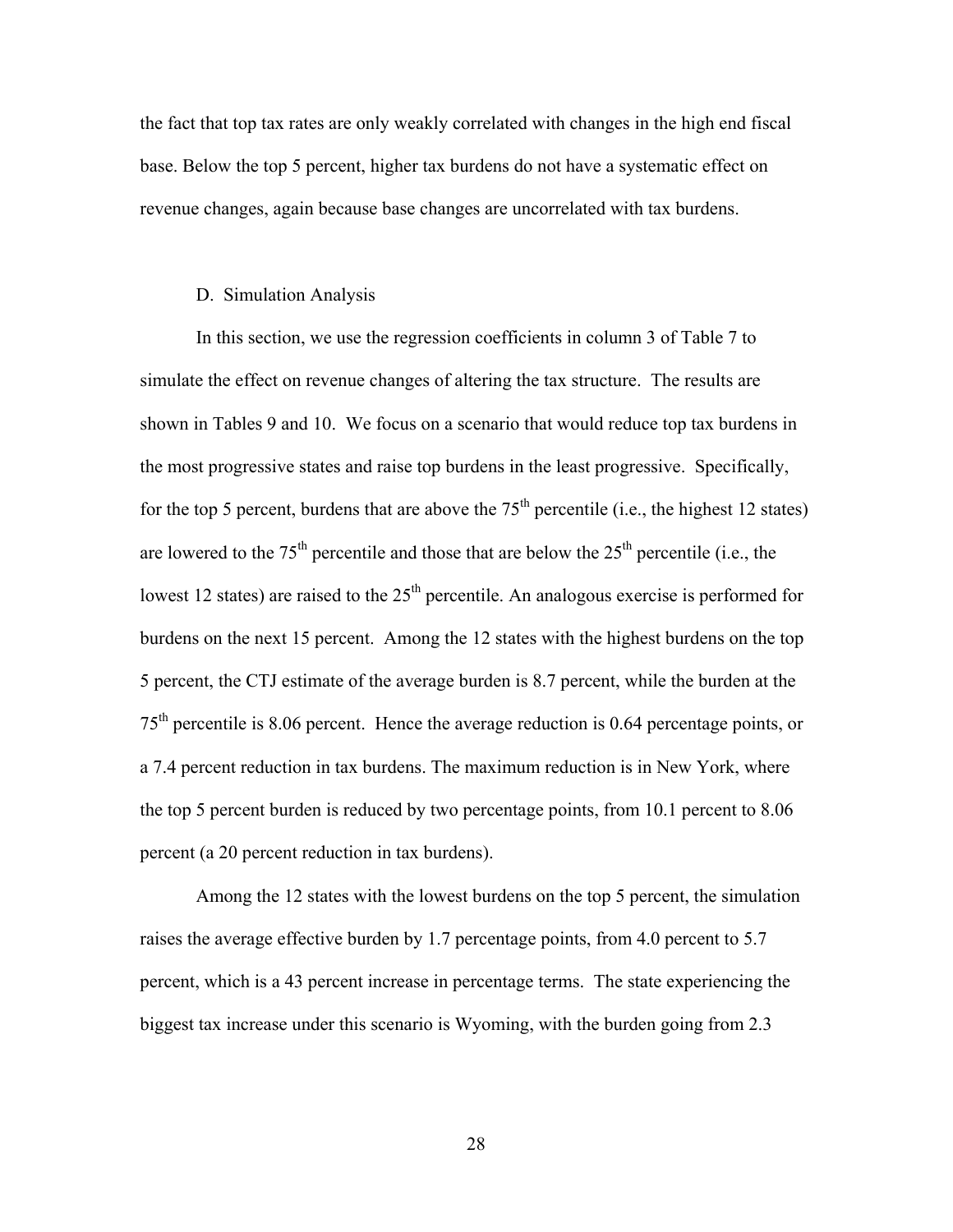the fact that top tax rates are only weakly correlated with changes in the high end fisc al base. Below the top 5 percent, higher tax burdens do not have a systematic effect on revenue changes, again because base changes are uncorrelated with tax burdens.

#### D. Simulation Analysis

for the top 5 percent, burdens that are above the  $75<sup>th</sup>$  percentile (i.e., the highest 12 states)  $75<sup>th</sup>$  percentile is 8.06 percent. Hence the average reduction is 0.64 percentage points, or the top 5 percent burden is reduced by two percentage points, from  $10.1$  percent to  $8.06$ percent (a 20 percent reduction in tax burdens). In this section, we use the regression coefficients in column 3 of Table 7 to simulate the effect on revenue changes of altering the tax structure. The results are shown in Tables 9 and 10. We focus on a scenario that would reduce top tax burdens in the most progressive states and raise top burdens in the least progressive. Specifically, are lowered to the  $75<sup>th</sup>$  percentile and those that are below the  $25<sup>th</sup>$  percentile (i.e., the lowest 12 states) are raised to the  $25<sup>th</sup>$  percentile. An analogous exercise is performed for burdens on the next 15 percent. Among the 12 states with the highest burdens on the top 5 percent, the CTJ estimate of the average burden is 8.7 percent, while the burden at the a 7.4 percent reduction in tax burdens. The maximum reduction is in New York, where

Among the 12 states with the lowest burdens on the top 5 percent, the simulation percent, which is a 43 percent increase in percentage terms. The state experiencing the raises the average effective burden by 1.7 percentage points, from 4.0 percent to 5.7 biggest tax increase under this scenario is Wyoming, with the burden going from 2.3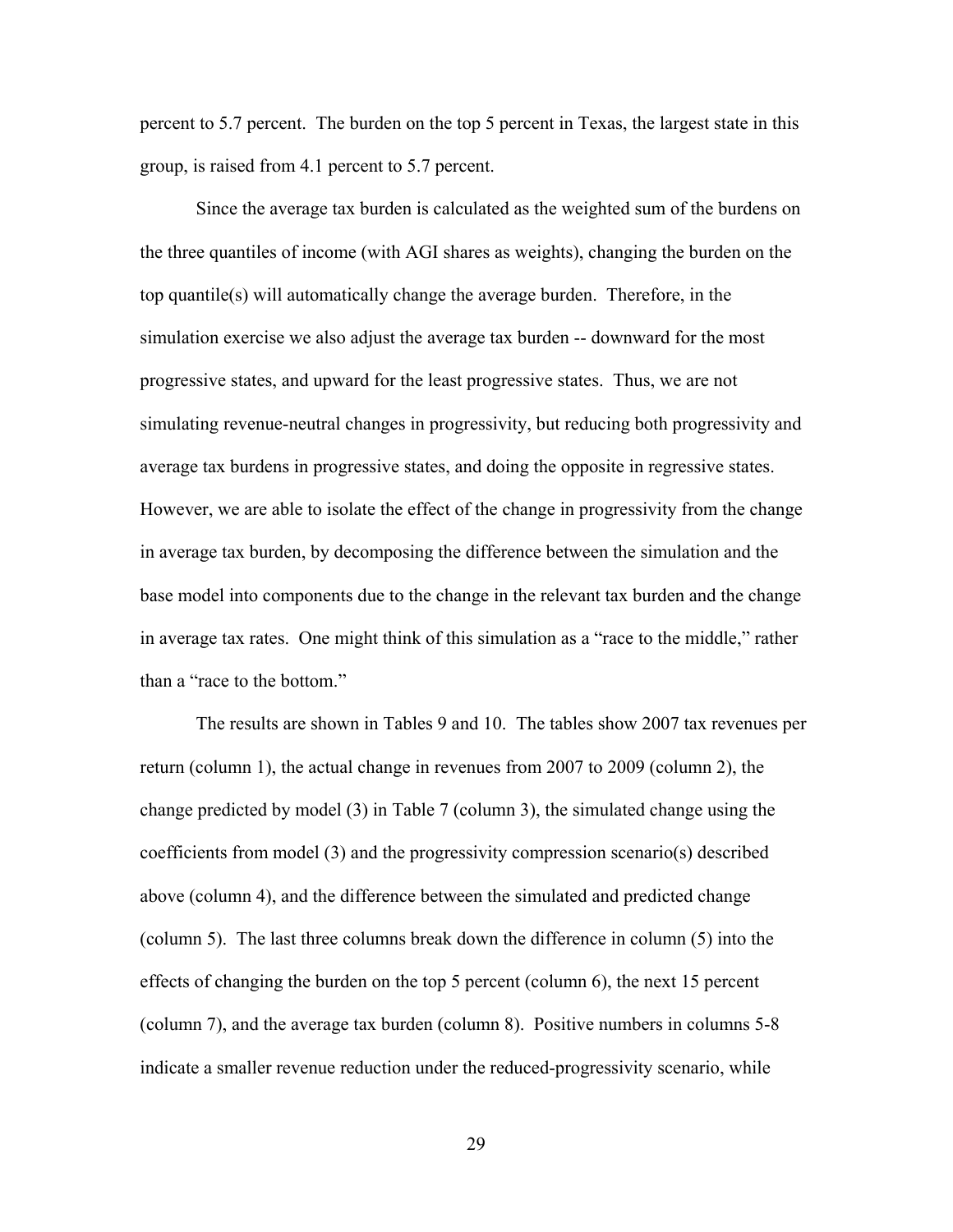percent to 5.7 percent. The burden on the top 5 percent in Texas, the largest state in this group, is raised from 4.1 percent to 5.7 percent.

Since the average tax burden is calculated as the weighted sum of the burdens on he the three quantiles of income (with AGI shares as weights), changing the burden on t base model into components due to the change in the relevant tax burden and the change in aver age tax rates. One might think of this simulation as a "race to the middle," rather top quantile(s) will automatically change the average burden. Therefore, in the simulation exercise we also adjust the average tax burden -- downward for the most progressive states, and upward for the least progressive states. Thus, we are not simulating revenue-neutral changes in progressivity, but reducing both progressivity and average tax burdens in progressive states, and doing the opposite in regressive states. However, we are able to isolate the effect of the change in progressivity from the change in average tax burden, by decomposing the difference between the simulation and the than a "race to the bottom."

The results are shown in Tables 9 and 10. The tables show 2007 tax revenues per change predicted by model (3) in Table 7 (column 3), the simulated change using the indicate a smaller revenue reduction under the reduced-progressivity scenario, while return (column 1), the actual change in revenues from 2007 to 2009 (column 2), the coefficients from model (3) and the progressivity compression scenario(s) described above (column 4), and the difference between the simulated and predicted change (column 5). The last three columns break down the difference in column (5) into the effects of changing the burden on the top 5 percent (column 6), the next 15 percent (column 7), and the average tax burden (column 8). Positive numbers in columns 5-8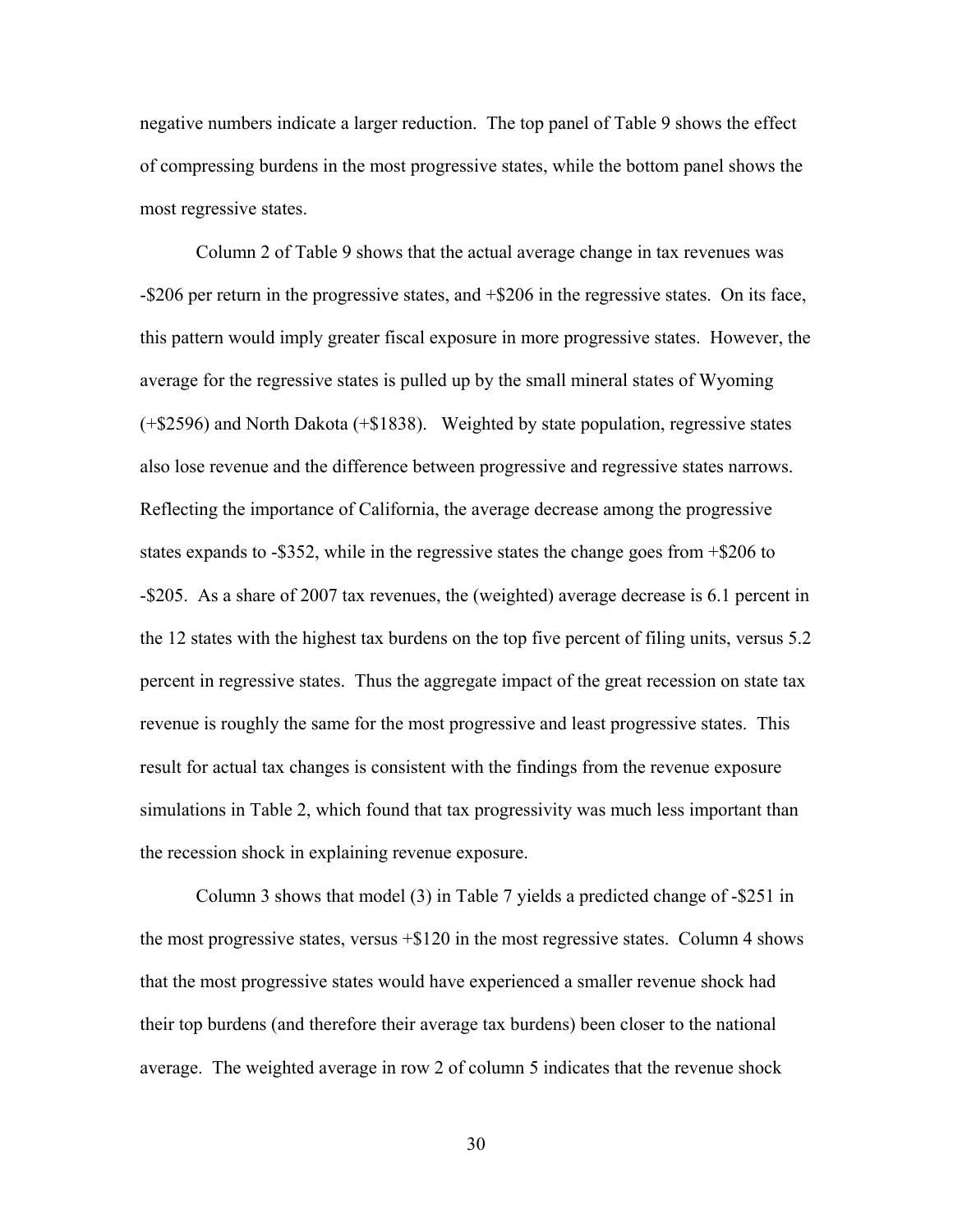negative numbers indicate a larger reduction. The top panel of Table 9 shows the effect of compressing burdens in the most progressive states, while the bottom panel shows the most re gressive states.

this pattern would imply greater fiscal exposure in more progressive states. However, the also lose revenue and the difference between progressive and regressive states narrows. simulations in Table 2, which found that tax progressivity was much less important than the rece ssion shock in explaining revenue exposure. Column 2 of Table 9 shows that the actual average change in tax revenues was -\$206 per return in the progressive states, and +\$206 in the regressive states. On its face, average for the regressive states is pulled up by the small mineral states of Wyoming (+\$2596) and North Dakota (+\$1838). Weighted by state population, regressive states Reflecting the importance of California, the average decrease among the progressive states expands to -\$352, while in the regressive states the change goes from +\$206 to -\$205. As a share of 2007 tax revenues, the (weighted) average decrease is 6.1 percent in the 12 states with the highest tax burdens on the top five percent of filing units, versus 5.2 percent in regressive states. Thus the aggregate impact of the great recession on state tax revenue is roughly the same for the most progressive and least progressive states. This result for actual tax changes is consistent with the findings from the revenue exposure

the most progressive states, versus  $+$ \$120 in the most regressive states. Column 4 shows average. The weighted average in row 2 of column 5 indicates that the revenue shock Column 3 shows that model (3) in Table 7 yields a predicted change of -\$251 in that the most progressive states would have experienced a smaller revenue shock had their top burdens (and therefore their average tax burdens) been closer to the national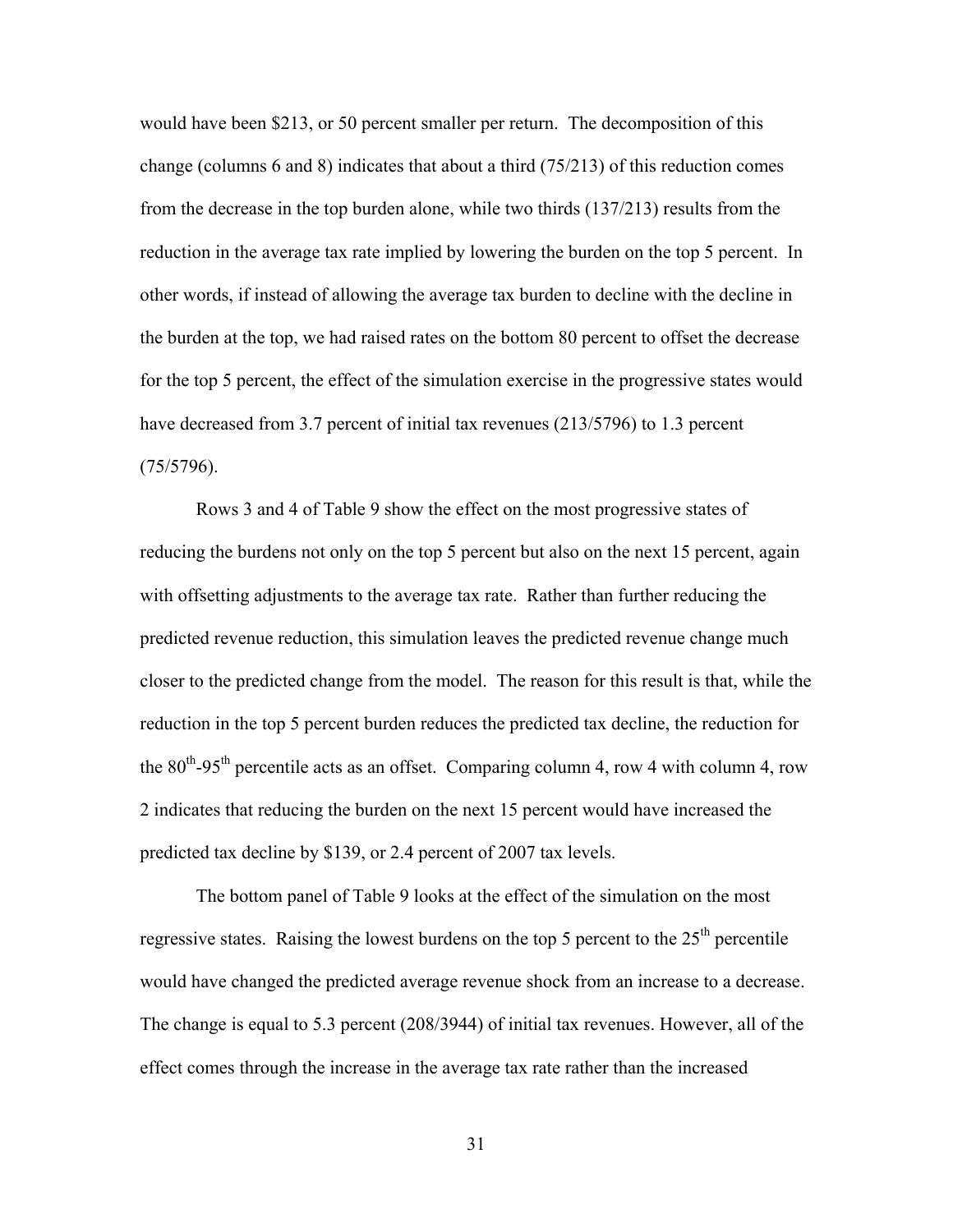would have been \$213, or 50 percent smaller per return. The decomposition of this change (columns 6 and 8) indicates that about a third (75/213) of this reduction comes from the decrease in the top burden alone, while two thirds (137/213) results from the reduction in the average tax rate implied by lowering the burden on the top 5 percent. In other words, if instead of allowing the average tax burden to decline with the decline in the burden at the top, we had raised rates on the bottom 80 percent to offset the decrease for the top 5 percent, the effect of the simulation exercise in the progressive states would have decreas ed from 3.7 percent of initial tax revenues (213/5796) to 1.3 percent (75/579 6).

reducing the burdens not only on the top 5 percent but also on the next 15 percent, again the 80<sup>th</sup>-95<sup>th</sup> percentile acts as an offset. Comparing column 4, row 4 with column 4, row 2 indicates that reducing the burden on the next 15 percent would have increased the predict ed tax decline by \$139, or 2.4 percent of 2007 tax levels. Rows 3 and 4 of Table 9 show the effect on the most progressive states of with offsetting adjustments to the average tax rate. Rather than further reducing the predicted revenue reduction, this simulation leaves the predicted revenue change much closer to the predicted change from the model. The reason for this result is that, while the reduction in the top 5 percent burden reduces the predicted tax decline, the reduction for

The change is equal to 5.3 percent (208/3944) of initial tax revenues. However, all of the The bottom panel of Table 9 looks at the effect of the simulation on the most regressive states. Raising the lowest burdens on the top 5 percent to the  $25<sup>th</sup>$  percentile would have changed the predicted average revenue shock from an increase to a decrease. effect comes through the increase in the average tax rate rather than the increased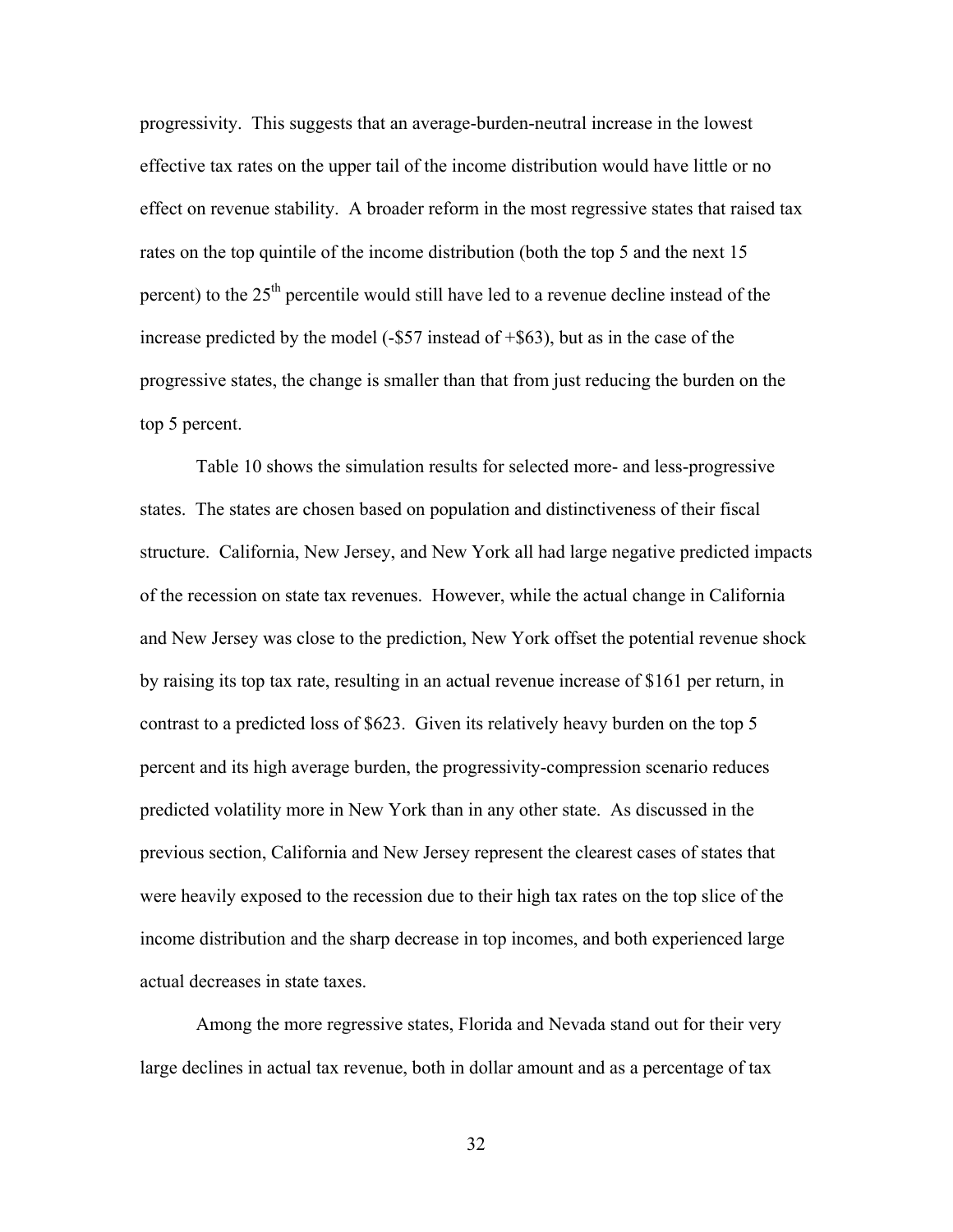progressivity. This suggests that an average-burden-neutral increase in the lowest effective tax rates on the upper tail of the income distribution would have little or no effect on revenue stability. A broader reform in the most regressive states that raised tax rates on the top quintile of the income distribution (both the top 5 and the next 15 percent) to the  $25<sup>th</sup>$  percentile would still have led to a revenue decline instead of the increase predicted by the model (-\$57 instead of +\$63), but as in the case of the progressive states, the change is smaller than that from just reducing the burden on the top 5 p ercent.

structure. California, New Jersey, and New York all had large negative predicted impacts and New Jersey was close to the prediction, New York offset the potential revenue shock by raising its top tax rate, resulting in an actual revenue increase of \$161 per return, in percent and its high average burden, the progressivity-compression scenario reduces income distribution and the sharp decrease in top incomes, and both experienced large actual d ecreases in state taxes. Table 10 shows the simulation results for selected more- and less-progressive states. The states are chosen based on population and distinctiveness of their fiscal of the recession on state tax revenues. However, while the actual change in California contrast to a predicted loss of \$623. Given its relatively heavy burden on the top 5 predicted volatility more in New York than in any other state. As discussed in the previous section, California and New Jersey represent the clearest cases of states that were heavily exposed to the recession due to their high tax rates on the top slice of the

Among the more regressive states, Florida and Nevada stand out for their very large declines in actual tax revenue, both in dollar amount and as a percentage of tax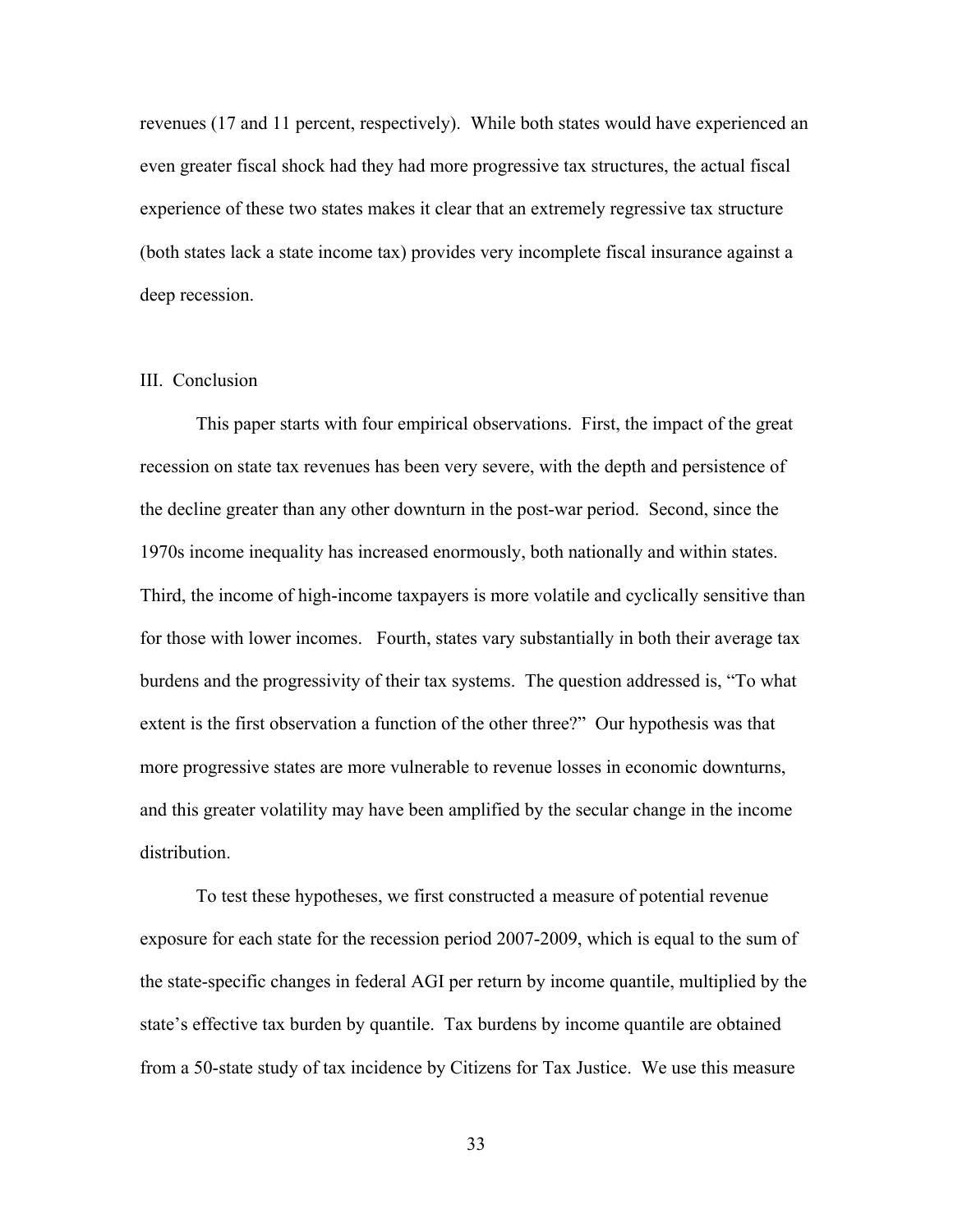revenues (17 and 11 percent, respectively). While both states would have experienced a n even greater fiscal shock had they had more progressive tax structures, the actual fiscal experience of these two states makes it clear that an extremely regressive tax structure (both states lack a state income tax) provides very incomplete fiscal insurance against a deep recession.

# III. Co nclusion

burdens and the progressivity of their tax systems. The question addressed is, "To what and this greater volatility may have been amplified by the secular change in the income distribution. This paper starts with four empirical observations. First, the impact of the great recession on state tax revenues has been very severe, with the depth and persistence of the decline greater than any other downturn in the post-war period. Second, since the 1970s income inequality has increased enormously, both nationally and within states. Third, the income of high-income taxpayers is more volatile and cyclically sensitive than for those with lower incomes. Fourth, states vary substantially in both their average tax extent is the first observation a function of the other three?" Our hypothesis was that more progressive states are more vulnerable to revenue losses in economic downturns,

he the state-specific changes in federal AGI per return by income quantile, multiplied by t To test these hypotheses, we first constructed a measure of potential revenue exposure for each state for the recession period 2007-2009, which is equal to the sum of state's effective tax burden by quantile. Tax burdens by income quantile are obtained from a 50-state study of tax incidence by Citizens for Tax Justice. We use this measure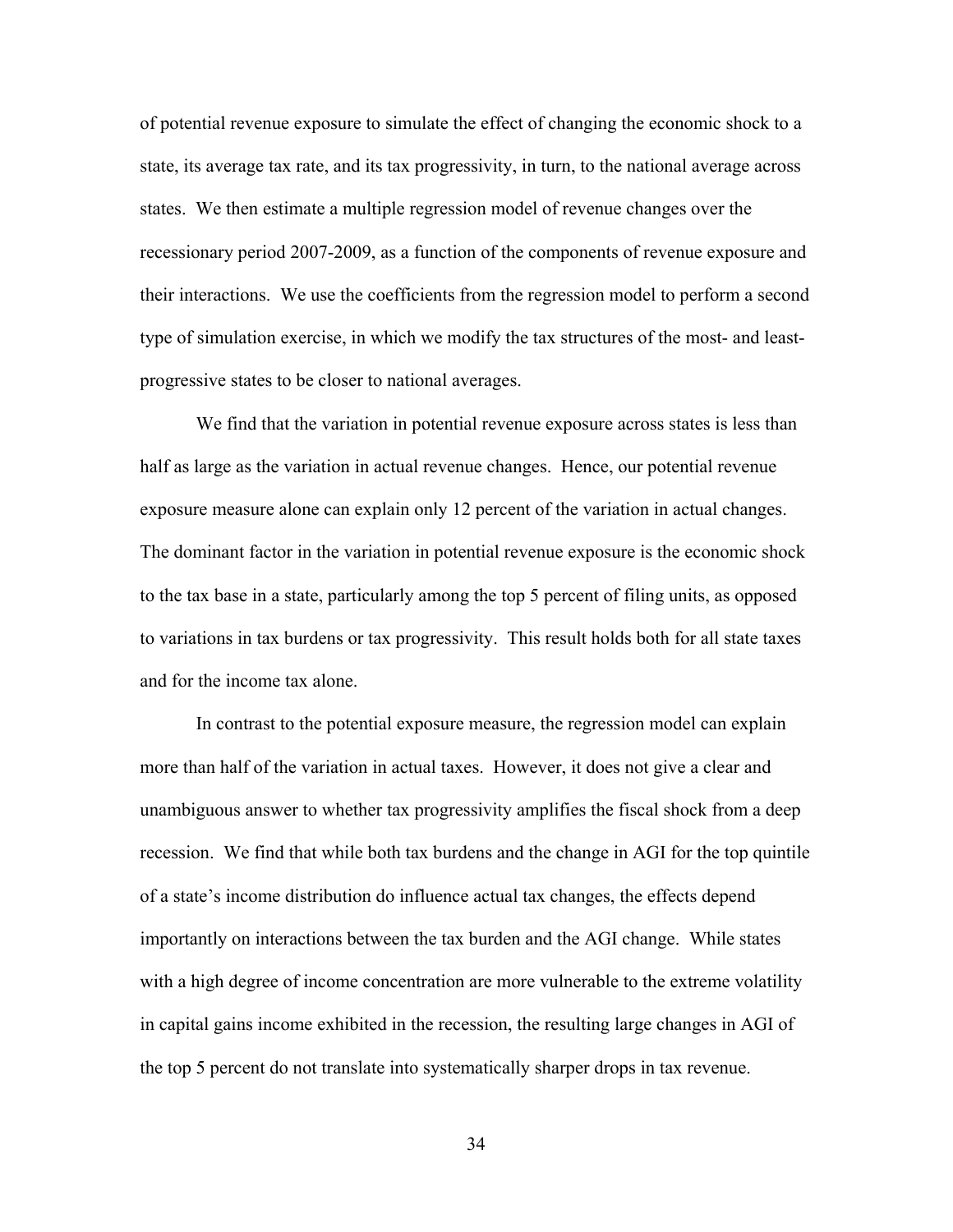of potential revenue exposure to simulate the effect of changing the economic shock to a state, its average tax rate, and its tax progressivity, in turn, to the national average a cross states. We then estimate a multiple regression model of revenue changes over the recessionary period 2007-2009, as a function of the components of revenue exposure and their interactions. We use the coefficients from the regression model to perform a second type of simulation exercise, in which we modify the ta x structures of the most- and leastprogres sive states to be closer to national averages.

We find that the variation in potential revenue exposure across states is less than to variations in tax burdens or tax progressivity. This result holds both for all state taxes and for the income tax alone. half as large as the variation in actual revenue changes. Hence, our potential revenue exposure measure alone can explain only 12 percent of the variation in actual changes. The dominant factor in the variation in potential revenue exposure is the economic shock to the tax base in a state, particularly among the top 5 percent of filing units, as opposed

recession. We find that while both tax burdens and the change in AGI for the top quintile in capital gains income exhibited in the recession, the resulting large changes in AGI of In contrast to the potential exposure measure, the regression model can explain more than half of the variation in actual taxes. However, it does not give a clear and unambiguous answer to whether tax progressivity amplifies the fiscal shock from a deep of a state's income distribution do influence actual tax changes, the effects depend importantly on interactions between the tax burden and the AGI change. While states with a high degree of income concentration are more vulnerable to the extreme volatility the top 5 percent do not translate into systematically sharper drops in tax revenue.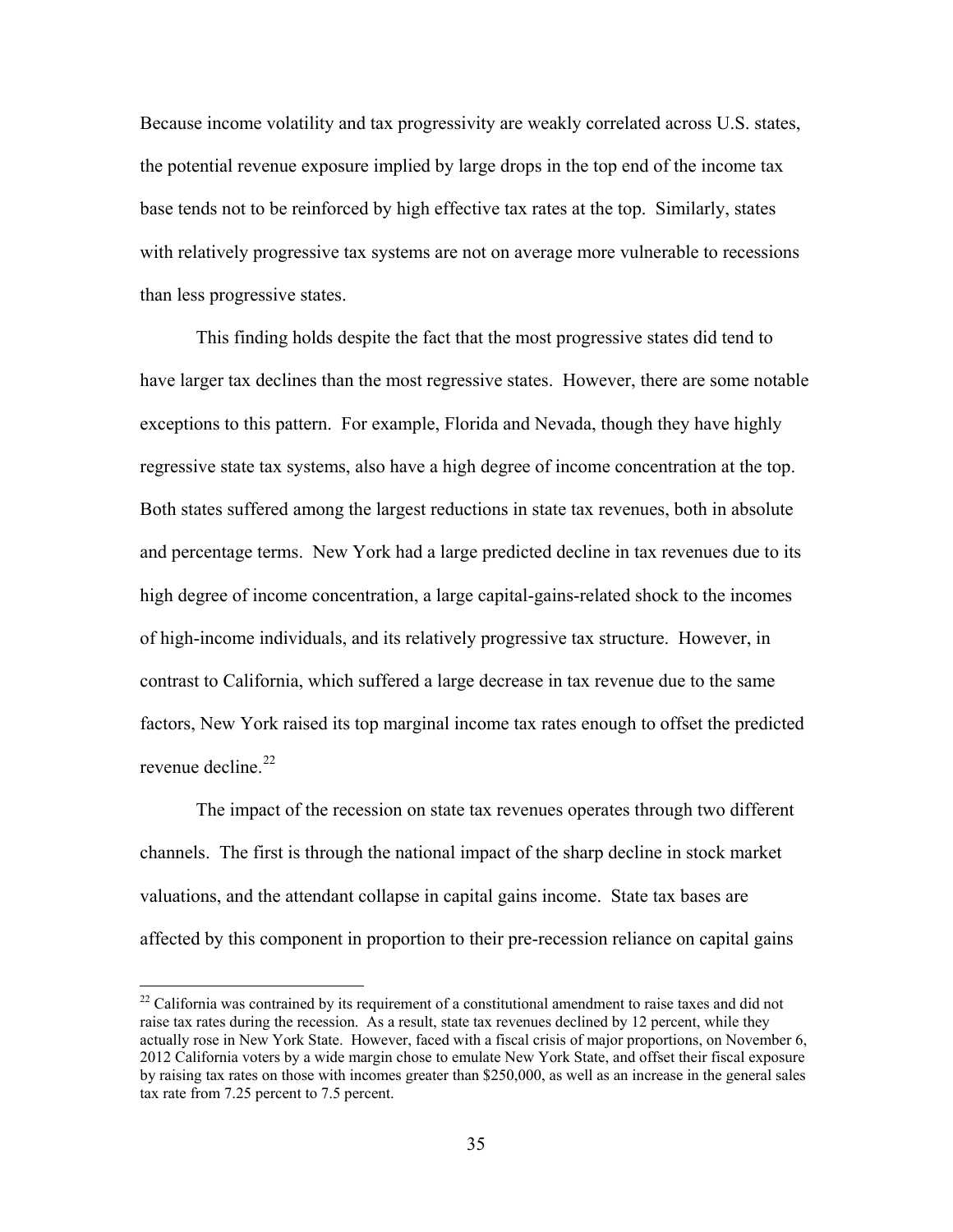Because income volatility and tax progressivity are weakly correlated across U.S. states , the potential revenue exposure implied by large drops in the top end of the income tax base tends not to be reinforced by high effective tax rates at the top. Similarly, states with relatively progressive tax systems are not on average more vulnerable to recessions than les s progressive states.

have larger tax declines than the most regressive states. However, there are some notable high degree of income concentration, a large capital-gains-related shock to the incomes factors, New York raised its top marginal income tax rates enough to offset the predicted revenue decline.<sup>22</sup> This finding holds despite the fact that the most progressive states did tend to exceptions to this pattern. For example, Florida and Nevada, though they have highly regressive state tax systems, also have a high degree of income concentration at the top. Both states suffered among the largest reductions in state tax revenues, both in absolute and percentage terms. New York had a large predicted decline in tax revenues due to its of high-income individuals, and its relatively progressive tax structure. However, in contrast to California, which suffered a large decrease in tax revenue due to the same

The impact of the recession on state tax revenues operates through two different channels. The first is through the national impact of the sharp decline in stock market valuations, and the attendant collapse in capital gains income. State tax bases are affected by this component in proportion to their pre-recession reliance on capital gains

 $\overline{a}$ 

<sup>&</sup>lt;sup>22</sup> California was contrained by its requirement of a constitutional amendment to raise taxes and did not raise tax rates during the recession. As a result, state tax revenues declined by 12 percent, while they actually rose in New York State. However, faced with a fiscal crisis of major proportions, on November 6, 2012 California voters by a wide margin chose to emulate New York State, and offset their fiscal exposure by raising tax rates on those with incomes greater than \$250,000, as well as an increase in the general sales tax rate from 7.25 percent to 7.5 percent.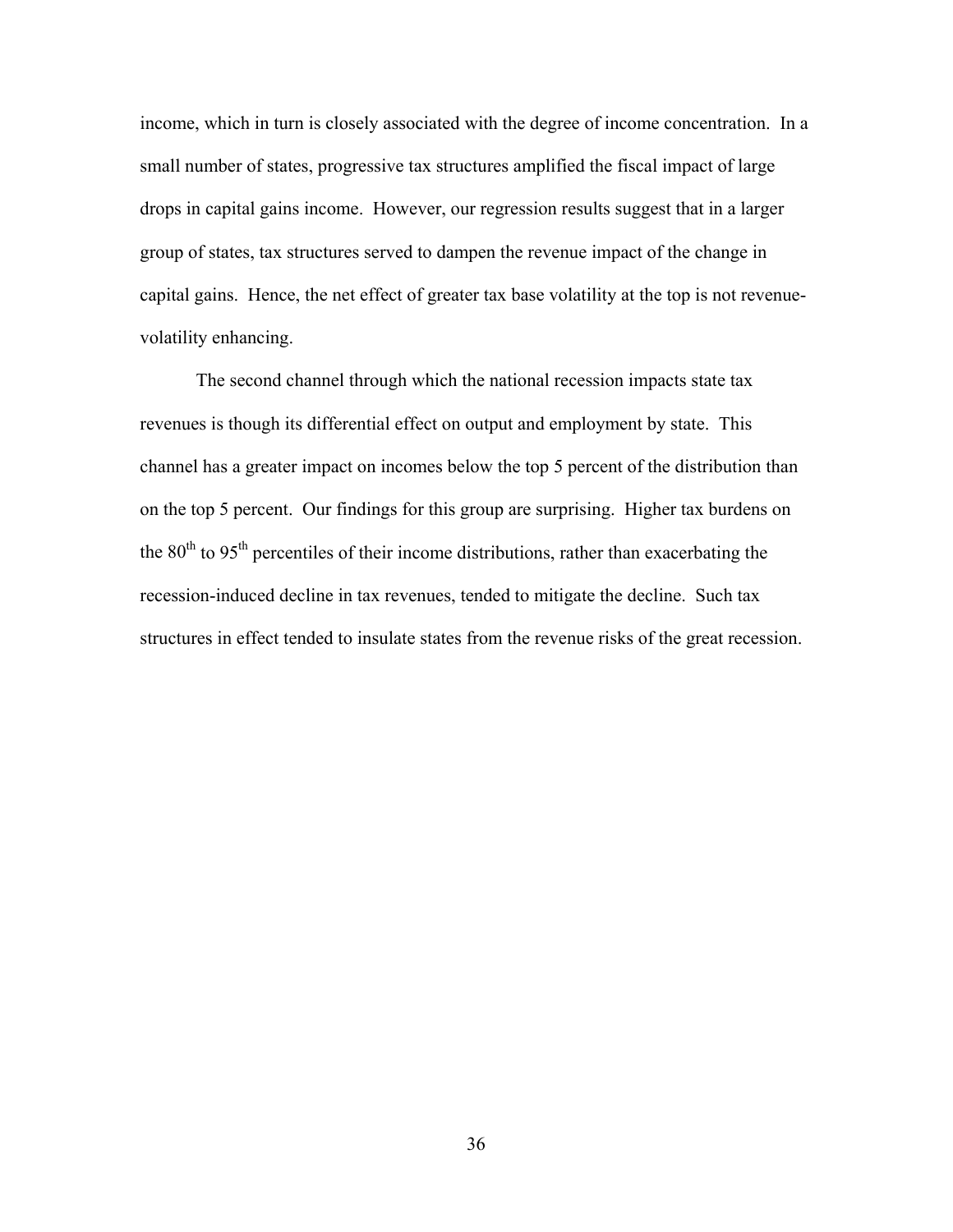income, which in turn is closely associated with the degree of income concentration. I n a small number of states, progressive tax structures amplified the fiscal impact of large drops in capital gains income. However, our regression results suggest that in a large r group of states, tax structures served to dampen the revenue impact of the change in capital gains. Hence, t he net effect of greater tax base volatility at the top is not revenuevolatility enhancing.

on the top 5 percent. Our findings for this group are surprising. Higher tax burdens on structures in effect tended to insulate states from the revenue risks of the great recession. The second channel through which the national recession impacts state tax revenues is though its differential effect on output and employment by state. This channel has a greater impact on incomes below the top 5 percent of the distribution than the  $80<sup>th</sup>$  to  $95<sup>th</sup>$  percentiles of their income distributions, rather than exacerbating the recession-induced decline in tax revenues, tended to mitigate the decline. Such tax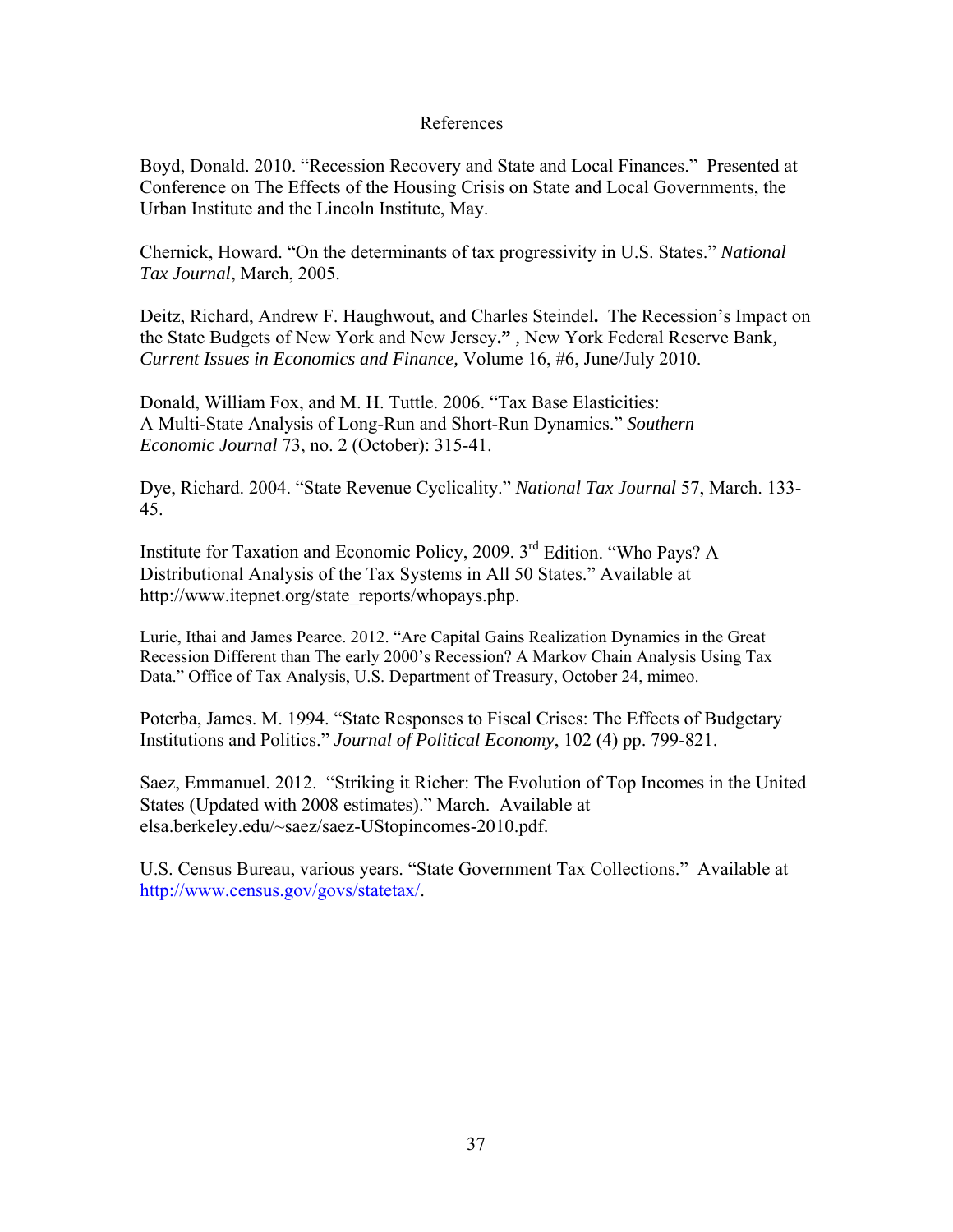# References

Boyd, Donald. 2010. "Recession Recovery and State and Local Finances." Presented at Conference on The Effects of the Housing Crisis on State and Local Governments, the Urban Institute and the Lincoln Institute, May.

Chernick, Howard. "On the determinants of tax progressivity in U.S. States." *National Tax Journal*, March, 2005.

Deitz, Richard, Andrew F. Haughwout, and Charles Steindel**.** The Recession's Impact on the State Budgets of New York and New Jersey**."** *,* New York Federal Reserve Bank*, Current Issues in Economics and Finance,* Volume 16, #6, June/July 2010.

Donald, William Fox, and M. H. Tuttle. 2006. "Tax Base Elasticities: A Multi-State Analysis of Long-Run and Short-Run Dynamics." *Southern Economic Journal* 73, no. 2 (October): 315-41.

Dye, Richard. 2004. "State Revenue Cyclicality." *National Tax Journal* 57, March. 133- 45.

Institute for Taxation and Economic Policy, 2009. 3rd Edition. "Who Pays? A Distributional Analysis of the Tax Systems in All 50 States." Available at http://www.itepnet.org/state\_reports/whopays.php.

Lurie, Ithai and James Pearce. 2012. "Are Capital Gains Realization Dynamics in the Great Recession Different than The early 2000's Recession? A Markov Chain Analysis Using Tax Data." Office of Tax Analysis, U.S. Department of Treasury, October 24, mimeo.

Poterba, James. M. 1994. "State Responses to Fiscal Crises: The Effects of Budgetary Institutions and Politics." *Journal of Political Economy*, 102 (4) pp. 799-821.

Saez, Emmanuel. 2012. "Striking it Richer: The Evolution of Top Incomes in the United States (Updated with 2008 estimates)." March. Available at elsa.berkeley.edu/~saez/saez-UStopincomes-2010.pdf.

U.S. Census Bureau, various years. "State Government Tax Collections." Available at <http://www.census.gov/govs/statetax/>.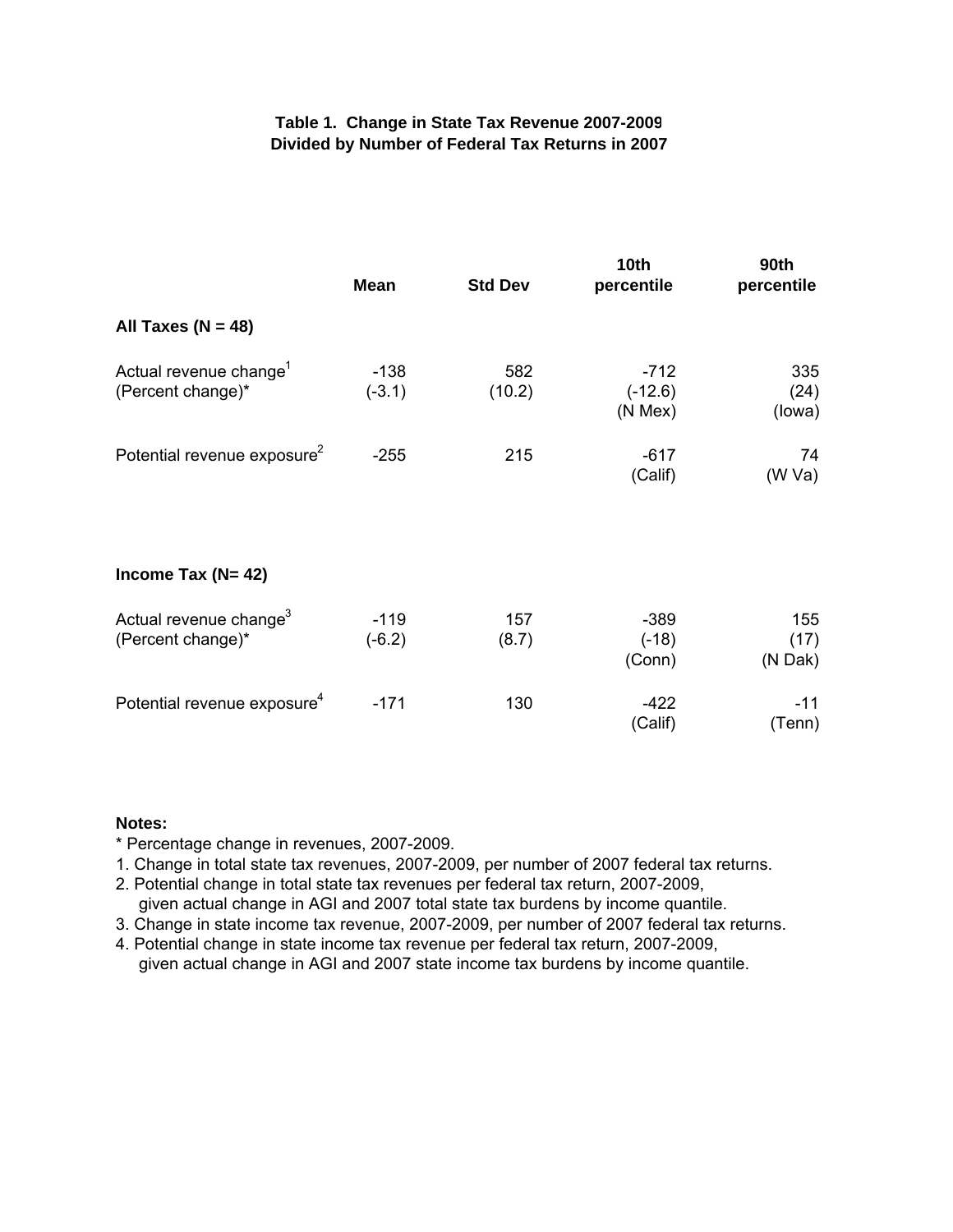# **Table 1. Change in State Tax Revenue 2007-2009 Divided by Number of Federal Tax Returns in 2007**

|                                                         | <b>Mean</b>        | <b>Std Dev</b> | 10 <sub>th</sub><br>percentile      | <b>90th</b><br>percentile |
|---------------------------------------------------------|--------------------|----------------|-------------------------------------|---------------------------|
| All Taxes ( $N = 48$ )                                  |                    |                |                                     |                           |
| Actual revenue change <sup>1</sup><br>(Percent change)* | $-138$<br>$(-3.1)$ | 582<br>(10.2)  | $-712$<br>$(-12.6)$<br>$(N$ Mex $)$ | 335<br>(24)<br>(lowa)     |
| Potential revenue exposure <sup>2</sup>                 | $-255$             | 215            | $-617$<br>(Calif)                   | 74<br>(W Va)              |
| Income Tax $(N=42)$                                     |                    |                |                                     |                           |
| Actual revenue change <sup>3</sup><br>(Percent change)* | $-119$<br>$(-6.2)$ | 157<br>(8.7)   | $-389$<br>$(-18)$<br>(Conn)         | 155<br>(17)<br>(N Dak)    |
| Potential revenue exposure <sup>4</sup>                 | $-171$             | 130            | $-422$<br>(Calif)                   | $-11$<br>(Tenn)           |

### **Notes:**

\* Percentage change in revenues, 2007-2009.

- 1. Change in total state tax revenues, 2007-2009, per number of 2007 federal tax returns.
- 2. Potential change in total state tax revenues per federal tax return, 2007-2009, given actual change in AGI and 2007 total state tax burdens by income quantile.
- 3. Change in state income tax revenue, 2007-2009, per number of 2007 federal tax returns.
- 4. Potential change in state income tax revenue per federal tax return, 2007-2009,
- given actual change in AGI and 2007 state income tax burdens by income quantile.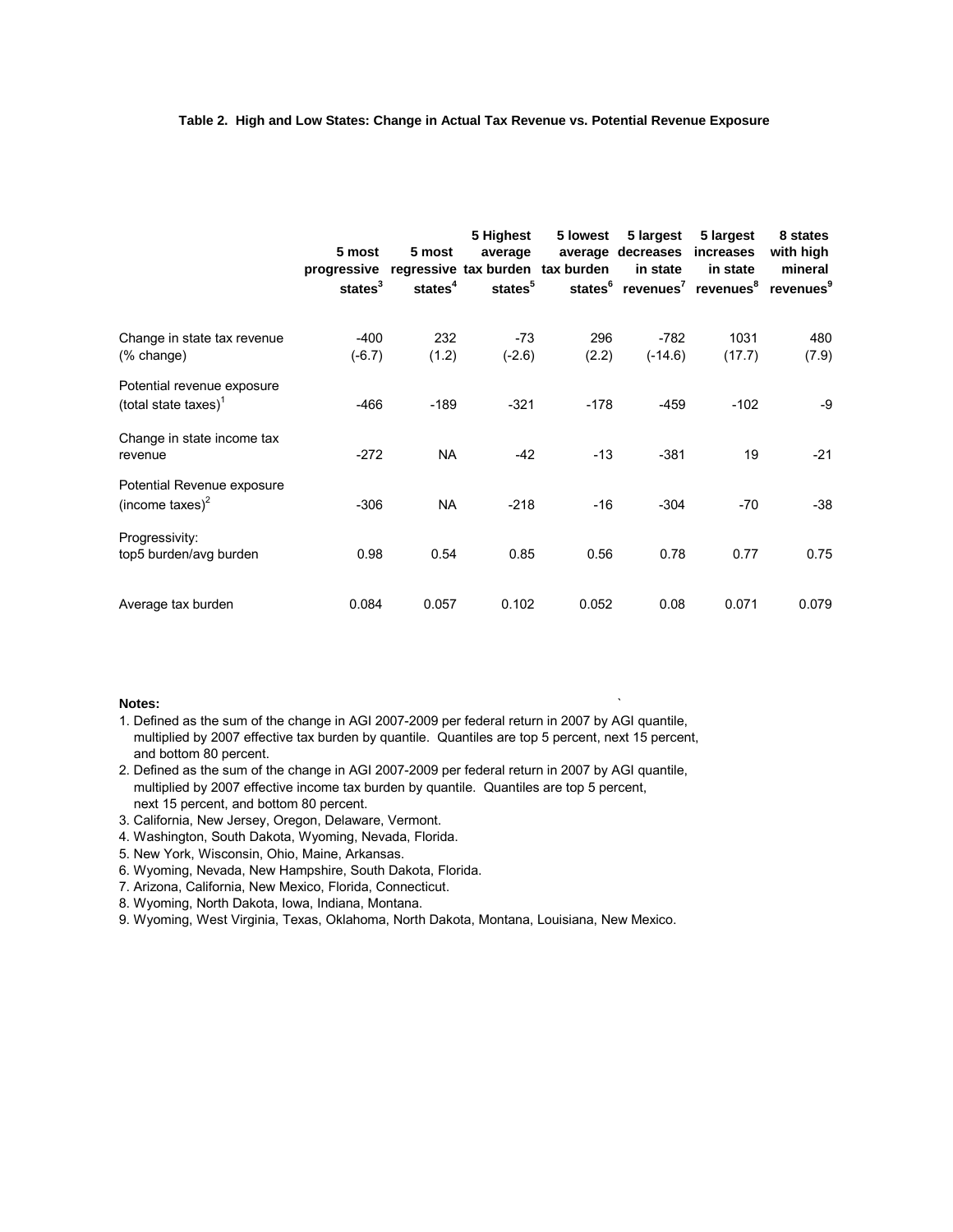#### **Table 2. High and Low States: Change in Actual Tax Revenue vs. Potential Revenue Exposure**

|                                                       | 5 most<br>progressive regressive tax burden tax burden<br>states <sup>3</sup> | 5 most<br>states <sup>4</sup> | 5 Highest<br>average<br>states <sup>5</sup> | 5 lowest     | 5 largest<br>average decreases<br>in state<br>states <sup>6</sup> revenues <sup>7</sup> revenues <sup>8</sup> | 5 largest<br>increases<br>in state | 8 states<br>with high<br>mineral<br>revenues <sup>9</sup> |
|-------------------------------------------------------|-------------------------------------------------------------------------------|-------------------------------|---------------------------------------------|--------------|---------------------------------------------------------------------------------------------------------------|------------------------------------|-----------------------------------------------------------|
| Change in state tax revenue<br>$%$ change)            | $-400$<br>$(-6.7)$                                                            | 232<br>(1.2)                  | $-73$<br>$(-2.6)$                           | 296<br>(2.2) | $-782$<br>$(-14.6)$                                                                                           | 1031<br>(17.7)                     | 480<br>(7.9)                                              |
| Potential revenue exposure<br>(total state taxes) $1$ | -466                                                                          | $-189$                        | $-321$                                      | $-178$       | -459                                                                                                          | $-102$                             | -9                                                        |
| Change in state income tax<br>revenue                 | $-272$                                                                        | <b>NA</b>                     | $-42$                                       | $-13$        | $-381$                                                                                                        | 19                                 | $-21$                                                     |
| Potential Revenue exposure<br>(income taxes) $2$      | $-306$                                                                        | <b>NA</b>                     | $-218$                                      | $-16$        | $-304$                                                                                                        | $-70$                              | $-38$                                                     |
| Progressivity:<br>top5 burden/avg burden              | 0.98                                                                          | 0.54                          | 0.85                                        | 0.56         | 0.78                                                                                                          | 0.77                               | 0.75                                                      |
| Average tax burden                                    | 0.084                                                                         | 0.057                         | 0.102                                       | 0.052        | 0.08                                                                                                          | 0.071                              | 0.079                                                     |

#### **Notes:** `

1. Defined as the sum of the change in AGI 2007-2009 per federal return in 2007 by AGI quantile, multiplied by 2007 effective tax burden by quantile. Quantiles are top 5 percent, next 15 percent, and bottom 80 percent.

2. Defined as the sum of the change in AGI 2007-2009 per federal return in 2007 by AGI quantile, multiplied by 2007 effective income tax burden by quantile. Quantiles are top 5 percent, next 15 percent, and bottom 80 percent.

- 3. California, New Jersey, Oregon, Delaware, Vermont.
- 4. Washington, South Dakota, Wyoming, Nevada, Florida.
- 5. New York, Wisconsin, Ohio, Maine, Arkansas.
- 6. Wyoming, Nevada, New Hampshire, South Dakota, Florida.
- 7. Arizona, California, New Mexico, Florida, Connecticut.
- 8. Wyoming, North Dakota, Iowa, Indiana, Montana.

9. Wyoming, West Virginia, Texas, Oklahoma, North Dakota, Montana, Louisiana, New Mexico.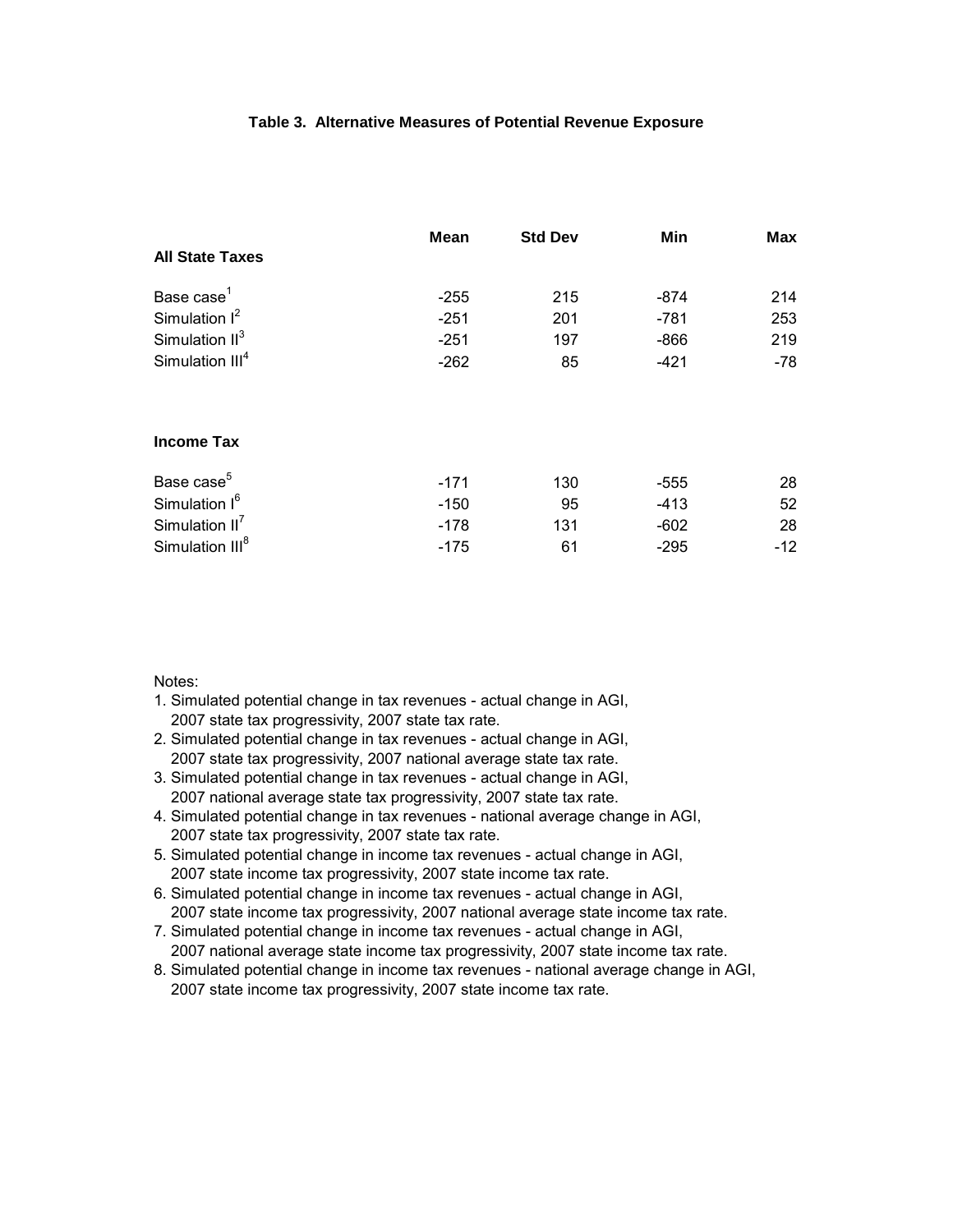#### **Table 3. Alternative Measures of Potential Revenue Exposure**

|                             | Mean   | <b>Std Dev</b> | Min    | Max   |
|-----------------------------|--------|----------------|--------|-------|
| <b>All State Taxes</b>      |        |                |        |       |
| Base case <sup>1</sup>      | $-255$ | 215            | -874   | 214   |
| Simulation $I^2$            | $-251$ | 201            | $-781$ | 253   |
| Simulation $II^3$           | $-251$ | 197            | $-866$ | 219   |
| Simulation III <sup>4</sup> | $-262$ | 85             | $-421$ | $-78$ |
| <b>Income Tax</b>           |        |                |        |       |
| Base case <sup>5</sup>      | $-171$ | 130            | $-555$ | 28    |
| Simulation I <sup>6</sup>   | $-150$ | 95             | $-413$ | 52    |
| Simulation $II^7$           | $-178$ | 131            | $-602$ | 28    |
| Simulation III <sup>8</sup> | $-175$ | 61             | $-295$ | $-12$ |

Notes:

- 1. Simulated potential change in tax revenues actual change in AGI, 2007 state tax progressivity, 2007 state tax rate.
- 2. Simulated potential change in tax revenues actual change in AGI, 2007 state tax progressivity, 2007 national average state tax rate.
- 3. Simulated potential change in tax revenues actual change in AGI, 2007 national average state tax progressivity, 2007 state tax rate.
- 4. Simulated potential change in tax revenues national average change in AGI, 2007 state tax progressivity, 2007 state tax rate.
- 5. Simulated potential change in income tax revenues actual change in AGI, 2007 state income tax progressivity, 2007 state income tax rate.
- 6. Simulated potential change in income tax revenues actual change in AGI, 2007 state income tax progressivity, 2007 national average state income tax rate.
- 7. Simulated potential change in income tax revenues actual change in AGI, 2007 national average state income tax progressivity, 2007 state income tax rate.
- 8. Simulated potential change in income tax revenues national average change in AGI, 2007 state income tax progressivity, 2007 state income tax rate.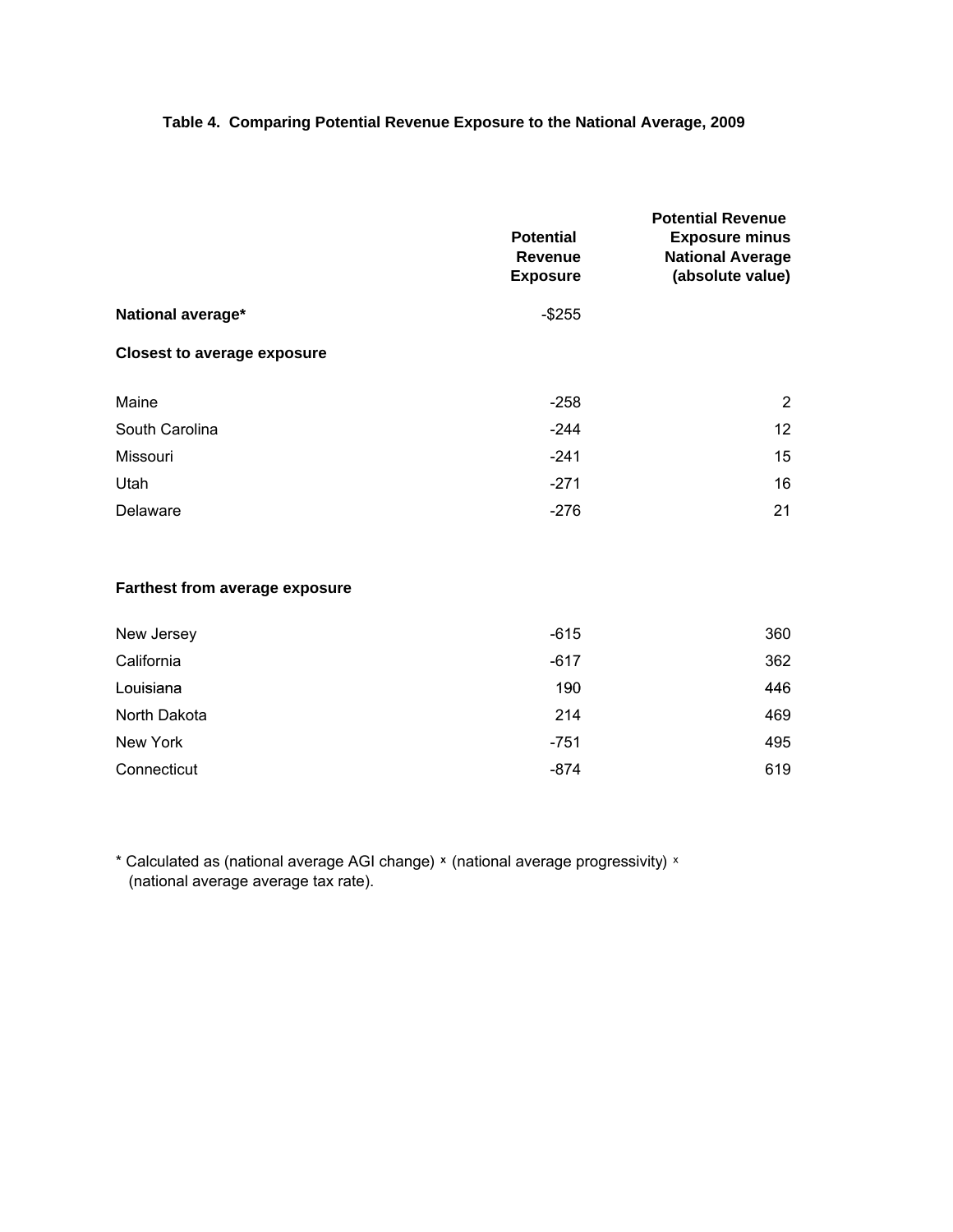# **Table 4. Comparing Potential Revenue Exposure to the National Average, 2009**

|                                    | <b>Potential</b><br><b>Revenue</b><br><b>Exposure</b> | <b>Potential Revenue</b><br><b>Exposure minus</b><br><b>National Average</b><br>(absolute value) |
|------------------------------------|-------------------------------------------------------|--------------------------------------------------------------------------------------------------|
| National average*                  | $-$ \$255                                             |                                                                                                  |
| <b>Closest to average exposure</b> |                                                       |                                                                                                  |
| Maine                              | $-258$                                                | 2                                                                                                |
| South Carolina                     | $-244$                                                | 12 <sup>2</sup>                                                                                  |
| Missouri                           | $-241$                                                | 15                                                                                               |
| Utah                               | $-271$                                                | 16                                                                                               |
| Delaware                           | $-276$                                                | 21                                                                                               |
|                                    |                                                       |                                                                                                  |

# **Farthest from average exposure**

| New Jersey   | $-615$ | 360 |
|--------------|--------|-----|
| California   | $-617$ | 362 |
| Louisiana    | 190    | 446 |
| North Dakota | 214    | 469 |
| New York     | $-751$ | 495 |
| Connecticut  | -874   | 619 |

\* Calculated as (national average AGI change) ͯ (national average progressivity) ͯ (national average average tax rate).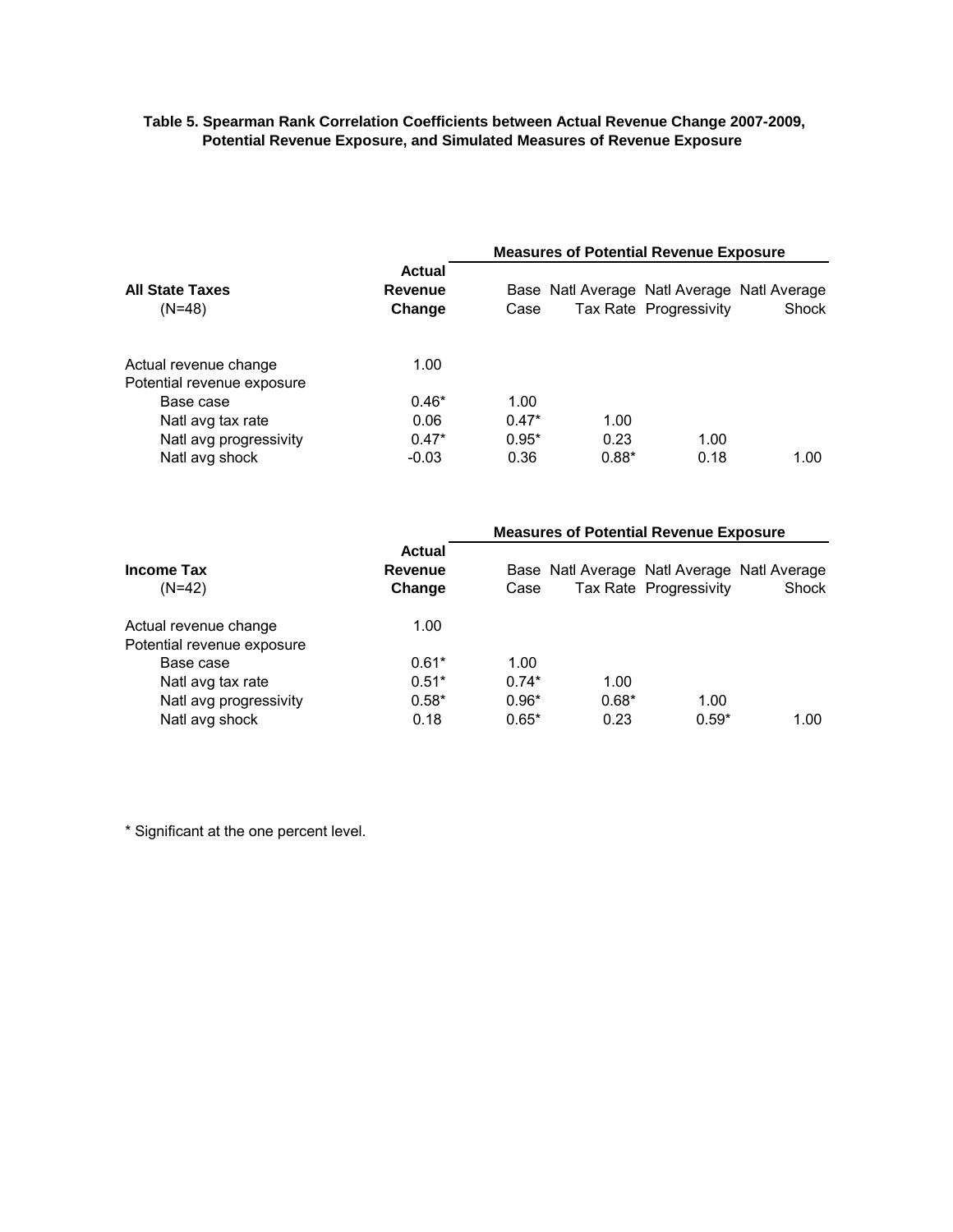#### **Table 5. Spearman Rank Correlation Coefficients between Actual Revenue Change 2007-2009, Potential Revenue Exposure, and Simulated Measures of Revenue Exposure**

|                                                     |                                    | <b>Measures of Potential Revenue Exposure</b> |                                             |                        |       |  |  |  |
|-----------------------------------------------------|------------------------------------|-----------------------------------------------|---------------------------------------------|------------------------|-------|--|--|--|
| <b>All State Taxes</b><br>$(N=48)$                  | <b>Actual</b><br>Revenue<br>Change | Case                                          | Base Natl Average Natl Average Natl Average | Tax Rate Progressivity | Shock |  |  |  |
| Actual revenue change<br>Potential revenue exposure | 1.00                               |                                               |                                             |                        |       |  |  |  |
| Base case                                           | $0.46*$                            | 1.00                                          |                                             |                        |       |  |  |  |
| Natl avg tax rate                                   | 0.06                               | $0.47*$                                       | 1.00                                        |                        |       |  |  |  |
| Natl avg progressivity                              | $0.47*$                            | $0.95*$                                       | 0.23                                        | 1.00                   |       |  |  |  |
| Natl avg shock                                      | $-0.03$                            | 0.36                                          | $0.88*$                                     | 0.18                   | 1.00  |  |  |  |

|                            |                             |         |         | <b>Measures of Potential Revenue Exposure</b>                         |       |  |  |
|----------------------------|-----------------------------|---------|---------|-----------------------------------------------------------------------|-------|--|--|
| Income Tax<br>$(N=42)$     | Actual<br>Revenue<br>Change | Case    |         | Base Natl Average Natl Average Natl Average<br>Tax Rate Progressivity | Shock |  |  |
| Actual revenue change      | 1.00                        |         |         |                                                                       |       |  |  |
| Potential revenue exposure |                             |         |         |                                                                       |       |  |  |
| Base case                  | $0.61*$                     | 1.00    |         |                                                                       |       |  |  |
| Natl avg tax rate          | $0.51*$                     | $0.74*$ | 1.00    |                                                                       |       |  |  |
| Natl avg progressivity     | $0.58*$                     | $0.96*$ | $0.68*$ | 1.00                                                                  |       |  |  |
| Natl avg shock             | 0.18                        | $0.65*$ | 0.23    | $0.59*$                                                               | 1.00  |  |  |

\* Significant at the one percent level.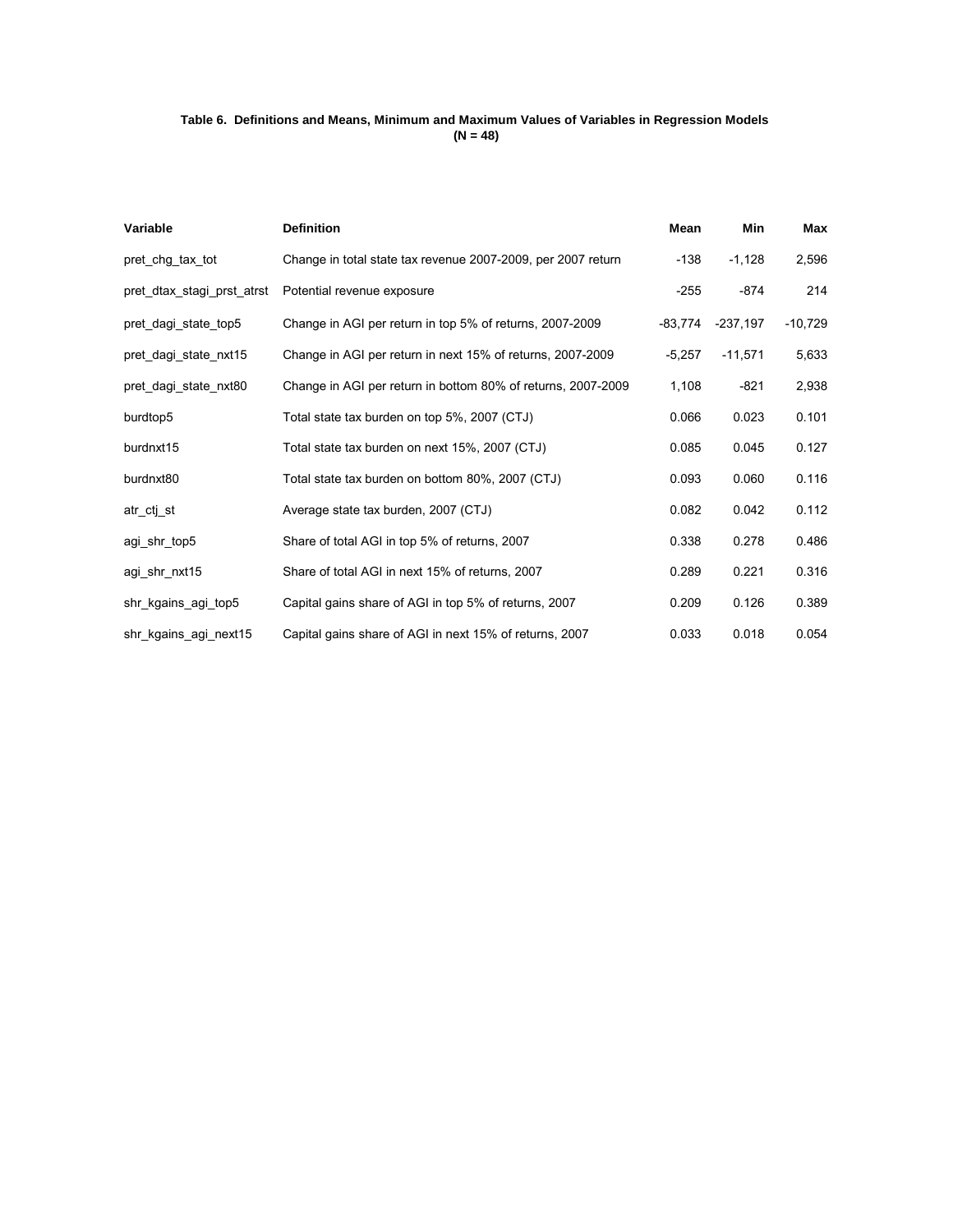#### **Table 6. Definitions and Means, Minimum and Maximum Values of Variables in Regression Models (N = 48)**

| Variable                   | <b>Definition</b>                                            | Mean      | <b>Min</b> | Max       |
|----------------------------|--------------------------------------------------------------|-----------|------------|-----------|
| pret_chg_tax_tot           | Change in total state tax revenue 2007-2009, per 2007 return | $-138$    | $-1,128$   | 2,596     |
| pret_dtax_stagi_prst_atrst | Potential revenue exposure                                   | $-255$    | $-874$     | 214       |
| pret_dagi_state_top5       | Change in AGI per return in top 5% of returns, 2007-2009     | $-83.774$ | $-237,197$ | $-10,729$ |
| pret_dagi_state_nxt15      | Change in AGI per return in next 15% of returns, 2007-2009   | $-5,257$  | $-11,571$  | 5,633     |
| pret_dagi_state_nxt80      | Change in AGI per return in bottom 80% of returns, 2007-2009 | 1,108     | $-821$     | 2,938     |
| burdtop <sub>5</sub>       | Total state tax burden on top 5%, 2007 (CTJ)                 | 0.066     | 0.023      | 0.101     |
| burdnxt15                  | Total state tax burden on next 15%, 2007 (CTJ)               | 0.085     | 0.045      | 0.127     |
| burdnxt80                  | Total state tax burden on bottom 80%, 2007 (CTJ)             | 0.093     | 0.060      | 0.116     |
| atr_ctj_st                 | Average state tax burden, 2007 (CTJ)                         | 0.082     | 0.042      | 0.112     |
| agi_shr_top5               | Share of total AGI in top 5% of returns, 2007                | 0.338     | 0.278      | 0.486     |
| agi_shr_nxt15              | Share of total AGI in next 15% of returns, 2007              | 0.289     | 0.221      | 0.316     |
| shr_kgains_agi_top5        | Capital gains share of AGI in top 5% of returns, 2007        | 0.209     | 0.126      | 0.389     |
| shr_kgains_agi_next15      | Capital gains share of AGI in next 15% of returns, 2007      | 0.033     | 0.018      | 0.054     |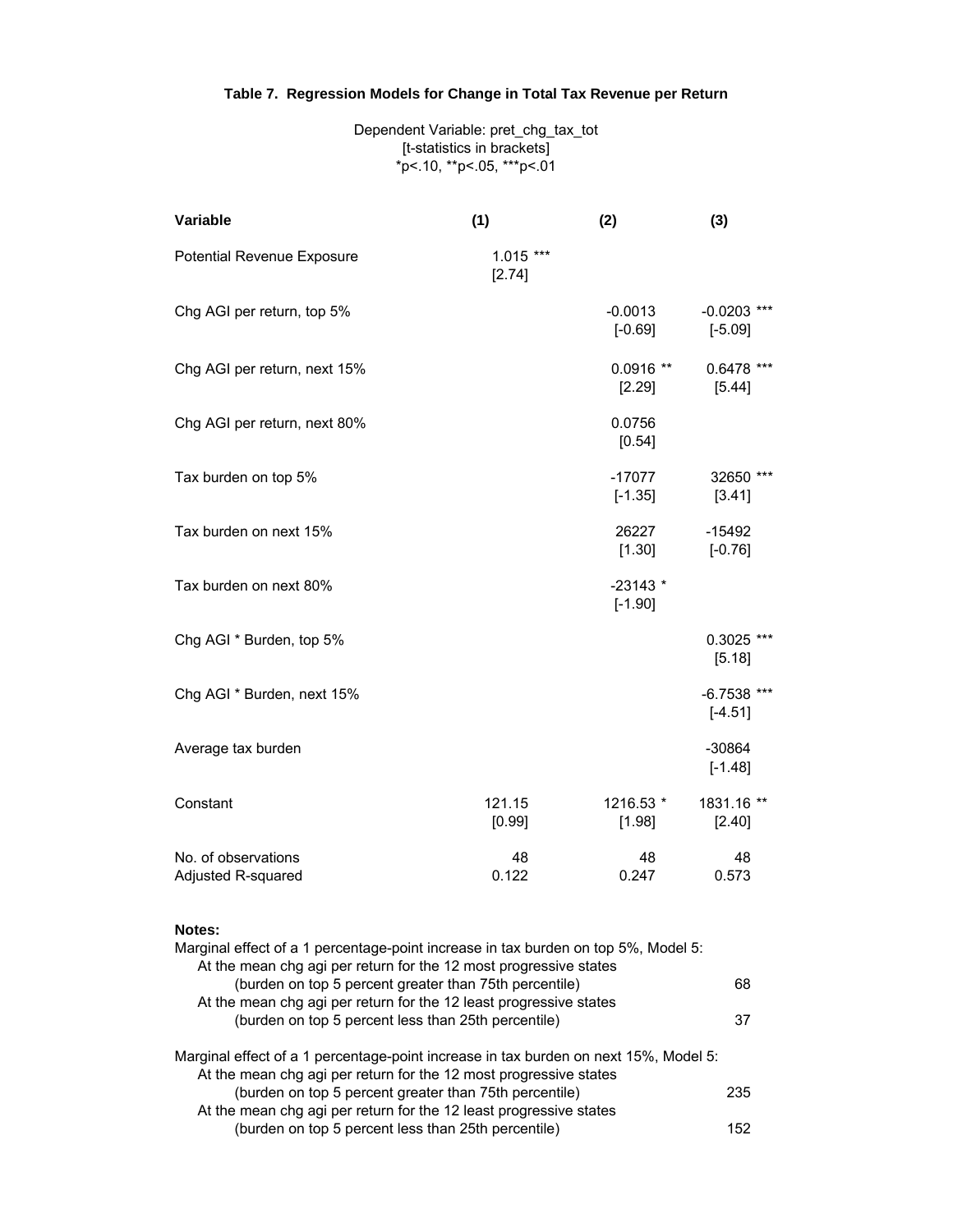# **Table 7. Regression Models for Change in Total Tax Revenue per Return**

Dependent Variable: pret\_chg\_tax\_tot [t-statistics in brackets] \*p<.10, \*\*p<.05, \*\*\*p<.01

| Variable                                  | (1)                  | (2)                    | (3)                        |
|-------------------------------------------|----------------------|------------------------|----------------------------|
| Potential Revenue Exposure                | $1.015***$<br>[2.74] |                        |                            |
| Chg AGI per return, top 5%                |                      | $-0.0013$<br>$[-0.69]$ | $-0.0203$ ***<br>$[-5.09]$ |
| Chg AGI per return, next 15%              |                      | $0.0916**$<br>[2.29]   | $0.6478$ ***<br>[5.44]     |
| Chg AGI per return, next 80%              |                      | 0.0756<br>[0.54]       |                            |
| Tax burden on top 5%                      |                      | $-17077$<br>$[-1.35]$  | 32650 ***<br>[3.41]        |
| Tax burden on next 15%                    |                      | 26227<br>[1.30]        | $-15492$<br>$[-0.76]$      |
| Tax burden on next 80%                    |                      | $-23143*$<br>$[-1.90]$ |                            |
| Chg AGI * Burden, top 5%                  |                      |                        | $0.3025$ ***<br>[5.18]     |
| Chg AGI * Burden, next 15%                |                      |                        | $-6.7538$ ***<br>$[-4.51]$ |
| Average tax burden                        |                      |                        | $-30864$<br>$[-1.48]$      |
| Constant                                  | 121.15<br>[0.99]     | 1216.53 *<br>$[1.98]$  | 1831.16 **<br>[2.40]       |
| No. of observations<br>Adjusted R-squared | 48<br>0.122          | 48<br>0.247            | 48<br>0.573                |

#### **Notes:**

| 68  |
|-----|
|     |
| 37  |
|     |
|     |
| 235 |
|     |
| 152 |
|     |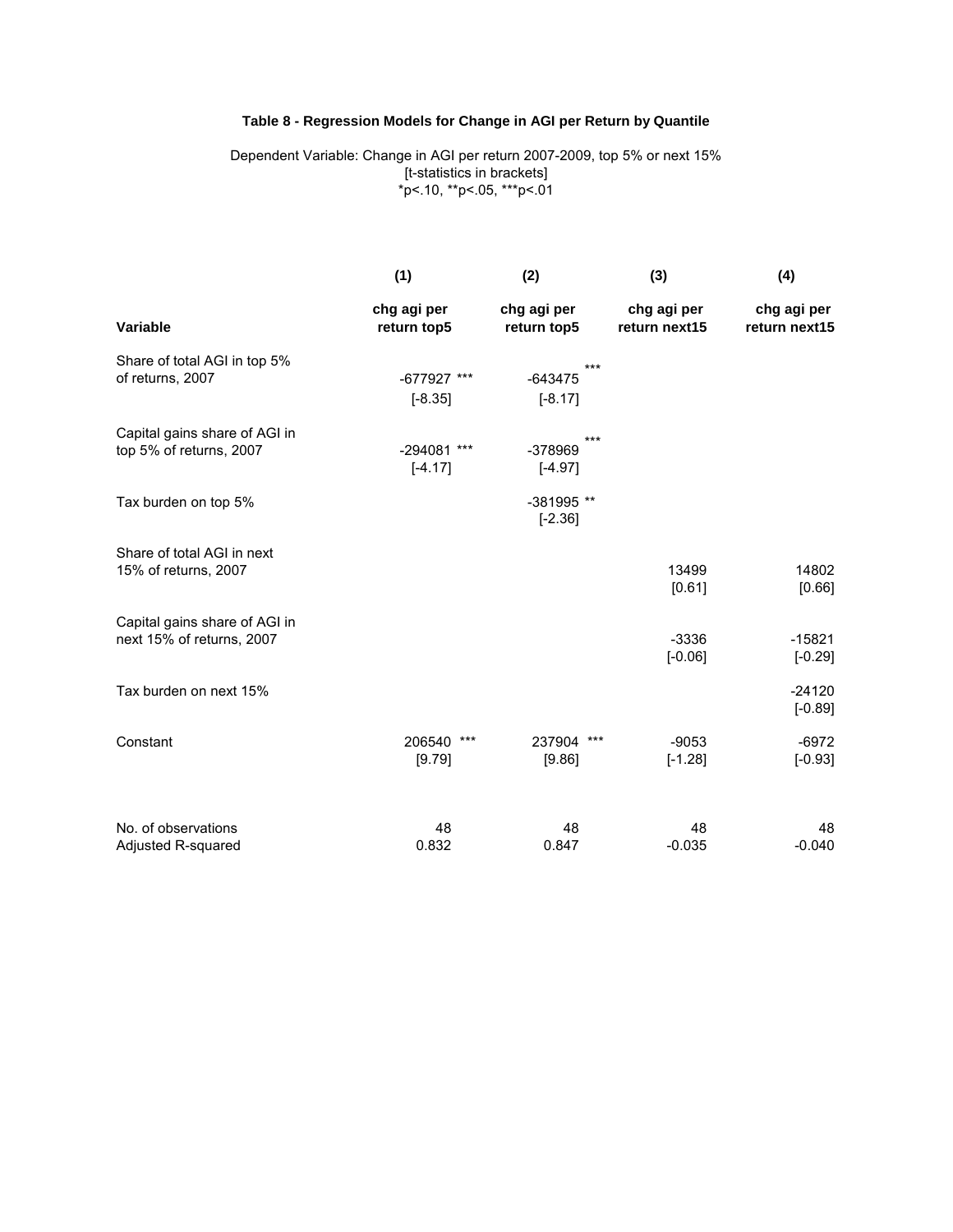### **Table 8 - Regression Models for Change in AGI per Return by Quantile**

Dependent Variable: Change in AGI per return 2007-2009, top 5% or next 15% [t-statistics in brackets] \*p<.10, \*\*p<.05, \*\*\*p<.01

|                               | (1)                        | (2)                        | (3)                          | (4)                          |
|-------------------------------|----------------------------|----------------------------|------------------------------|------------------------------|
| Variable                      | chg agi per<br>return top5 | chg agi per<br>return top5 | chg agi per<br>return next15 | chg agi per<br>return next15 |
| Share of total AGI in top 5%  |                            | ***                        |                              |                              |
| of returns, 2007              | -677927 ***                | $-643475$                  |                              |                              |
|                               | $[-8.35]$                  | $[-8.17]$                  |                              |                              |
| Capital gains share of AGI in |                            | ***                        |                              |                              |
| top 5% of returns, 2007       | -294081 ***                | -378969                    |                              |                              |
|                               | $[-4.17]$                  | $[-4.97]$                  |                              |                              |
| Tax burden on top 5%          |                            | -381995 **                 |                              |                              |
|                               |                            | $[-2.36]$                  |                              |                              |
| Share of total AGI in next    |                            |                            |                              |                              |
| 15% of returns, 2007          |                            |                            | 13499                        | 14802                        |
|                               |                            |                            | [0.61]                       | [0.66]                       |
| Capital gains share of AGI in |                            |                            |                              |                              |
| next 15% of returns, 2007     |                            |                            | $-3336$                      | $-15821$                     |
|                               |                            |                            | $[-0.06]$                    | $[-0.29]$                    |
| Tax burden on next 15%        |                            |                            |                              | $-24120$                     |
|                               |                            |                            |                              | $[-0.89]$                    |
| Constant                      | 206540<br>***              | 237904 ***                 | $-9053$                      | $-6972$                      |
|                               | [9.79]                     | [9.86]                     | $[-1.28]$                    | $[-0.93]$                    |
| No. of observations           | 48                         | 48                         | 48                           | 48                           |
| Adjusted R-squared            | 0.832                      | 0.847                      | $-0.035$                     | $-0.040$                     |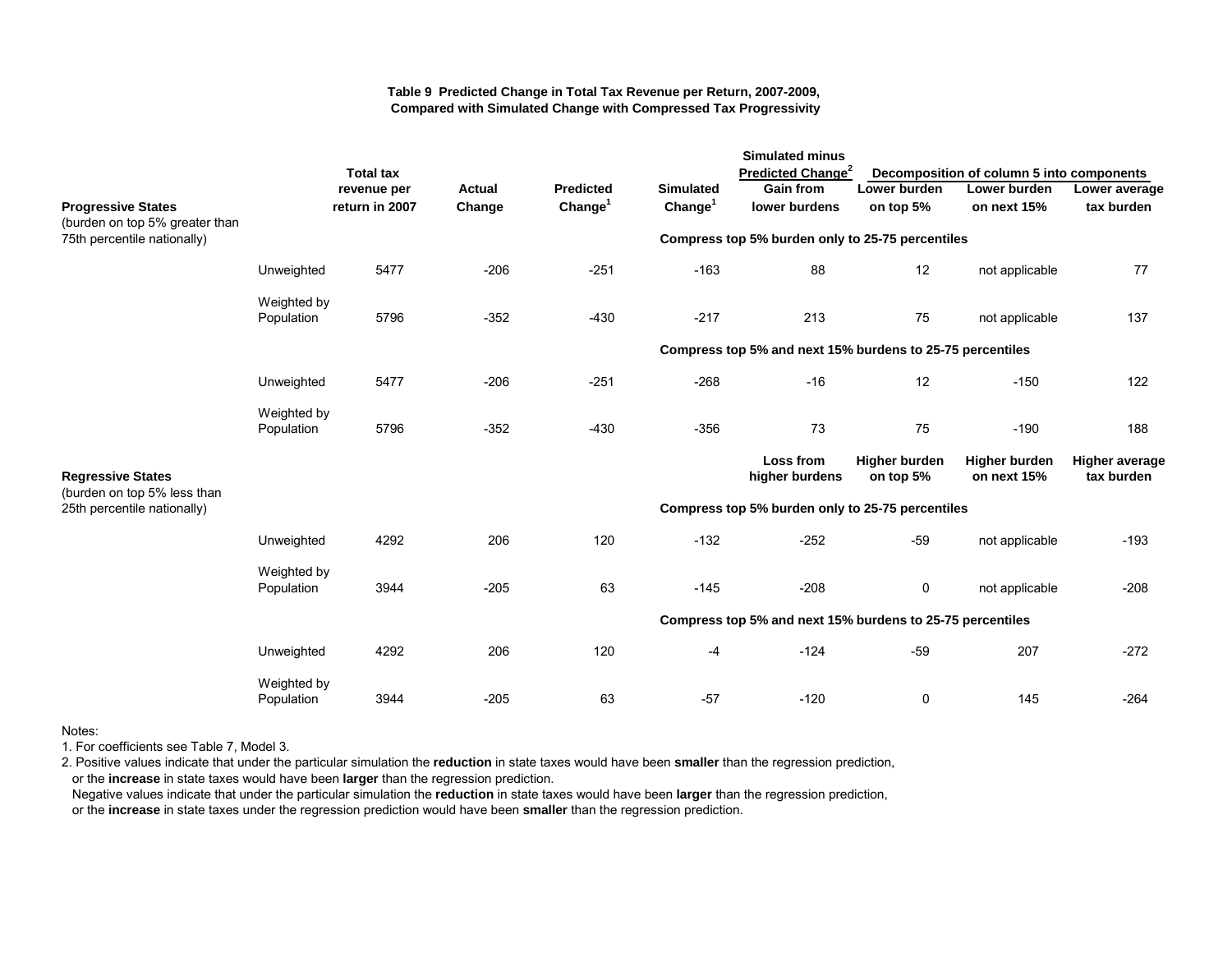#### **Table 9 Predicted Change in Total Tax Revenue per Return, 2007-2009, Compared with Simulated Change with Compressed Tax Progressivity**

|                                                             |                           |                  |               |                     |                                                  | <b>Simulated minus</b>                                    |                                   |                                           |                                     |
|-------------------------------------------------------------|---------------------------|------------------|---------------|---------------------|--------------------------------------------------|-----------------------------------------------------------|-----------------------------------|-------------------------------------------|-------------------------------------|
|                                                             |                           | <b>Total tax</b> |               |                     |                                                  | Predicted Change <sup>2</sup>                             |                                   | Decomposition of column 5 into components |                                     |
|                                                             |                           | revenue per      | <b>Actual</b> | <b>Predicted</b>    | <b>Simulated</b>                                 | <b>Gain from</b>                                          | Lower burden                      | Lower burden                              | Lower average                       |
| <b>Progressive States</b><br>(burden on top 5% greater than |                           | return in 2007   | Change        | Change <sup>1</sup> | Change <sup>1</sup>                              | lower burdens                                             | on top 5%                         | on next 15%                               | tax burden                          |
| 75th percentile nationally)                                 |                           |                  |               |                     |                                                  | Compress top 5% burden only to 25-75 percentiles          |                                   |                                           |                                     |
|                                                             | Unweighted                | 5477             | $-206$        | $-251$              | $-163$                                           | 88                                                        | 12                                | not applicable                            | 77                                  |
|                                                             | Weighted by<br>Population | 5796             | $-352$        | $-430$              | $-217$                                           | 213                                                       | 75                                | not applicable                            | 137                                 |
|                                                             |                           |                  |               |                     |                                                  | Compress top 5% and next 15% burdens to 25-75 percentiles |                                   |                                           |                                     |
|                                                             | Unweighted                | 5477             | $-206$        | $-251$              | $-268$                                           | $-16$                                                     | 12                                | $-150$                                    | 122                                 |
|                                                             | Weighted by<br>Population | 5796             | $-352$        | $-430$              | $-356$                                           | 73                                                        | 75                                | $-190$                                    | 188                                 |
| <b>Regressive States</b>                                    |                           |                  |               |                     |                                                  | Loss from<br>higher burdens                               | <b>Higher burden</b><br>on top 5% | <b>Higher burden</b><br>on next 15%       | <b>Higher average</b><br>tax burden |
| (burden on top 5% less than<br>25th percentile nationally)  |                           |                  |               |                     | Compress top 5% burden only to 25-75 percentiles |                                                           |                                   |                                           |                                     |
|                                                             | Unweighted                | 4292             | 206           | 120                 | $-132$                                           | $-252$                                                    | $-59$                             | not applicable                            | $-193$                              |
|                                                             | Weighted by<br>Population | 3944             | $-205$        | 63                  | $-145$                                           | $-208$                                                    | 0                                 | not applicable                            | $-208$                              |
|                                                             |                           |                  |               |                     |                                                  | Compress top 5% and next 15% burdens to 25-75 percentiles |                                   |                                           |                                     |
|                                                             | Unweighted                | 4292             | 206           | 120                 | $-4$                                             | $-124$                                                    | $-59$                             | 207                                       | $-272$                              |
|                                                             | Weighted by<br>Population | 3944             | $-205$        | 63                  | $-57$                                            | $-120$                                                    | 0                                 | 145                                       | $-264$                              |

Notes:

1. For coefficients see Table 7, Model 3.

2. Positive values indicate that under the particular simulation the **reduction** in state taxes would have been **smaller** than the regression prediction,

or the **increase** in state taxes would have been **larger** than the regression prediction.

 Negative values indicate that under the particular simulation the **reduction** in state taxes would have been **larger** than the regression prediction, or the **increase** in state taxes under the regression prediction would have been **smaller** than the regression prediction.